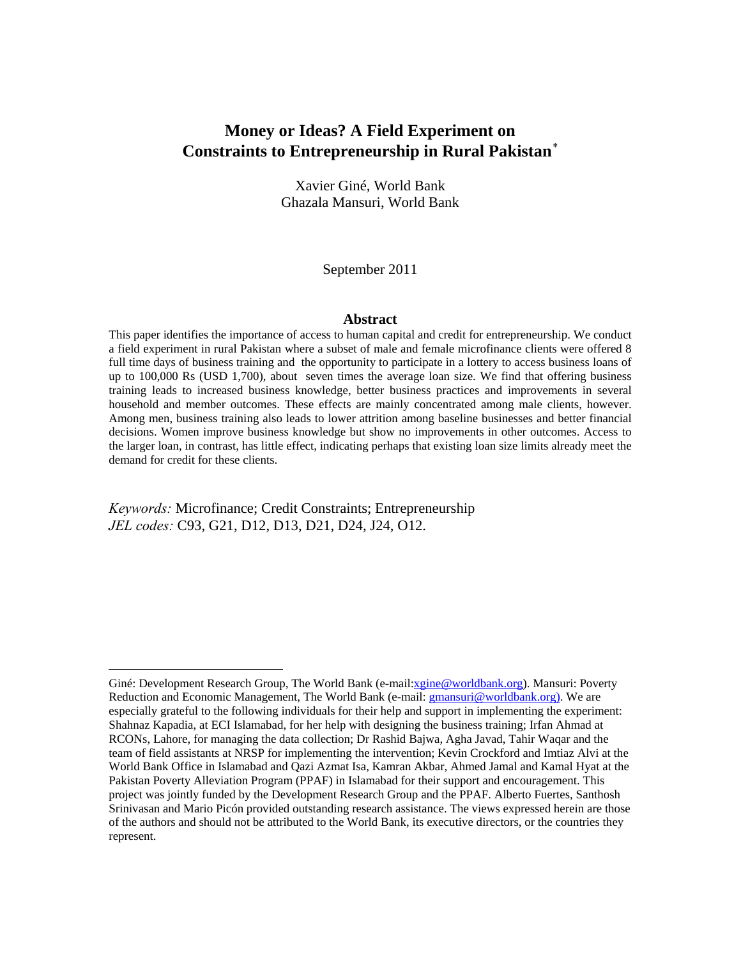# **Money or Ideas? A Field Experiment on Constraints to Entrepreneurship in Rural Pakistan**[∗](#page-0-0)

Xavier Giné, World Bank Ghazala Mansuri, World Bank

September 2011

#### **Abstract**

This paper identifies the importance of access to human capital and credit for entrepreneurship. We conduct a field experiment in rural Pakistan where a subset of male and female microfinance clients were offered 8 full time days of business training and the opportunity to participate in a lottery to access business loans of up to 100,000 Rs (USD 1,700), about seven times the average loan size. We find that offering business training leads to increased business knowledge, better business practices and improvements in several household and member outcomes. These effects are mainly concentrated among male clients, however. Among men, business training also leads to lower attrition among baseline businesses and better financial decisions. Women improve business knowledge but show no improvements in other outcomes. Access to the larger loan, in contrast, has little effect, indicating perhaps that existing loan size limits already meet the demand for credit for these clients.

*Keywords:* Microfinance; Credit Constraints; Entrepreneurship *JEL codes:* C93, G21, D12, D13, D21, D24, J24, O12.

 $\overline{a}$ 

<span id="page-0-0"></span>Giné: Development Research Group, The World Bank (e-mail[:xgine@worldbank.org](mailto:xgine@worldbank.org)). Mansuri: Poverty Reduction and Economic Management, The World Bank (e-mail: *gmansuri[@worldbank.](mailto:gmansuri@worldbank.org)org*). We are especially grateful to the following individuals for their help and support in implementing the experiment: Shahnaz Kapadia, at ECI Islamabad, for her help with designing the business training; Irfan Ahmad at RCONs, Lahore, for managing the data collection; Dr Rashid Bajwa, Agha Javad, Tahir Waqar and the team of field assistants at NRSP for implementing the intervention; Kevin Crockford and Imtiaz Alvi at the World Bank Office in Islamabad and Qazi Azmat Isa, Kamran Akbar, Ahmed Jamal and Kamal Hyat at the Pakistan Poverty Alleviation Program (PPAF) in Islamabad for their support and encouragement. This project was jointly funded by the Development Research Group and the PPAF. Alberto Fuertes, Santhosh Srinivasan and Mario Picón provided outstanding research assistance. The views expressed herein are those of the authors and should not be attributed to the World Bank, its executive directors, or the countries they represent.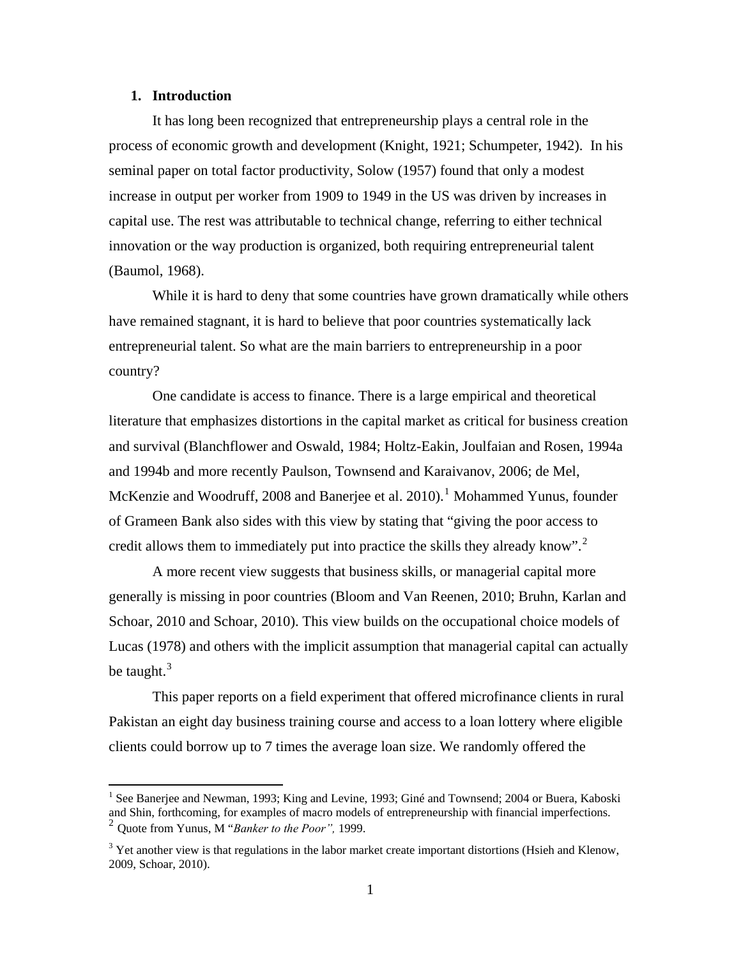## **1. Introduction**

 $\overline{a}$ 

It has long been recognized that entrepreneurship plays a central role in the process of economic growth and development (Knight, 1921; Schumpeter, 1942). In his seminal paper on total factor productivity, Solow (1957) found that only a modest increase in output per worker from 1909 to 1949 in the US was driven by increases in capital use. The rest was attributable to technical change, referring to either technical innovation or the way production is organized, both requiring entrepreneurial talent (Baumol, 1968).

While it is hard to deny that some countries have grown dramatically while others have remained stagnant, it is hard to believe that poor countries systematically lack entrepreneurial talent. So what are the main barriers to entrepreneurship in a poor country?

One candidate is access to finance. There is a large empirical and theoretical literature that emphasizes distortions in the capital market as critical for business creation and survival (Blanchflower and Oswald, 1984; Holtz-Eakin, Joulfaian and Rosen, 1994a and 1994b and more recently Paulson, Townsend and Karaivanov, 2006; de Mel, McKenzie and Woodruff, 2008 and Banerjee et al.  $2010$  $2010$  $2010$ .<sup>1</sup> Mohammed Yunus, founder of Grameen Bank also sides with this view by stating that "giving the poor access to credit allows them to immediately put into practice the skills they already know".<sup>[2](#page-1-1)</sup>

A more recent view suggests that business skills, or managerial capital more generally is missing in poor countries (Bloom and Van Reenen, 2010; Bruhn, Karlan and Schoar, 2010 and Schoar, 2010). This view builds on the occupational choice models of Lucas (1978) and others with the implicit assumption that managerial capital can actually be taught. $3$ 

This paper reports on a field experiment that offered microfinance clients in rural Pakistan an eight day business training course and access to a loan lottery where eligible clients could borrow up to 7 times the average loan size. We randomly offered the

<span id="page-1-0"></span><sup>&</sup>lt;sup>1</sup> See Banerjee and Newman, 1993; King and Levine, 1993; Giné and Townsend; 2004 or Buera, Kaboski and Shin, forthcoming, for examples of macro models of entrepreneurship with financial imperfections. <sup>2</sup> Quote from Yunus, M "*Banker to the Poor",* 1999.

<span id="page-1-2"></span><span id="page-1-1"></span> $3$  Yet another view is that regulations in the labor market create important distortions (Hsieh and Klenow, 2009, Schoar, 2010).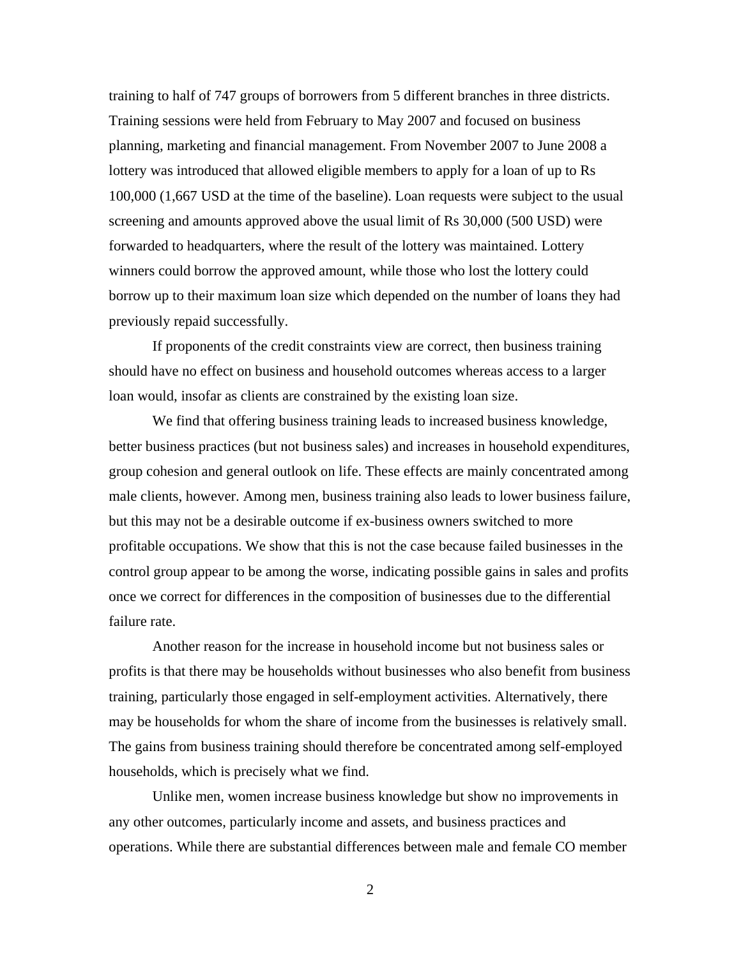training to half of 747 groups of borrowers from 5 different branches in three districts. Training sessions were held from February to May 2007 and focused on business planning, marketing and financial management. From November 2007 to June 2008 a lottery was introduced that allowed eligible members to apply for a loan of up to Rs 100,000 (1,667 USD at the time of the baseline). Loan requests were subject to the usual screening and amounts approved above the usual limit of Rs 30,000 (500 USD) were forwarded to headquarters, where the result of the lottery was maintained. Lottery winners could borrow the approved amount, while those who lost the lottery could borrow up to their maximum loan size which depended on the number of loans they had previously repaid successfully.

If proponents of the credit constraints view are correct, then business training should have no effect on business and household outcomes whereas access to a larger loan would, insofar as clients are constrained by the existing loan size.

We find that offering business training leads to increased business knowledge, better business practices (but not business sales) and increases in household expenditures, group cohesion and general outlook on life. These effects are mainly concentrated among male clients, however. Among men, business training also leads to lower business failure, but this may not be a desirable outcome if ex-business owners switched to more profitable occupations. We show that this is not the case because failed businesses in the control group appear to be among the worse, indicating possible gains in sales and profits once we correct for differences in the composition of businesses due to the differential failure rate.

Another reason for the increase in household income but not business sales or profits is that there may be households without businesses who also benefit from business training, particularly those engaged in self-employment activities. Alternatively, there may be households for whom the share of income from the businesses is relatively small. The gains from business training should therefore be concentrated among self-employed households, which is precisely what we find.

Unlike men, women increase business knowledge but show no improvements in any other outcomes, particularly income and assets, and business practices and operations. While there are substantial differences between male and female CO member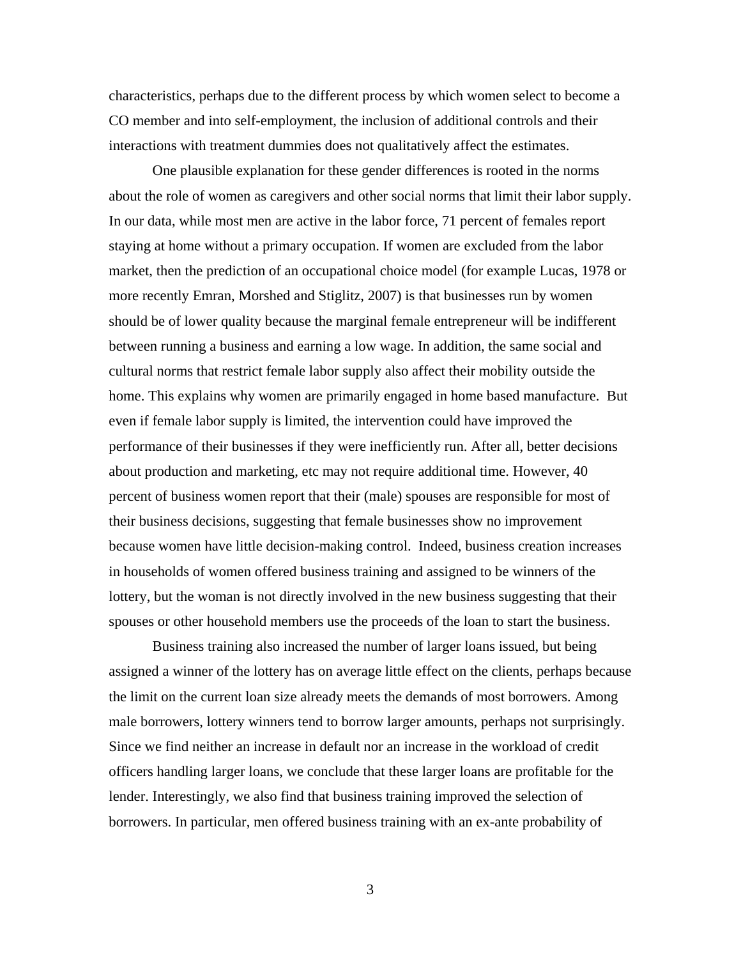characteristics, perhaps due to the different process by which women select to become a CO member and into self-employment, the inclusion of additional controls and their interactions with treatment dummies does not qualitatively affect the estimates.

One plausible explanation for these gender differences is rooted in the norms about the role of women as caregivers and other social norms that limit their labor supply. In our data, while most men are active in the labor force, 71 percent of females report staying at home without a primary occupation. If women are excluded from the labor market, then the prediction of an occupational choice model (for example Lucas, 1978 or more recently Emran, Morshed and Stiglitz, 2007) is that businesses run by women should be of lower quality because the marginal female entrepreneur will be indifferent between running a business and earning a low wage. In addition, the same social and cultural norms that restrict female labor supply also affect their mobility outside the home. This explains why women are primarily engaged in home based manufacture. But even if female labor supply is limited, the intervention could have improved the performance of their businesses if they were inefficiently run. After all, better decisions about production and marketing, etc may not require additional time. However, 40 percent of business women report that their (male) spouses are responsible for most of their business decisions, suggesting that female businesses show no improvement because women have little decision-making control. Indeed, business creation increases in households of women offered business training and assigned to be winners of the lottery, but the woman is not directly involved in the new business suggesting that their spouses or other household members use the proceeds of the loan to start the business.

Business training also increased the number of larger loans issued, but being assigned a winner of the lottery has on average little effect on the clients, perhaps because the limit on the current loan size already meets the demands of most borrowers. Among male borrowers, lottery winners tend to borrow larger amounts, perhaps not surprisingly. Since we find neither an increase in default nor an increase in the workload of credit officers handling larger loans, we conclude that these larger loans are profitable for the lender. Interestingly, we also find that business training improved the selection of borrowers. In particular, men offered business training with an ex-ante probability of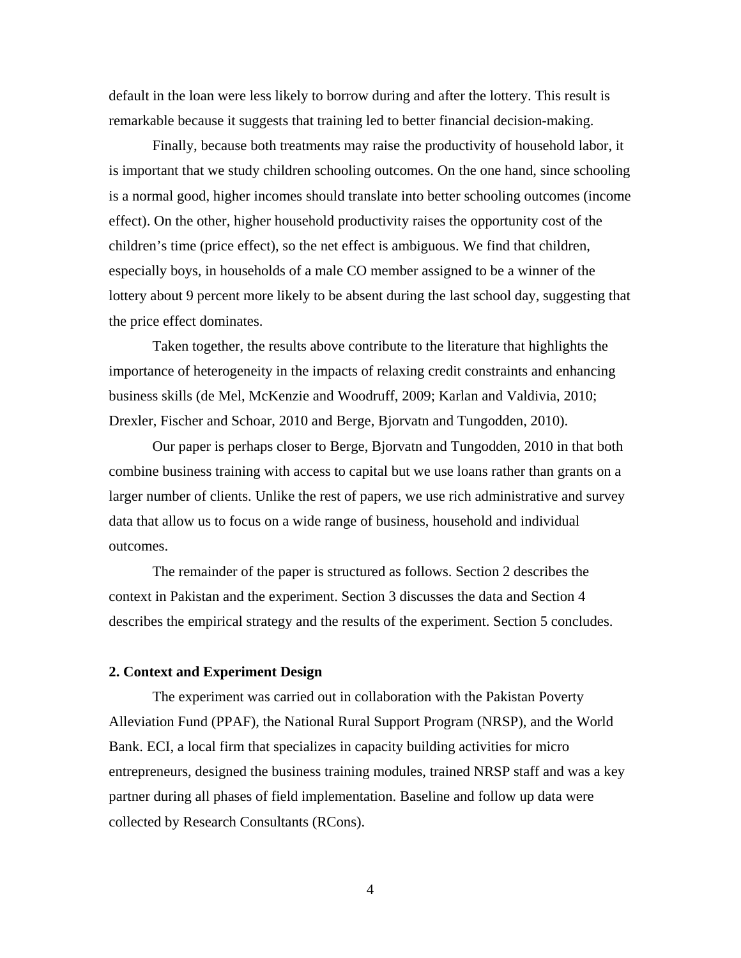default in the loan were less likely to borrow during and after the lottery. This result is remarkable because it suggests that training led to better financial decision-making.

Finally, because both treatments may raise the productivity of household labor, it is important that we study children schooling outcomes. On the one hand, since schooling is a normal good, higher incomes should translate into better schooling outcomes (income effect). On the other, higher household productivity raises the opportunity cost of the children's time (price effect), so the net effect is ambiguous. We find that children, especially boys, in households of a male CO member assigned to be a winner of the lottery about 9 percent more likely to be absent during the last school day, suggesting that the price effect dominates.

Taken together, the results above contribute to the literature that highlights the importance of heterogeneity in the impacts of relaxing credit constraints and enhancing business skills (de Mel, McKenzie and Woodruff, 2009; Karlan and Valdivia, 2010; Drexler, Fischer and Schoar, 2010 and Berge, Bjorvatn and Tungodden, 2010).

Our paper is perhaps closer to Berge, Bjorvatn and Tungodden, 2010 in that both combine business training with access to capital but we use loans rather than grants on a larger number of clients. Unlike the rest of papers, we use rich administrative and survey data that allow us to focus on a wide range of business, household and individual outcomes.

The remainder of the paper is structured as follows. Section 2 describes the context in Pakistan and the experiment. Section 3 discusses the data and Section 4 describes the empirical strategy and the results of the experiment. Section 5 concludes.

## **2. Context and Experiment Design**

The experiment was carried out in collaboration with the Pakistan Poverty Alleviation Fund (PPAF), the National Rural Support Program (NRSP), and the World Bank. ECI, a local firm that specializes in capacity building activities for micro entrepreneurs, designed the business training modules, trained NRSP staff and was a key partner during all phases of field implementation. Baseline and follow up data were collected by Research Consultants (RCons).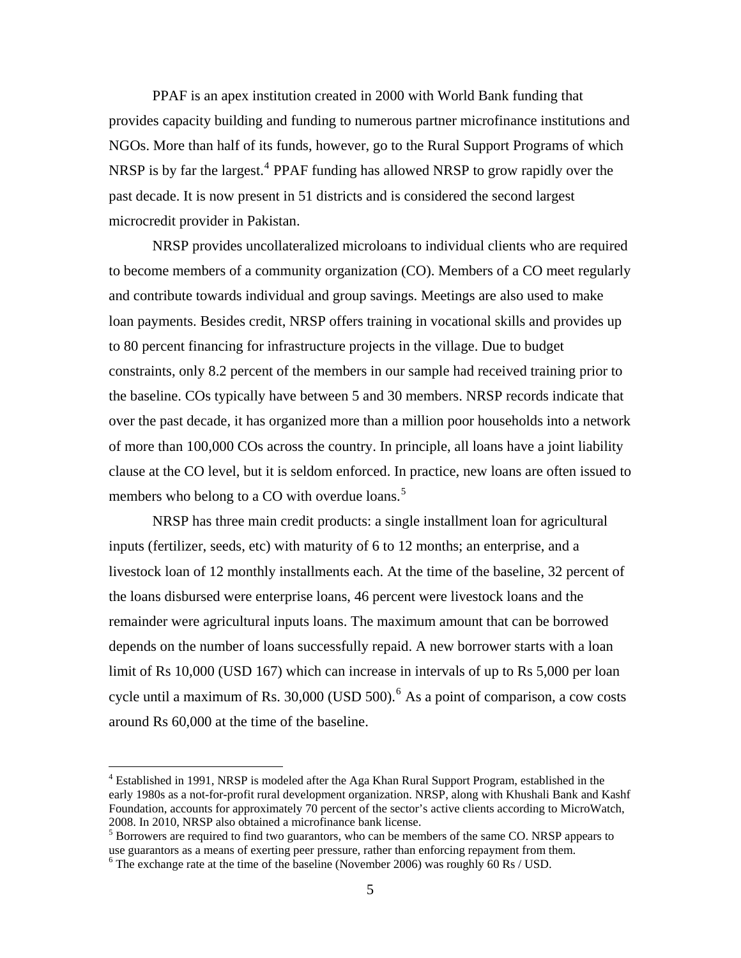PPAF is an apex institution created in 2000 with World Bank funding that provides capacity building and funding to numerous partner microfinance institutions and NGOs. More than half of its funds, however, go to the Rural Support Programs of which NRSP is by far the largest.<sup>[4](#page-5-0)</sup> PPAF funding has allowed NRSP to grow rapidly over the past decade. It is now present in 51 districts and is considered the second largest microcredit provider in Pakistan.

NRSP provides uncollateralized microloans to individual clients who are required to become members of a community organization (CO). Members of a CO meet regularly and contribute towards individual and group savings. Meetings are also used to make loan payments. Besides credit, NRSP offers training in vocational skills and provides up to 80 percent financing for infrastructure projects in the village. Due to budget constraints, only 8.2 percent of the members in our sample had received training prior to the baseline. COs typically have between 5 and 30 members. NRSP records indicate that over the past decade, it has organized more than a million poor households into a network of more than 100,000 COs across the country. In principle, all loans have a joint liability clause at the CO level, but it is seldom enforced. In practice, new loans are often issued to members who belong to a CO with overdue loans.<sup>[5](#page-5-1)</sup>

NRSP has three main credit products: a single installment loan for agricultural inputs (fertilizer, seeds, etc) with maturity of 6 to 12 months; an enterprise, and a livestock loan of 12 monthly installments each. At the time of the baseline, 32 percent of the loans disbursed were enterprise loans, 46 percent were livestock loans and the remainder were agricultural inputs loans. The maximum amount that can be borrowed depends on the number of loans successfully repaid. A new borrower starts with a loan limit of Rs 10,000 (USD 167) which can increase in intervals of up to Rs 5,000 per loan cycle until a maximum of Rs.  $30,000$  (USD  $500$ ).<sup>[6](#page-5-2)</sup> As a point of comparison, a cow costs around Rs 60,000 at the time of the baseline.

 $\overline{a}$ 

<span id="page-5-0"></span><sup>&</sup>lt;sup>4</sup> Established in 1991, NRSP is modeled after the Aga Khan Rural Support Program, established in the early 1980s as a not-for-profit rural development organization. NRSP, along with Khushali Bank and Kashf Foundation, accounts for approximately 70 percent of the sector's active clients according to MicroWatch, 2008. In 2010, NRSP also obtained a microfinance bank license. 5

<span id="page-5-1"></span><sup>&</sup>lt;sup>5</sup> Borrowers are required to find two guarantors, who can be members of the same CO. NRSP appears to use guarantors as a means of exerting peer pressure, rather than enforcing repayment from them. 6

<span id="page-5-2"></span> $6$  The exchange rate at the time of the baseline (November 2006) was roughly 60 Rs / USD.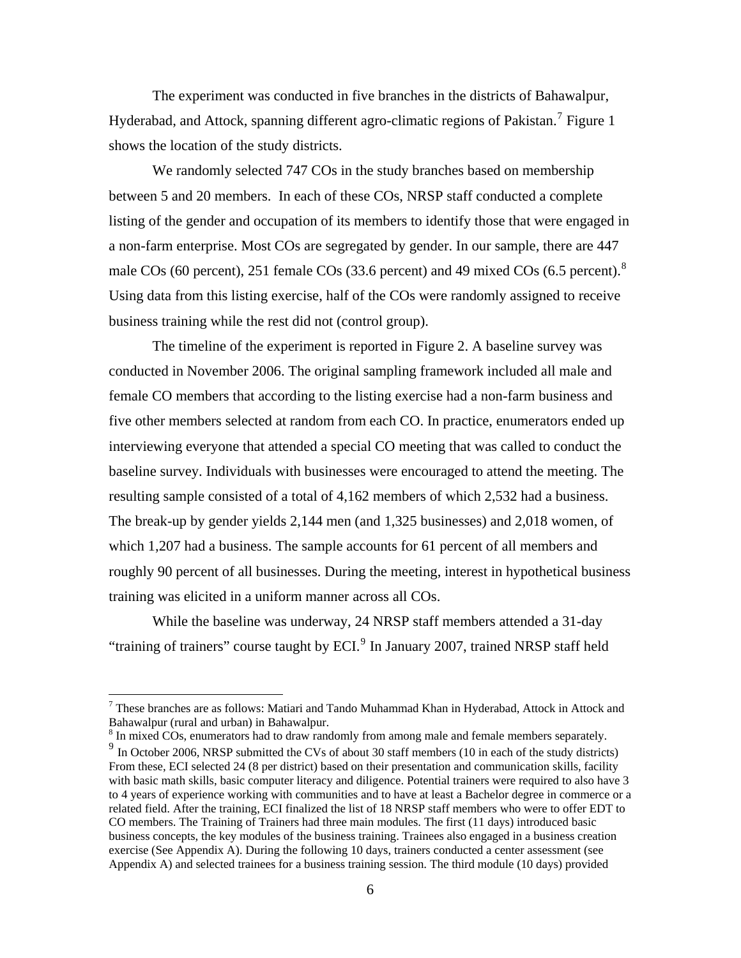The experiment was conducted in five branches in the districts of Bahawalpur, Hyderabad, and Attock, spanning different agro-climatic regions of Pakistan.<sup>[7](#page-6-0)</sup> Figure 1 shows the location of the study districts.

We randomly selected 747 COs in the study branches based on membership between 5 and 20 members. In each of these COs, NRSP staff conducted a complete listing of the gender and occupation of its members to identify those that were engaged in a non-farm enterprise. Most COs are segregated by gender. In our sample, there are 447 male COs (60 percent), 251 female COs (33.6 percent) and 49 mixed COs (6.5 percent). $8$ Using data from this listing exercise, half of the COs were randomly assigned to receive business training while the rest did not (control group).

The timeline of the experiment is reported in Figure 2. A baseline survey was conducted in November 2006. The original sampling framework included all male and female CO members that according to the listing exercise had a non-farm business and five other members selected at random from each CO. In practice, enumerators ended up interviewing everyone that attended a special CO meeting that was called to conduct the baseline survey. Individuals with businesses were encouraged to attend the meeting. The resulting sample consisted of a total of 4,162 members of which 2,532 had a business. The break-up by gender yields 2,144 men (and 1,325 businesses) and 2,018 women, of which 1,207 had a business. The sample accounts for 61 percent of all members and roughly 90 percent of all businesses. During the meeting, interest in hypothetical business training was elicited in a uniform manner across all COs.

While the baseline was underway, 24 NRSP staff members attended a 31-day "training of trainers" course taught by ECI. $9$  In January 2007, trained NRSP staff held

 $\overline{a}$ 

<span id="page-6-0"></span> $7$  These branches are as follows: Matiari and Tando Muhammad Khan in Hyderabad, Attock in Attock and Bahawalpur (rural and urban) in Bahawalpur.

<sup>&</sup>lt;sup>8</sup> In mixed COs, enumerators had to draw randomly from among male and female members separately.

<span id="page-6-2"></span><span id="page-6-1"></span><sup>&</sup>lt;sup>9</sup> In October 2006, NRSP submitted the CVs of about 30 staff members (10 in each of the study districts) From these, ECI selected 24 (8 per district) based on their presentation and communication skills, facility with basic math skills, basic computer literacy and diligence. Potential trainers were required to also have 3 to 4 years of experience working with communities and to have at least a Bachelor degree in commerce or a related field. After the training, ECI finalized the list of 18 NRSP staff members who were to offer EDT to CO members. The Training of Trainers had three main modules. The first (11 days) introduced basic business concepts, the key modules of the business training. Trainees also engaged in a business creation exercise (See Appendix A). During the following 10 days, trainers conducted a center assessment (see Appendix A) and selected trainees for a business training session. The third module (10 days) provided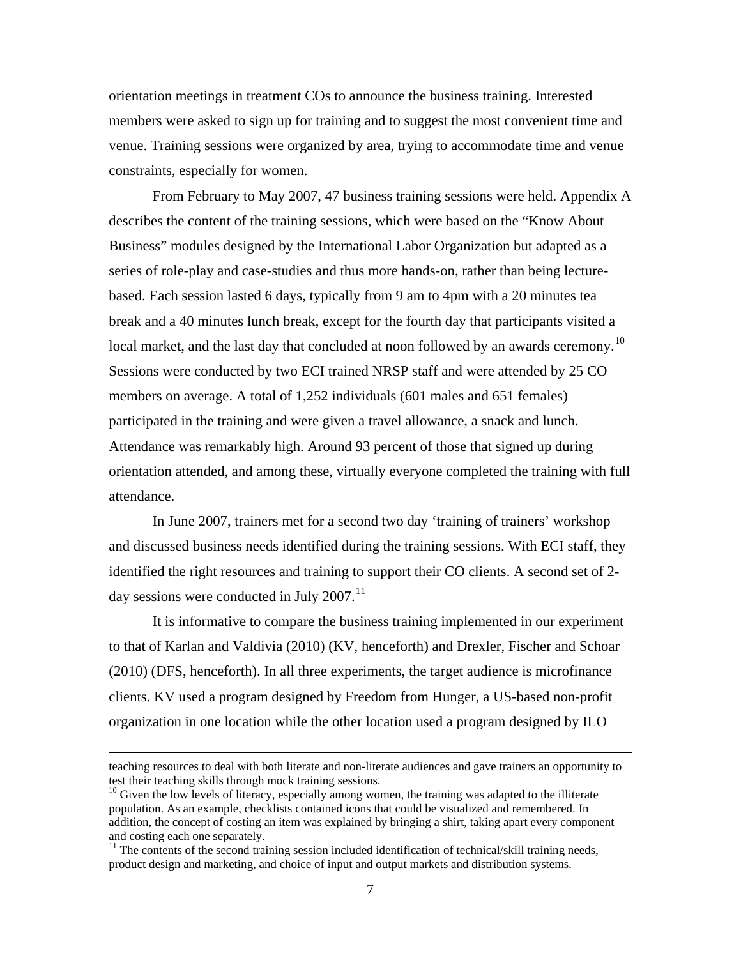orientation meetings in treatment COs to announce the business training. Interested members were asked to sign up for training and to suggest the most convenient time and venue. Training sessions were organized by area, trying to accommodate time and venue constraints, especially for women.

From February to May 2007, 47 business training sessions were held. Appendix A describes the content of the training sessions, which were based on the "Know About Business" modules designed by the International Labor Organization but adapted as a series of role-play and case-studies and thus more hands-on, rather than being lecturebased. Each session lasted 6 days, typically from 9 am to 4pm with a 20 minutes tea break and a 40 minutes lunch break, except for the fourth day that participants visited a local market, and the last day that concluded at noon followed by an awards ceremony.<sup>[10](#page-7-0)</sup> Sessions were conducted by two ECI trained NRSP staff and were attended by 25 CO members on average. A total of 1,252 individuals (601 males and 651 females) participated in the training and were given a travel allowance, a snack and lunch. Attendance was remarkably high. Around 93 percent of those that signed up during orientation attended, and among these, virtually everyone completed the training with full attendance.

In June 2007, trainers met for a second two day 'training of trainers' workshop and discussed business needs identified during the training sessions. With ECI staff, they identified the right resources and training to support their CO clients. A second set of 2- day sessions were conducted in July 2007.<sup>[11](#page-7-1)</sup>

It is informative to compare the business training implemented in our experiment to that of Karlan and Valdivia (2010) (KV, henceforth) and Drexler, Fischer and Schoar (2010) (DFS, henceforth). In all three experiments, the target audience is microfinance clients. KV used a program designed by Freedom from Hunger, a US-based non-profit organization in one location while the other location used a program designed by ILO

teaching resources to deal with both literate and non-literate audiences and gave trainers an opportunity to test their teaching skills through mock training sessions.<br><sup>10</sup> Given the low levels of literacy, especially among women, the training was adapted to the illiterate

<span id="page-7-0"></span>population. As an example, checklists contained icons that could be visualized and remembered. In addition, the concept of costing an item was explained by bringing a shirt, taking apart every component and costing each one separately.

<span id="page-7-1"></span><sup>&</sup>lt;sup>11</sup> The contents of the second training session included identification of technical/skill training needs, product design and marketing, and choice of input and output markets and distribution systems.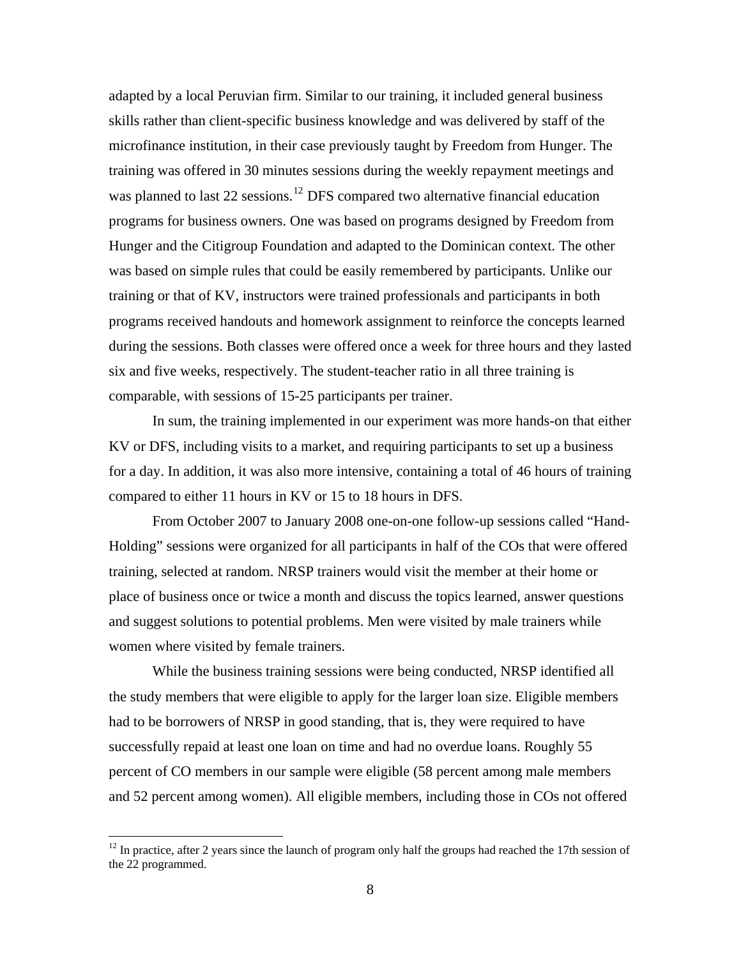adapted by a local Peruvian firm. Similar to our training, it included general business skills rather than client-specific business knowledge and was delivered by staff of the microfinance institution, in their case previously taught by Freedom from Hunger. The training was offered in 30 minutes sessions during the weekly repayment meetings and was planned to last  $22$  sessions.<sup>[12](#page-8-0)</sup> DFS compared two alternative financial education programs for business owners. One was based on programs designed by Freedom from Hunger and the Citigroup Foundation and adapted to the Dominican context. The other was based on simple rules that could be easily remembered by participants. Unlike our training or that of KV, instructors were trained professionals and participants in both programs received handouts and homework assignment to reinforce the concepts learned during the sessions. Both classes were offered once a week for three hours and they lasted six and five weeks, respectively. The student-teacher ratio in all three training is comparable, with sessions of 15-25 participants per trainer.

In sum, the training implemented in our experiment was more hands-on that either KV or DFS, including visits to a market, and requiring participants to set up a business for a day. In addition, it was also more intensive, containing a total of 46 hours of training compared to either 11 hours in KV or 15 to 18 hours in DFS.

From October 2007 to January 2008 one-on-one follow-up sessions called "Hand-Holding" sessions were organized for all participants in half of the COs that were offered training, selected at random. NRSP trainers would visit the member at their home or place of business once or twice a month and discuss the topics learned, answer questions and suggest solutions to potential problems. Men were visited by male trainers while women where visited by female trainers.

While the business training sessions were being conducted, NRSP identified all the study members that were eligible to apply for the larger loan size. Eligible members had to be borrowers of NRSP in good standing, that is, they were required to have successfully repaid at least one loan on time and had no overdue loans. Roughly 55 percent of CO members in our sample were eligible (58 percent among male members and 52 percent among women). All eligible members, including those in COs not offered

 $\overline{a}$ 

<span id="page-8-0"></span> $12$  In practice, after 2 years since the launch of program only half the groups had reached the 17th session of the 22 programmed.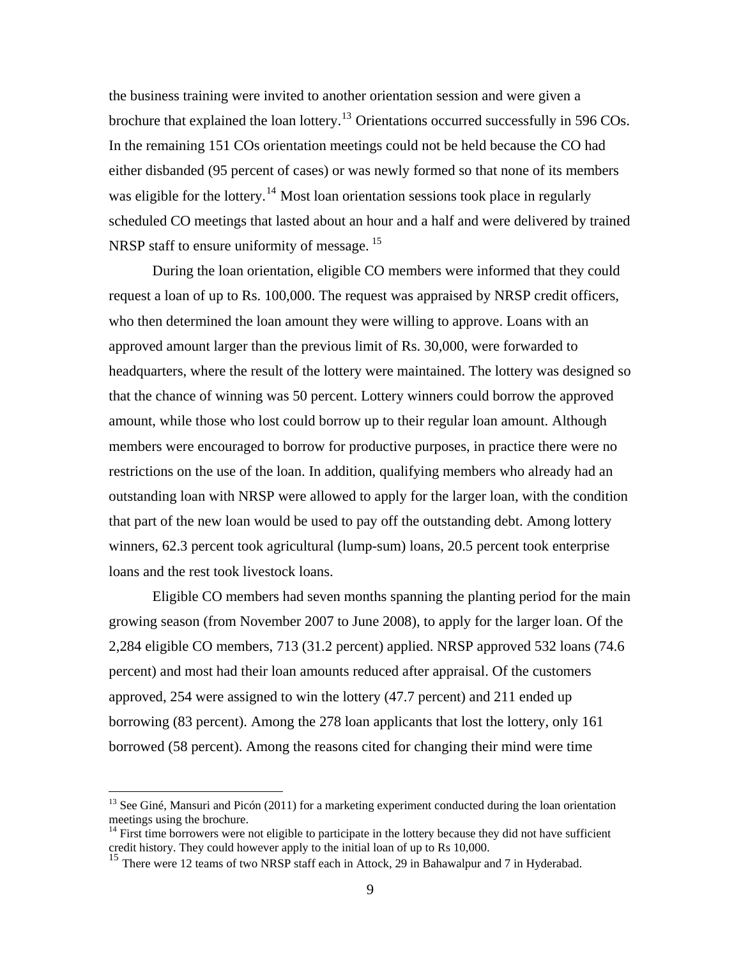the business training were invited to another orientation session and were given a brochure that explained the loan lottery.<sup>[13](#page-9-0)</sup> Orientations occurred successfully in 596 COs. In the remaining 151 COs orientation meetings could not be held because the CO had either disbanded (95 percent of cases) or was newly formed so that none of its members was eligible for the lottery.<sup>[14](#page-9-1)</sup> Most loan orientation sessions took place in regularly scheduled CO meetings that lasted about an hour and a half and were delivered by trained NRSP staff to ensure uniformity of message.<sup>[15](#page-9-2)</sup>

During the loan orientation, eligible CO members were informed that they could request a loan of up to Rs. 100,000. The request was appraised by NRSP credit officers, who then determined the loan amount they were willing to approve. Loans with an approved amount larger than the previous limit of Rs. 30,000, were forwarded to headquarters, where the result of the lottery were maintained. The lottery was designed so that the chance of winning was 50 percent. Lottery winners could borrow the approved amount, while those who lost could borrow up to their regular loan amount. Although members were encouraged to borrow for productive purposes, in practice there were no restrictions on the use of the loan. In addition, qualifying members who already had an outstanding loan with NRSP were allowed to apply for the larger loan, with the condition that part of the new loan would be used to pay off the outstanding debt. Among lottery winners, 62.3 percent took agricultural (lump-sum) loans, 20.5 percent took enterprise loans and the rest took livestock loans.

Eligible CO members had seven months spanning the planting period for the main growing season (from November 2007 to June 2008), to apply for the larger loan. Of the 2,284 eligible CO members, 713 (31.2 percent) applied. NRSP approved 532 loans (74.6 percent) and most had their loan amounts reduced after appraisal. Of the customers approved, 254 were assigned to win the lottery (47.7 percent) and 211 ended up borrowing (83 percent). Among the 278 loan applicants that lost the lottery, only 161 borrowed (58 percent). Among the reasons cited for changing their mind were time

 $\overline{a}$ 

<span id="page-9-0"></span><sup>&</sup>lt;sup>13</sup> See Giné, Mansuri and Picón (2011) for a marketing experiment conducted during the loan orientation meetings using the brochure.

<span id="page-9-1"></span> $14$  First time borrowers were not eligible to participate in the lottery because they did not have sufficient credit history. They could however apply to the initial loan of up to Rs 10,000.

<span id="page-9-2"></span><sup>&</sup>lt;sup>15</sup> There were 12 teams of two NRSP staff each in Attock, 29 in Bahawalpur and 7 in Hyderabad.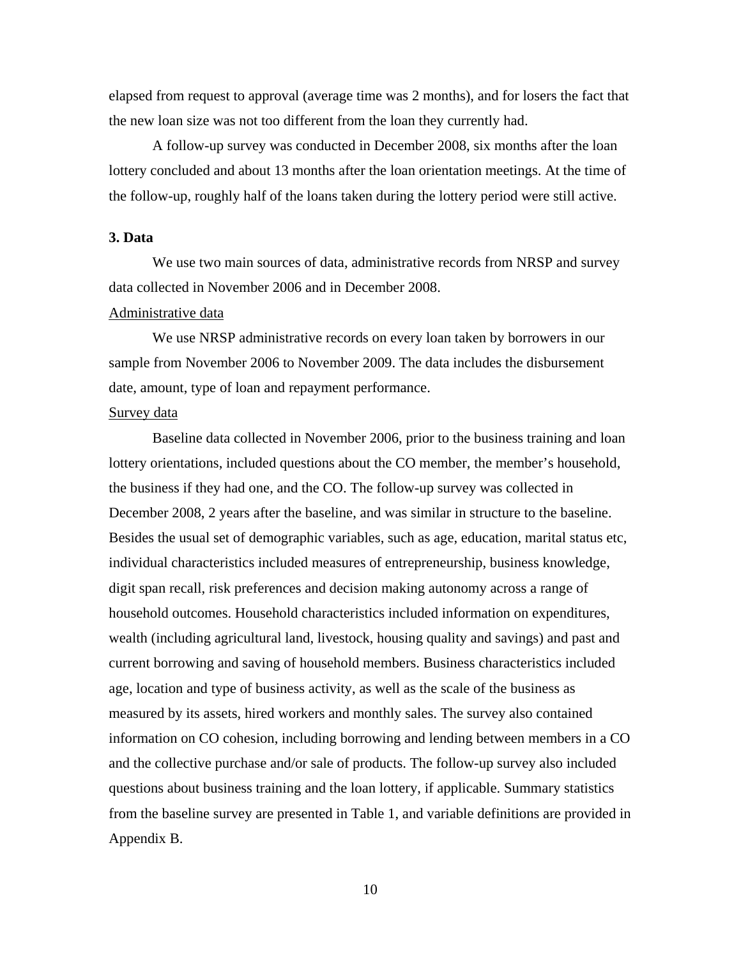elapsed from request to approval (average time was 2 months), and for losers the fact that the new loan size was not too different from the loan they currently had.

A follow-up survey was conducted in December 2008, six months after the loan lottery concluded and about 13 months after the loan orientation meetings. At the time of the follow-up, roughly half of the loans taken during the lottery period were still active.

## **3. Data**

We use two main sources of data, administrative records from NRSP and survey data collected in November 2006 and in December 2008.

## Administrative data

 We use NRSP administrative records on every loan taken by borrowers in our sample from November 2006 to November 2009. The data includes the disbursement date, amount, type of loan and repayment performance.

## Survey data

Baseline data collected in November 2006, prior to the business training and loan lottery orientations, included questions about the CO member, the member's household, the business if they had one, and the CO. The follow-up survey was collected in December 2008, 2 years after the baseline, and was similar in structure to the baseline. Besides the usual set of demographic variables, such as age, education, marital status etc, individual characteristics included measures of entrepreneurship, business knowledge, digit span recall, risk preferences and decision making autonomy across a range of household outcomes. Household characteristics included information on expenditures, wealth (including agricultural land, livestock, housing quality and savings) and past and current borrowing and saving of household members. Business characteristics included age, location and type of business activity, as well as the scale of the business as measured by its assets, hired workers and monthly sales. The survey also contained information on CO cohesion, including borrowing and lending between members in a CO and the collective purchase and/or sale of products. The follow-up survey also included questions about business training and the loan lottery, if applicable. Summary statistics from the baseline survey are presented in Table 1, and variable definitions are provided in Appendix B.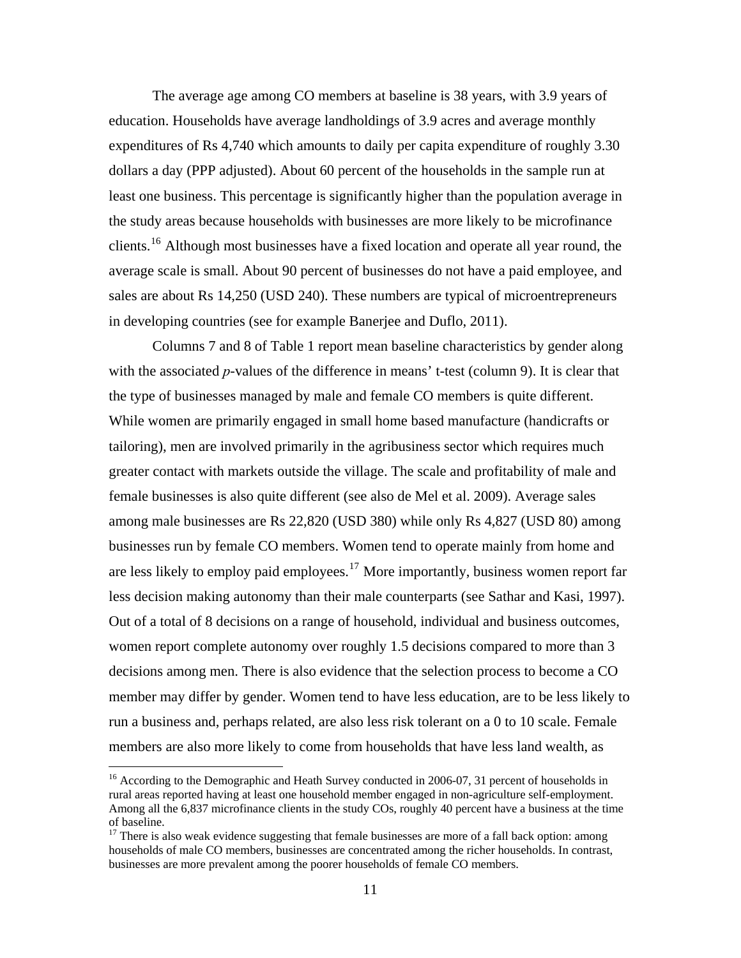The average age among CO members at baseline is 38 years, with 3.9 years of education. Households have average landholdings of 3.9 acres and average monthly expenditures of Rs 4,740 which amounts to daily per capita expenditure of roughly 3.30 dollars a day (PPP adjusted). About 60 percent of the households in the sample run at least one business. This percentage is significantly higher than the population average in the study areas because households with businesses are more likely to be microfinance clients.<sup>[16](#page-11-0)</sup> Although most businesses have a fixed location and operate all year round, the average scale is small. About 90 percent of businesses do not have a paid employee, and sales are about Rs 14,250 (USD 240). These numbers are typical of microentrepreneurs in developing countries (see for example Banerjee and Duflo, 2011).

Columns 7 and 8 of Table 1 report mean baseline characteristics by gender along with the associated *p*-values of the difference in means' t-test (column 9). It is clear that the type of businesses managed by male and female CO members is quite different. While women are primarily engaged in small home based manufacture (handicrafts or tailoring), men are involved primarily in the agribusiness sector which requires much greater contact with markets outside the village. The scale and profitability of male and female businesses is also quite different (see also de Mel et al. 2009). Average sales among male businesses are Rs 22,820 (USD 380) while only Rs 4,827 (USD 80) among businesses run by female CO members. Women tend to operate mainly from home and are less likely to employ paid employees.<sup>[17](#page-11-1)</sup> More importantly, business women report far less decision making autonomy than their male counterparts (see Sathar and Kasi, 1997). Out of a total of 8 decisions on a range of household, individual and business outcomes, women report complete autonomy over roughly 1.5 decisions compared to more than 3 decisions among men. There is also evidence that the selection process to become a CO member may differ by gender. Women tend to have less education, are to be less likely to run a business and, perhaps related, are also less risk tolerant on a 0 to 10 scale. Female members are also more likely to come from households that have less land wealth, as

<u>.</u>

<span id="page-11-0"></span><sup>&</sup>lt;sup>16</sup> According to the Demographic and Heath Survey conducted in 2006-07, 31 percent of households in rural areas reported having at least one household member engaged in non-agriculture self-employment. Among all the 6,837 microfinance clients in the study COs, roughly 40 percent have a business at the time of baseline.

<span id="page-11-1"></span> $17$  There is also weak evidence suggesting that female businesses are more of a fall back option: among households of male CO members, businesses are concentrated among the richer households. In contrast, businesses are more prevalent among the poorer households of female CO members.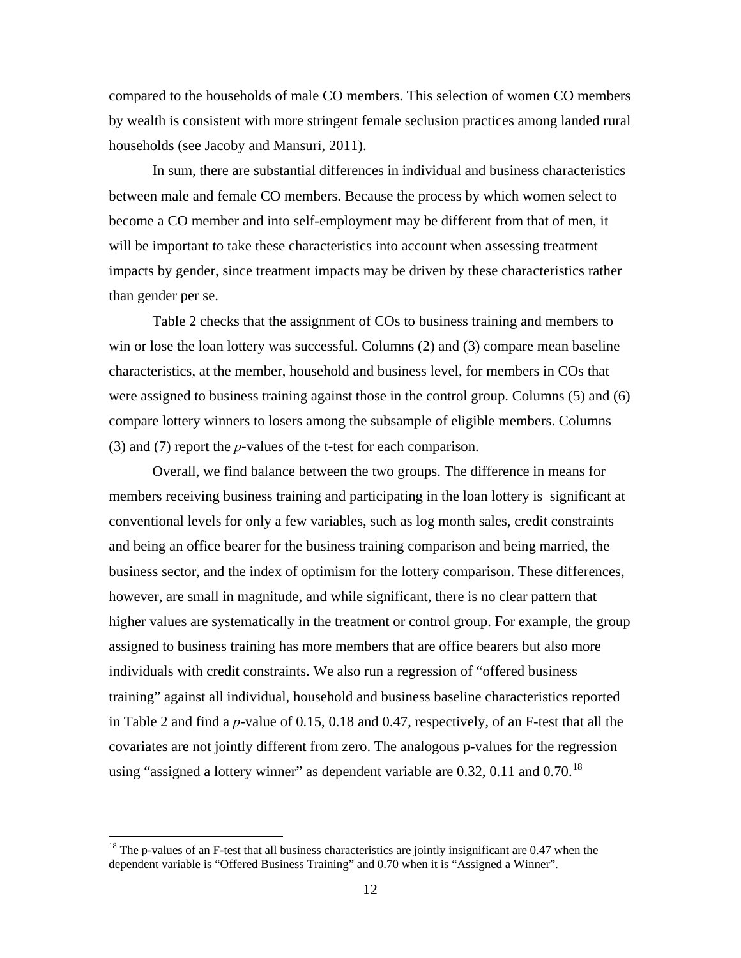compared to the households of male CO members. This selection of women CO members by wealth is consistent with more stringent female seclusion practices among landed rural households (see Jacoby and Mansuri, 2011).

In sum, there are substantial differences in individual and business characteristics between male and female CO members. Because the process by which women select to become a CO member and into self-employment may be different from that of men, it will be important to take these characteristics into account when assessing treatment impacts by gender, since treatment impacts may be driven by these characteristics rather than gender per se.

Table 2 checks that the assignment of COs to business training and members to win or lose the loan lottery was successful. Columns (2) and (3) compare mean baseline characteristics, at the member, household and business level, for members in COs that were assigned to business training against those in the control group. Columns (5) and (6) compare lottery winners to losers among the subsample of eligible members. Columns (3) and (7) report the *p*-values of the t-test for each comparison.

Overall, we find balance between the two groups. The difference in means for members receiving business training and participating in the loan lottery is significant at conventional levels for only a few variables, such as log month sales, credit constraints and being an office bearer for the business training comparison and being married, the business sector, and the index of optimism for the lottery comparison. These differences, however, are small in magnitude, and while significant, there is no clear pattern that higher values are systematically in the treatment or control group. For example, the group assigned to business training has more members that are office bearers but also more individuals with credit constraints. We also run a regression of "offered business training" against all individual, household and business baseline characteristics reported in Table 2 and find a *p*-value of 0.15, 0.18 and 0.47, respectively, of an F-test that all the covariates are not jointly different from zero. The analogous p-values for the regression using "assigned a lottery winner" as dependent variable are  $0.32$ ,  $0.11$  and  $0.70$ .<sup>[18](#page-12-0)</sup>

<span id="page-12-0"></span> $18$  The p-values of an F-test that all business characteristics are jointly insignificant are 0.47 when the dependent variable is "Offered Business Training" and 0.70 when it is "Assigned a Winner".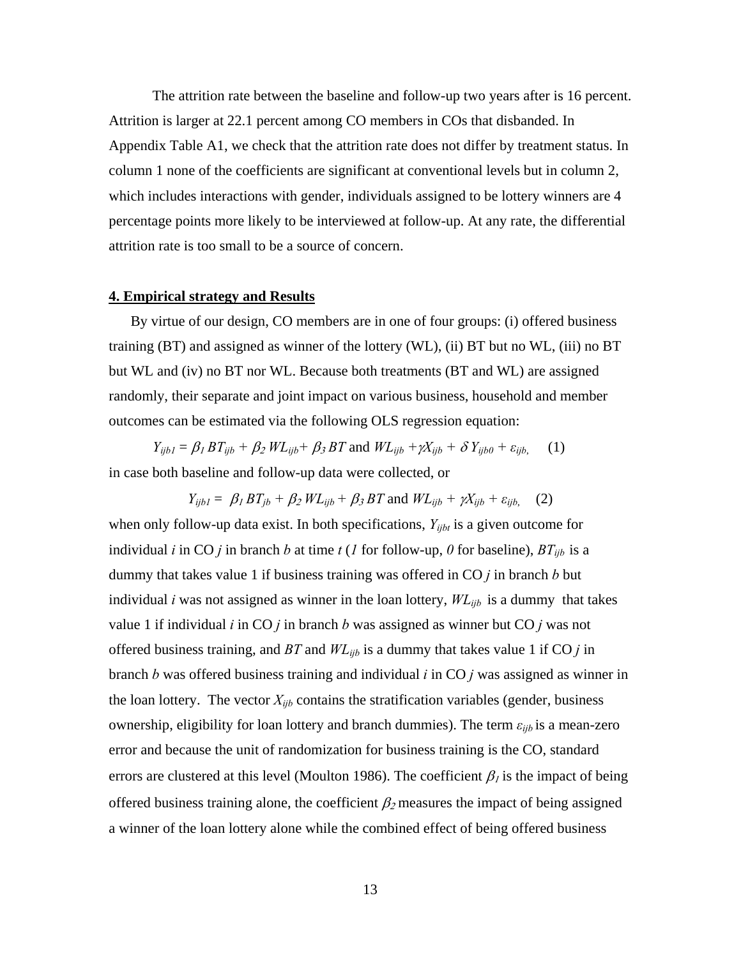The attrition rate between the baseline and follow-up two years after is 16 percent. Attrition is larger at 22.1 percent among CO members in COs that disbanded. In Appendix Table A1, we check that the attrition rate does not differ by treatment status. In column 1 none of the coefficients are significant at conventional levels but in column 2, which includes interactions with gender, individuals assigned to be lottery winners are 4 percentage points more likely to be interviewed at follow-up. At any rate, the differential attrition rate is too small to be a source of concern.

## **4. Empirical strategy and Results**

By virtue of our design, CO members are in one of four groups: (i) offered business training (BT) and assigned as winner of the lottery (WL), (ii) BT but no WL, (iii) no BT but WL and (iv) no BT nor WL. Because both treatments (BT and WL) are assigned randomly, their separate and joint impact on various business, household and member outcomes can be estimated via the following OLS regression equation:

 $Y_{ijb1} = \beta_1 BT_{ijb} + \beta_2 WL_{ijb} + \beta_3 BT$  and  $WL_{ijb} + \gamma X_{ijb} + \delta Y_{ijb0} + \varepsilon_{ijb}$ , (1) in case both baseline and follow-up data were collected, or

$$
Y_{ijb1} = \beta_1 BT_{jb} + \beta_2 WL_{ijb} + \beta_3 BT
$$
 and  $WL_{ijb} + \gamma X_{ijb} + \varepsilon_{ijb}$ , (2)

when only follow-up data exist. In both specifications,  $Y_{ijbt}$  is a given outcome for individual *i* in CO *j* in branch *b* at time *t* (*l* for follow-up,  $\theta$  for baseline),  $BT_{ijb}$  is a dummy that takes value 1 if business training was offered in CO *j* in branch *b* but individual *i* was not assigned as winner in the loan lottery, *WLijb* is a dummy that takes value 1 if individual *i* in CO *j* in branch *b* was assigned as winner but CO *j* was not offered business training, and *BT* and *WLijb* is a dummy that takes value 1 if CO *j* in branch *b* was offered business training and individual *i* in CO *j* was assigned as winner in the loan lottery. The vector  $X_{ijb}$  contains the stratification variables (gender, business ownership, eligibility for loan lottery and branch dummies). The term *εijb* is a mean-zero error and because the unit of randomization for business training is the CO, standard errors are clustered at this level (Moulton 1986). The coefficient  $\beta<sub>l</sub>$  is the impact of being offered business training alone, the coefficient  $\beta_2$  measures the impact of being assigned a winner of the loan lottery alone while the combined effect of being offered business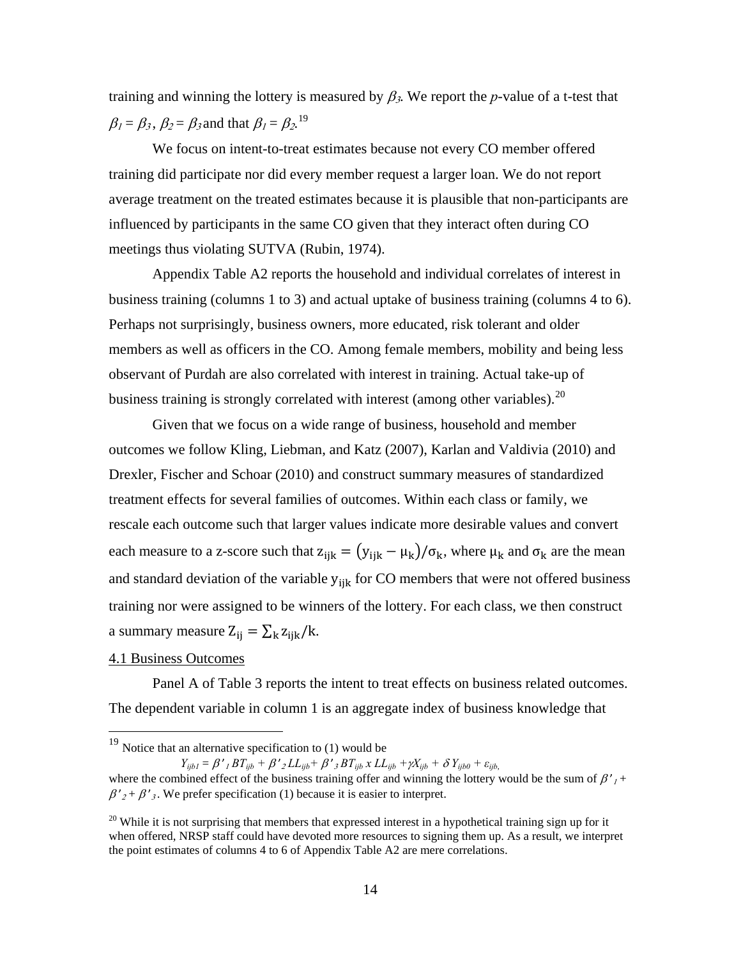training and winning the lottery is measured by  $\beta_3$ . We report the *p*-value of a t-test that  $\beta_1 = \beta_3$ ,  $\beta_2 = \beta_3$  and that  $\beta_1 = \beta_2$ .<sup>[19](#page-14-0)</sup>

 We focus on intent-to-treat estimates because not every CO member offered training did participate nor did every member request a larger loan. We do not report average treatment on the treated estimates because it is plausible that non-participants are influenced by participants in the same CO given that they interact often during CO meetings thus violating SUTVA (Rubin, 1974).

 Appendix Table A2 reports the household and individual correlates of interest in business training (columns 1 to 3) and actual uptake of business training (columns 4 to 6). Perhaps not surprisingly, business owners, more educated, risk tolerant and older members as well as officers in the CO. Among female members, mobility and being less observant of Purdah are also correlated with interest in training. Actual take-up of business training is strongly correlated with interest (among other variables).<sup>[20](#page-14-1)</sup>

Given that we focus on a wide range of business, household and member outcomes we follow Kling, Liebman, and Katz (2007), Karlan and Valdivia (2010) and Drexler, Fischer and Schoar (2010) and construct summary measures of standardized treatment effects for several families of outcomes. Within each class or family, we rescale each outcome such that larger values indicate more desirable values and convert each measure to a z-score such that  $z_{ijk} = (y_{ijk} - \mu_k)/\sigma_k$ , where  $\mu_k$  and  $\sigma_k$  are the mean and standard deviation of the variable  $y_{ijk}$  for CO members that were not offered business training nor were assigned to be winners of the lottery. For each class, we then construct a summary measure  $Z_{ij} = \sum_{k} z_{ijk} / k$ .

## 4.1 Business Outcomes

 $\overline{a}$ 

Panel A of Table 3 reports the intent to treat effects on business related outcomes. The dependent variable in column 1 is an aggregate index of business knowledge that

<span id="page-14-0"></span> $19$  Notice that an alternative specification to (1) would be

 $Y_{ijb1} = \beta'$  *I*  $BT_{ijb} + \beta'$   $_2LL_{ijb} + \beta'$   $_3BT_{ijb}$   $x$   $LL_{ijb} + \gamma X_{ijb} + \delta Y_{ijb0} + \varepsilon_{ijb}$ ,

where the combined effect of the business training offer and winning the lottery would be the sum of  $\beta'$  / +  $\beta'_{2} + \beta'_{3}$ . We prefer specification (1) because it is easier to interpret.

<span id="page-14-1"></span> $20$  While it is not surprising that members that expressed interest in a hypothetical training sign up for it when offered, NRSP staff could have devoted more resources to signing them up. As a result, we interpret the point estimates of columns 4 to 6 of Appendix Table A2 are mere correlations.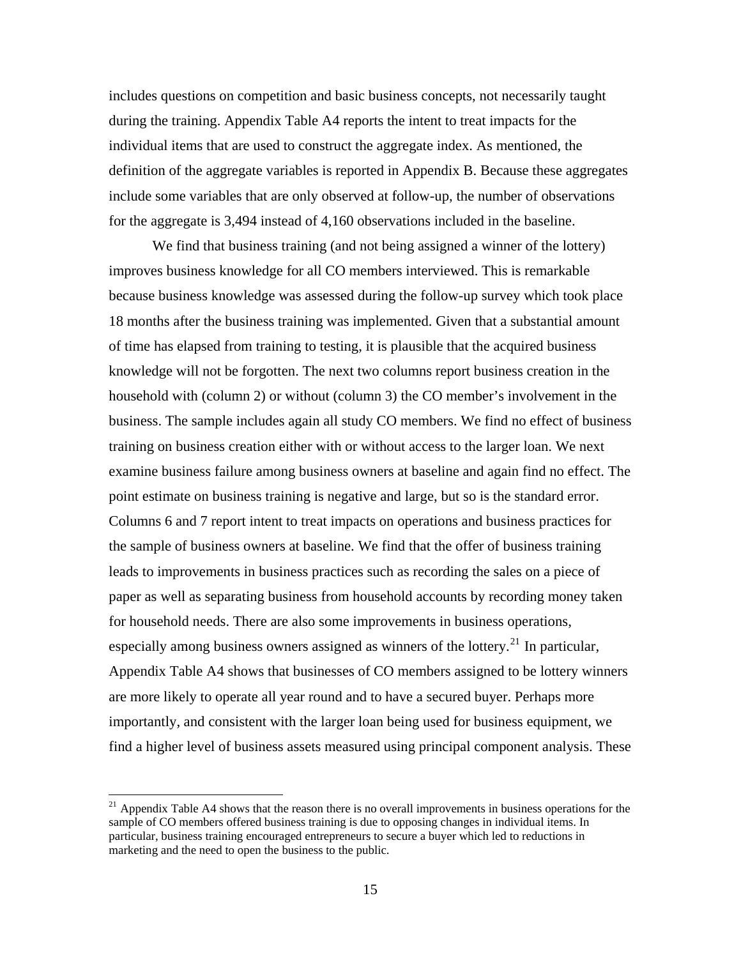includes questions on competition and basic business concepts, not necessarily taught during the training. Appendix Table A4 reports the intent to treat impacts for the individual items that are used to construct the aggregate index. As mentioned, the definition of the aggregate variables is reported in Appendix B. Because these aggregates include some variables that are only observed at follow-up, the number of observations for the aggregate is 3,494 instead of 4,160 observations included in the baseline.

We find that business training (and not being assigned a winner of the lottery) improves business knowledge for all CO members interviewed. This is remarkable because business knowledge was assessed during the follow-up survey which took place 18 months after the business training was implemented. Given that a substantial amount of time has elapsed from training to testing, it is plausible that the acquired business knowledge will not be forgotten. The next two columns report business creation in the household with (column 2) or without (column 3) the CO member's involvement in the business. The sample includes again all study CO members. We find no effect of business training on business creation either with or without access to the larger loan. We next examine business failure among business owners at baseline and again find no effect. The point estimate on business training is negative and large, but so is the standard error. Columns 6 and 7 report intent to treat impacts on operations and business practices for the sample of business owners at baseline. We find that the offer of business training leads to improvements in business practices such as recording the sales on a piece of paper as well as separating business from household accounts by recording money taken for household needs. There are also some improvements in business operations, especially among business owners assigned as winners of the lottery.<sup>[21](#page-15-0)</sup> In particular, Appendix Table A4 shows that businesses of CO members assigned to be lottery winners are more likely to operate all year round and to have a secured buyer. Perhaps more importantly, and consistent with the larger loan being used for business equipment, we find a higher level of business assets measured using principal component analysis. These

 $\overline{a}$ 

<span id="page-15-0"></span> $21$  Appendix Table A4 shows that the reason there is no overall improvements in business operations for the sample of CO members offered business training is due to opposing changes in individual items. In particular, business training encouraged entrepreneurs to secure a buyer which led to reductions in marketing and the need to open the business to the public.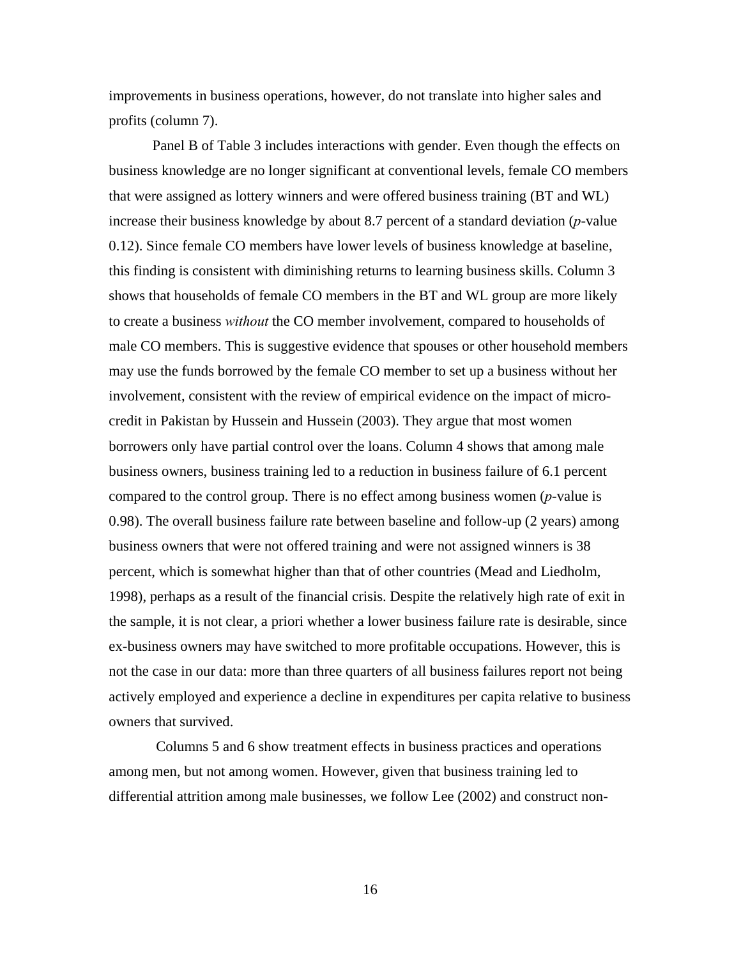improvements in business operations, however, do not translate into higher sales and profits (column 7).

Panel B of Table 3 includes interactions with gender. Even though the effects on business knowledge are no longer significant at conventional levels, female CO members that were assigned as lottery winners and were offered business training (BT and WL) increase their business knowledge by about 8.7 percent of a standard deviation (*p*-value 0.12). Since female CO members have lower levels of business knowledge at baseline, this finding is consistent with diminishing returns to learning business skills. Column 3 shows that households of female CO members in the BT and WL group are more likely to create a business *without* the CO member involvement, compared to households of male CO members. This is suggestive evidence that spouses or other household members may use the funds borrowed by the female CO member to set up a business without her involvement, consistent with the review of empirical evidence on the impact of microcredit in Pakistan by Hussein and Hussein (2003). They argue that most women borrowers only have partial control over the loans. Column 4 shows that among male business owners, business training led to a reduction in business failure of 6.1 percent compared to the control group. There is no effect among business women (*p*-value is 0.98). The overall business failure rate between baseline and follow-up (2 years) among business owners that were not offered training and were not assigned winners is 38 percent, which is somewhat higher than that of other countries (Mead and Liedholm, 1998), perhaps as a result of the financial crisis. Despite the relatively high rate of exit in the sample, it is not clear, a priori whether a lower business failure rate is desirable, since ex-business owners may have switched to more profitable occupations. However, this is not the case in our data: more than three quarters of all business failures report not being actively employed and experience a decline in expenditures per capita relative to business owners that survived.

 Columns 5 and 6 show treatment effects in business practices and operations among men, but not among women. However, given that business training led to differential attrition among male businesses, we follow Lee (2002) and construct non-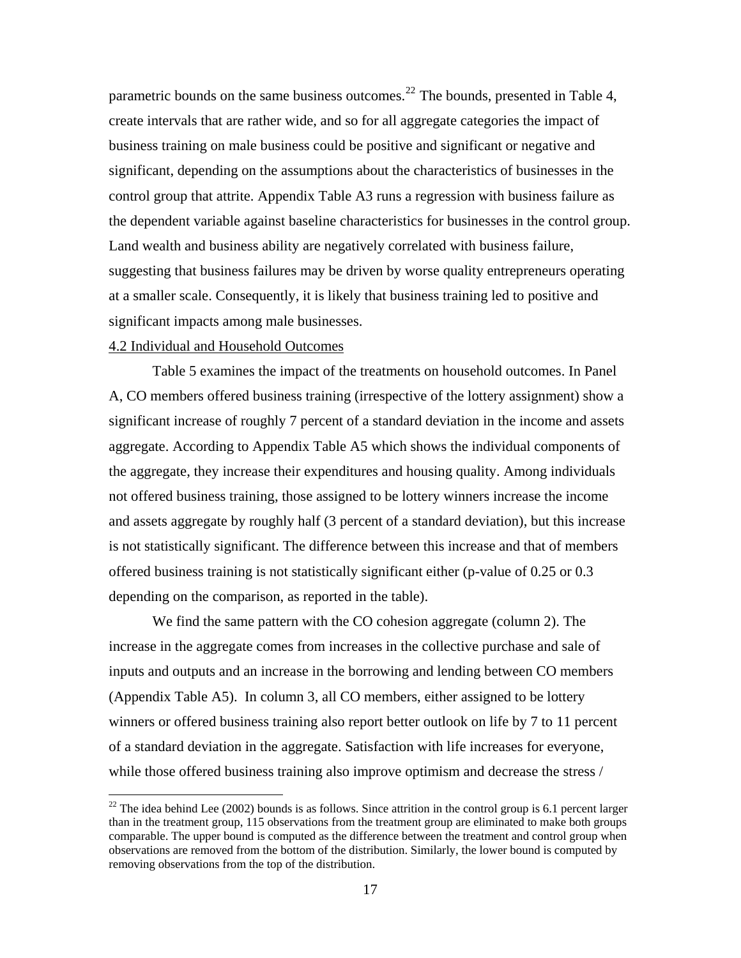parametric bounds on the same business outcomes.<sup>[22](#page-17-0)</sup> The bounds, presented in Table 4, create intervals that are rather wide, and so for all aggregate categories the impact of business training on male business could be positive and significant or negative and significant, depending on the assumptions about the characteristics of businesses in the control group that attrite. Appendix Table A3 runs a regression with business failure as the dependent variable against baseline characteristics for businesses in the control group. Land wealth and business ability are negatively correlated with business failure, suggesting that business failures may be driven by worse quality entrepreneurs operating at a smaller scale. Consequently, it is likely that business training led to positive and significant impacts among male businesses.

## 4.2 Individual and Household Outcomes

 $\overline{a}$ 

Table 5 examines the impact of the treatments on household outcomes. In Panel A, CO members offered business training (irrespective of the lottery assignment) show a significant increase of roughly 7 percent of a standard deviation in the income and assets aggregate. According to Appendix Table A5 which shows the individual components of the aggregate, they increase their expenditures and housing quality. Among individuals not offered business training, those assigned to be lottery winners increase the income and assets aggregate by roughly half (3 percent of a standard deviation), but this increase is not statistically significant. The difference between this increase and that of members offered business training is not statistically significant either (p-value of 0.25 or 0.3 depending on the comparison, as reported in the table).

We find the same pattern with the CO cohesion aggregate (column 2). The increase in the aggregate comes from increases in the collective purchase and sale of inputs and outputs and an increase in the borrowing and lending between CO members (Appendix Table A5). In column 3, all CO members, either assigned to be lottery winners or offered business training also report better outlook on life by 7 to 11 percent of a standard deviation in the aggregate. Satisfaction with life increases for everyone, while those offered business training also improve optimism and decrease the stress /

<span id="page-17-0"></span> $^{22}$  The idea behind Lee (2002) bounds is as follows. Since attrition in the control group is 6.1 percent larger than in the treatment group, 115 observations from the treatment group are eliminated to make both groups comparable. The upper bound is computed as the difference between the treatment and control group when observations are removed from the bottom of the distribution. Similarly, the lower bound is computed by removing observations from the top of the distribution.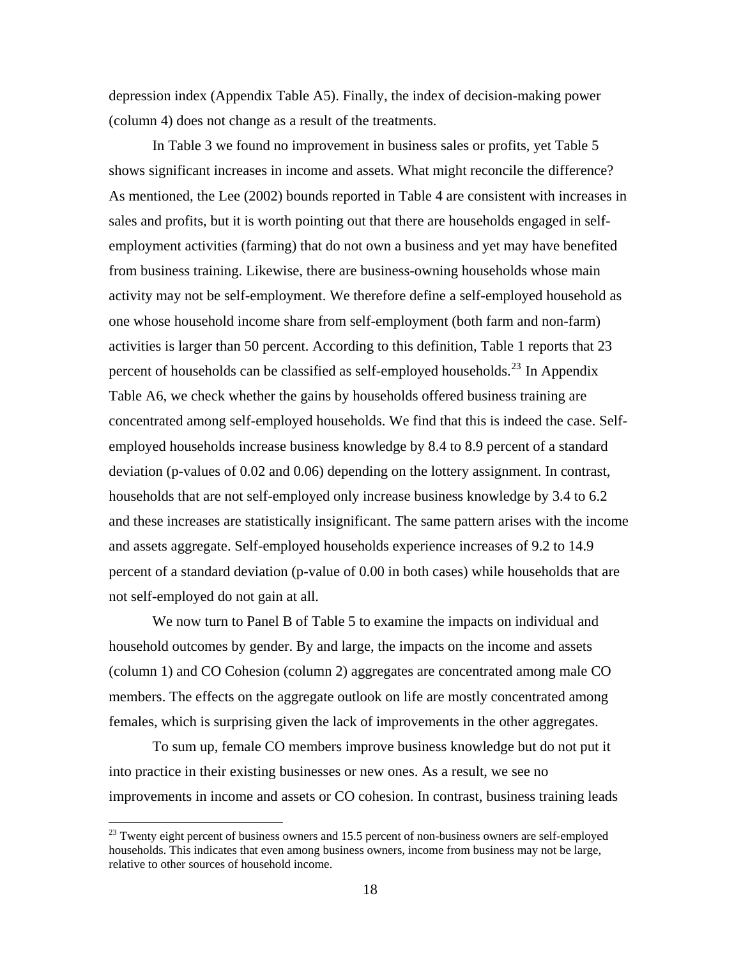depression index (Appendix Table A5). Finally, the index of decision-making power (column 4) does not change as a result of the treatments.

In Table 3 we found no improvement in business sales or profits, yet Table 5 shows significant increases in income and assets. What might reconcile the difference? As mentioned, the Lee (2002) bounds reported in Table 4 are consistent with increases in sales and profits, but it is worth pointing out that there are households engaged in selfemployment activities (farming) that do not own a business and yet may have benefited from business training. Likewise, there are business-owning households whose main activity may not be self-employment. We therefore define a self-employed household as one whose household income share from self-employment (both farm and non-farm) activities is larger than 50 percent. According to this definition, Table 1 reports that 23 percent of households can be classified as self-employed households.<sup>[23](#page-18-0)</sup> In Appendix Table A6, we check whether the gains by households offered business training are concentrated among self-employed households. We find that this is indeed the case. Selfemployed households increase business knowledge by 8.4 to 8.9 percent of a standard deviation (p-values of 0.02 and 0.06) depending on the lottery assignment. In contrast, households that are not self-employed only increase business knowledge by 3.4 to 6.2 and these increases are statistically insignificant. The same pattern arises with the income and assets aggregate. Self-employed households experience increases of 9.2 to 14.9 percent of a standard deviation (p-value of 0.00 in both cases) while households that are not self-employed do not gain at all.

We now turn to Panel B of Table 5 to examine the impacts on individual and household outcomes by gender. By and large, the impacts on the income and assets (column 1) and CO Cohesion (column 2) aggregates are concentrated among male CO members. The effects on the aggregate outlook on life are mostly concentrated among females, which is surprising given the lack of improvements in the other aggregates.

To sum up, female CO members improve business knowledge but do not put it into practice in their existing businesses or new ones. As a result, we see no improvements in income and assets or CO cohesion. In contrast, business training leads

 $\overline{a}$ 

<span id="page-18-0"></span><sup>&</sup>lt;sup>23</sup> Twenty eight percent of business owners and 15.5 percent of non-business owners are self-employed households. This indicates that even among business owners, income from business may not be large, relative to other sources of household income.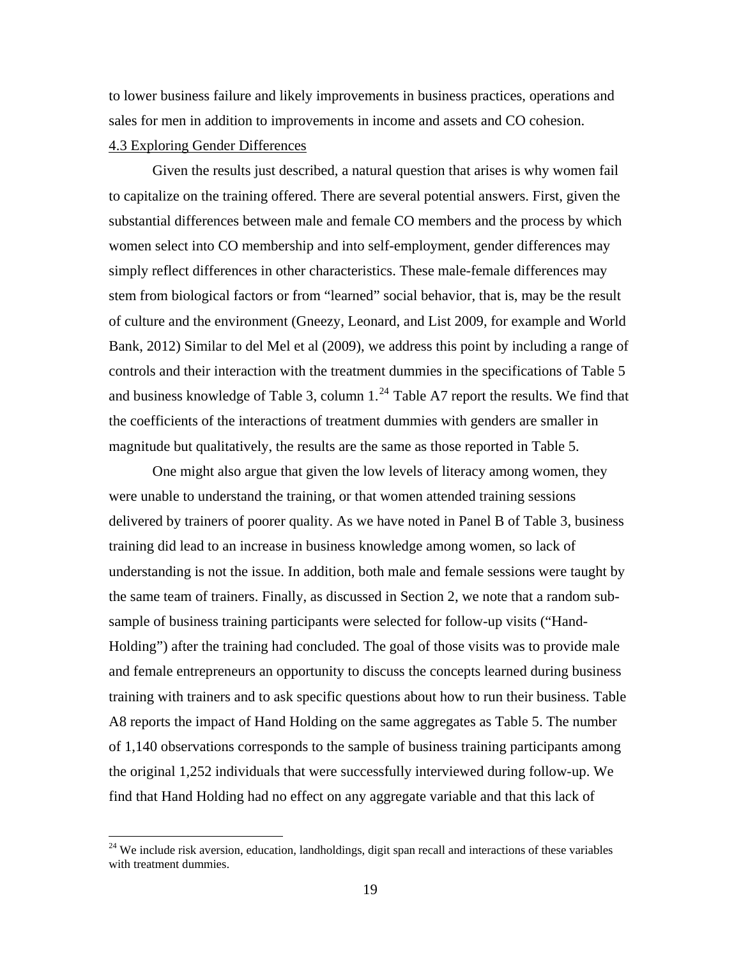to lower business failure and likely improvements in business practices, operations and sales for men in addition to improvements in income and assets and CO cohesion.

## 4.3 Exploring Gender Differences

 $\overline{a}$ 

Given the results just described, a natural question that arises is why women fail to capitalize on the training offered. There are several potential answers. First, given the substantial differences between male and female CO members and the process by which women select into CO membership and into self-employment, gender differences may simply reflect differences in other characteristics. These male-female differences may stem from biological factors or from "learned" social behavior, that is, may be the result of culture and the environment (Gneezy, Leonard, and List 2009, for example and World Bank, 2012) Similar to del Mel et al (2009), we address this point by including a range of controls and their interaction with the treatment dummies in the specifications of Table 5 and business knowledge of Table 3, column  $1.^{24}$  $1.^{24}$  $1.^{24}$  Table A7 report the results. We find that the coefficients of the interactions of treatment dummies with genders are smaller in magnitude but qualitatively, the results are the same as those reported in Table 5.

One might also argue that given the low levels of literacy among women, they were unable to understand the training, or that women attended training sessions delivered by trainers of poorer quality. As we have noted in Panel B of Table 3, business training did lead to an increase in business knowledge among women, so lack of understanding is not the issue. In addition, both male and female sessions were taught by the same team of trainers. Finally, as discussed in Section 2, we note that a random subsample of business training participants were selected for follow-up visits ("Hand-Holding") after the training had concluded. The goal of those visits was to provide male and female entrepreneurs an opportunity to discuss the concepts learned during business training with trainers and to ask specific questions about how to run their business. Table A8 reports the impact of Hand Holding on the same aggregates as Table 5. The number of 1,140 observations corresponds to the sample of business training participants among the original 1,252 individuals that were successfully interviewed during follow-up. We find that Hand Holding had no effect on any aggregate variable and that this lack of

<span id="page-19-0"></span> $24$  We include risk aversion, education, landholdings, digit span recall and interactions of these variables with treatment dummies.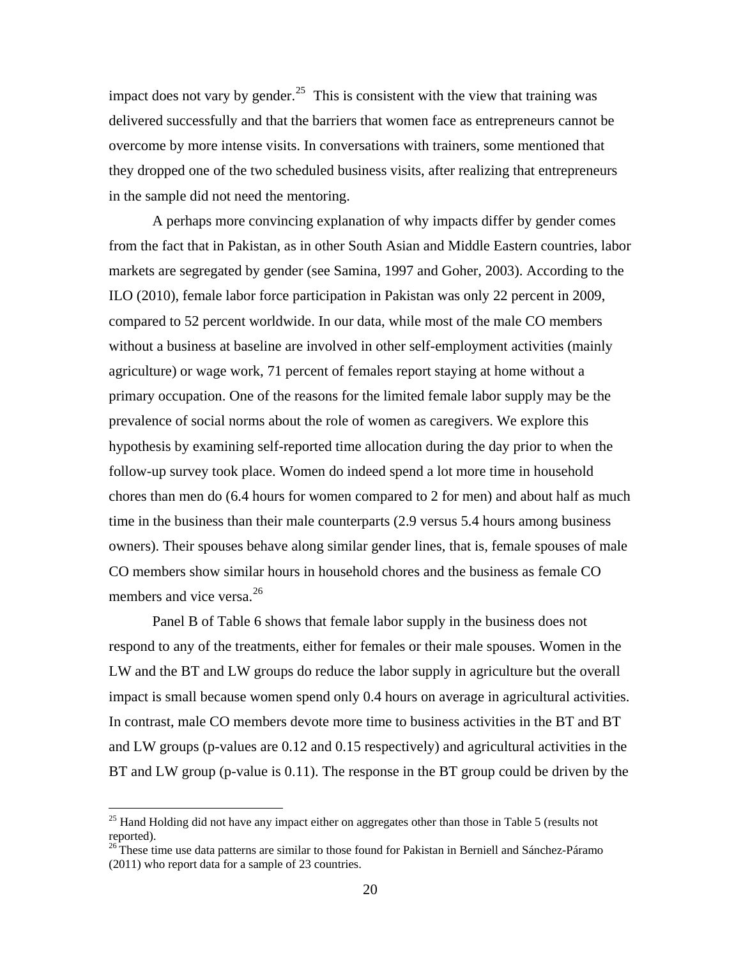impact does not vary by gender.<sup>[25](#page-20-0)</sup> This is consistent with the view that training was delivered successfully and that the barriers that women face as entrepreneurs cannot be overcome by more intense visits. In conversations with trainers, some mentioned that they dropped one of the two scheduled business visits, after realizing that entrepreneurs in the sample did not need the mentoring.

A perhaps more convincing explanation of why impacts differ by gender comes from the fact that in Pakistan, as in other South Asian and Middle Eastern countries, labor markets are segregated by gender (see Samina, 1997 and Goher, 2003). According to the ILO (2010), female labor force participation in Pakistan was only 22 percent in 2009, compared to 52 percent worldwide. In our data, while most of the male CO members without a business at baseline are involved in other self-employment activities (mainly agriculture) or wage work, 71 percent of females report staying at home without a primary occupation. One of the reasons for the limited female labor supply may be the prevalence of social norms about the role of women as caregivers. We explore this hypothesis by examining self-reported time allocation during the day prior to when the follow-up survey took place. Women do indeed spend a lot more time in household chores than men do (6.4 hours for women compared to 2 for men) and about half as much time in the business than their male counterparts (2.9 versus 5.4 hours among business owners). Their spouses behave along similar gender lines, that is, female spouses of male CO members show similar hours in household chores and the business as female CO members and vice versa.<sup>[26](#page-20-1)</sup>

Panel B of Table 6 shows that female labor supply in the business does not respond to any of the treatments, either for females or their male spouses. Women in the LW and the BT and LW groups do reduce the labor supply in agriculture but the overall impact is small because women spend only 0.4 hours on average in agricultural activities. In contrast, male CO members devote more time to business activities in the BT and BT and LW groups (p-values are 0.12 and 0.15 respectively) and agricultural activities in the BT and LW group (p-value is 0.11). The response in the BT group could be driven by the

 $\overline{a}$ 

<span id="page-20-0"></span> $^{25}$  Hand Holding did not have any impact either on aggregates other than those in Table 5 (results not reported).

<span id="page-20-1"></span><sup>&</sup>lt;sup>26</sup> These time use data patterns are similar to those found for Pakistan in Berniell and Sánchez-Páramo (2011) who report data for a sample of 23 countries.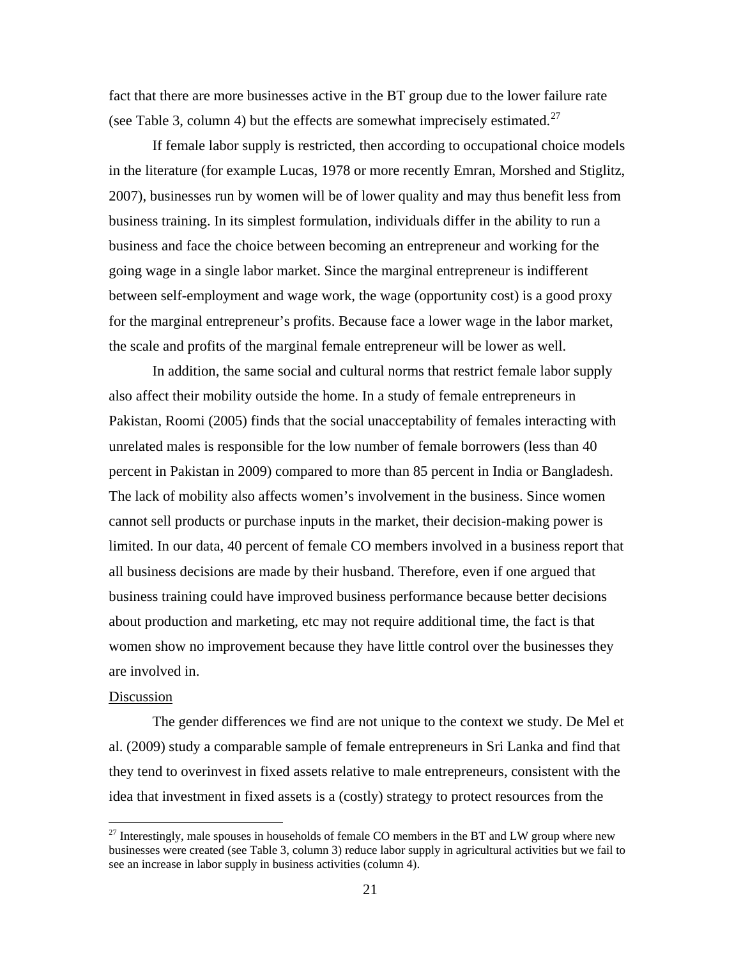fact that there are more businesses active in the BT group due to the lower failure rate (see Table 3, column 4) but the effects are somewhat imprecisely estimated.<sup>[27](#page-21-0)</sup>

If female labor supply is restricted, then according to occupational choice models in the literature (for example Lucas, 1978 or more recently Emran, Morshed and Stiglitz, 2007), businesses run by women will be of lower quality and may thus benefit less from business training. In its simplest formulation, individuals differ in the ability to run a business and face the choice between becoming an entrepreneur and working for the going wage in a single labor market. Since the marginal entrepreneur is indifferent between self-employment and wage work, the wage (opportunity cost) is a good proxy for the marginal entrepreneur's profits. Because face a lower wage in the labor market, the scale and profits of the marginal female entrepreneur will be lower as well.

In addition, the same social and cultural norms that restrict female labor supply also affect their mobility outside the home. In a study of female entrepreneurs in Pakistan, Roomi (2005) finds that the social unacceptability of females interacting with unrelated males is responsible for the low number of female borrowers (less than 40 percent in Pakistan in 2009) compared to more than 85 percent in India or Bangladesh. The lack of mobility also affects women's involvement in the business. Since women cannot sell products or purchase inputs in the market, their decision-making power is limited. In our data, 40 percent of female CO members involved in a business report that all business decisions are made by their husband. Therefore, even if one argued that business training could have improved business performance because better decisions about production and marketing, etc may not require additional time, the fact is that women show no improvement because they have little control over the businesses they are involved in.

## Discussion

 $\overline{a}$ 

The gender differences we find are not unique to the context we study. De Mel et al. (2009) study a comparable sample of female entrepreneurs in Sri Lanka and find that they tend to overinvest in fixed assets relative to male entrepreneurs, consistent with the idea that investment in fixed assets is a (costly) strategy to protect resources from the

<span id="page-21-0"></span> $27$  Interestingly, male spouses in households of female CO members in the BT and LW group where new businesses were created (see Table 3, column 3) reduce labor supply in agricultural activities but we fail to see an increase in labor supply in business activities (column 4).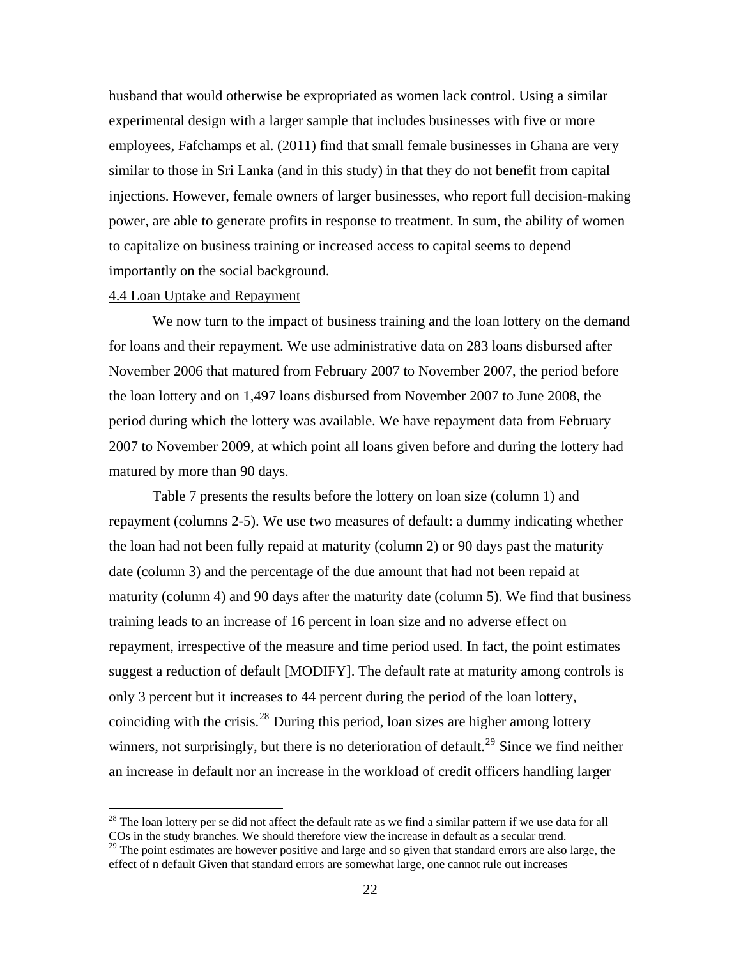husband that would otherwise be expropriated as women lack control. Using a similar experimental design with a larger sample that includes businesses with five or more employees, Fafchamps et al. (2011) find that small female businesses in Ghana are very similar to those in Sri Lanka (and in this study) in that they do not benefit from capital injections. However, female owners of larger businesses, who report full decision-making power, are able to generate profits in response to treatment. In sum, the ability of women to capitalize on business training or increased access to capital seems to depend importantly on the social background.

#### 4.4 Loan Uptake and Repayment

 $\overline{a}$ 

We now turn to the impact of business training and the loan lottery on the demand for loans and their repayment. We use administrative data on 283 loans disbursed after November 2006 that matured from February 2007 to November 2007, the period before the loan lottery and on 1,497 loans disbursed from November 2007 to June 2008, the period during which the lottery was available. We have repayment data from February 2007 to November 2009, at which point all loans given before and during the lottery had matured by more than 90 days.

Table 7 presents the results before the lottery on loan size (column 1) and repayment (columns 2-5). We use two measures of default: a dummy indicating whether the loan had not been fully repaid at maturity (column 2) or 90 days past the maturity date (column 3) and the percentage of the due amount that had not been repaid at maturity (column 4) and 90 days after the maturity date (column 5). We find that business training leads to an increase of 16 percent in loan size and no adverse effect on repayment, irrespective of the measure and time period used. In fact, the point estimates suggest a reduction of default [MODIFY]. The default rate at maturity among controls is only 3 percent but it increases to 44 percent during the period of the loan lottery, coinciding with the crisis.<sup>[28](#page-22-0)</sup> During this period, loan sizes are higher among lottery winners, not surprisingly, but there is no deterioration of default.<sup>[29](#page-22-1)</sup> Since we find neither an increase in default nor an increase in the workload of credit officers handling larger

<span id="page-22-0"></span> $^{28}$  The loan lottery per se did not affect the default rate as we find a similar pattern if we use data for all COs in the study branches. We should therefore view the increase in default as a secular trend.

<span id="page-22-1"></span><sup>&</sup>lt;sup>29</sup> The point estimates are however positive and large and so given that standard errors are also large, the effect of n default Given that standard errors are somewhat large, one cannot rule out increases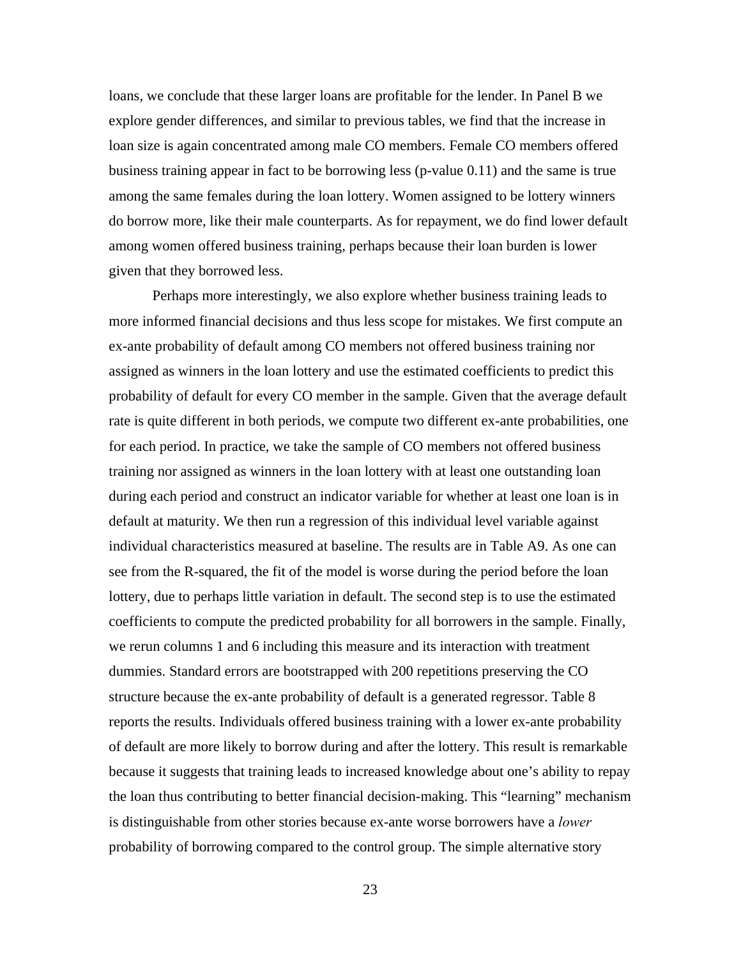loans, we conclude that these larger loans are profitable for the lender. In Panel B we explore gender differences, and similar to previous tables, we find that the increase in loan size is again concentrated among male CO members. Female CO members offered business training appear in fact to be borrowing less (p-value 0.11) and the same is true among the same females during the loan lottery. Women assigned to be lottery winners do borrow more, like their male counterparts. As for repayment, we do find lower default among women offered business training, perhaps because their loan burden is lower given that they borrowed less.

Perhaps more interestingly, we also explore whether business training leads to more informed financial decisions and thus less scope for mistakes. We first compute an ex-ante probability of default among CO members not offered business training nor assigned as winners in the loan lottery and use the estimated coefficients to predict this probability of default for every CO member in the sample. Given that the average default rate is quite different in both periods, we compute two different ex-ante probabilities, one for each period. In practice, we take the sample of CO members not offered business training nor assigned as winners in the loan lottery with at least one outstanding loan during each period and construct an indicator variable for whether at least one loan is in default at maturity. We then run a regression of this individual level variable against individual characteristics measured at baseline. The results are in Table A9. As one can see from the R-squared, the fit of the model is worse during the period before the loan lottery, due to perhaps little variation in default. The second step is to use the estimated coefficients to compute the predicted probability for all borrowers in the sample. Finally, we rerun columns 1 and 6 including this measure and its interaction with treatment dummies. Standard errors are bootstrapped with 200 repetitions preserving the CO structure because the ex-ante probability of default is a generated regressor. Table 8 reports the results. Individuals offered business training with a lower ex-ante probability of default are more likely to borrow during and after the lottery. This result is remarkable because it suggests that training leads to increased knowledge about one's ability to repay the loan thus contributing to better financial decision-making. This "learning" mechanism is distinguishable from other stories because ex-ante worse borrowers have a *lower*  probability of borrowing compared to the control group. The simple alternative story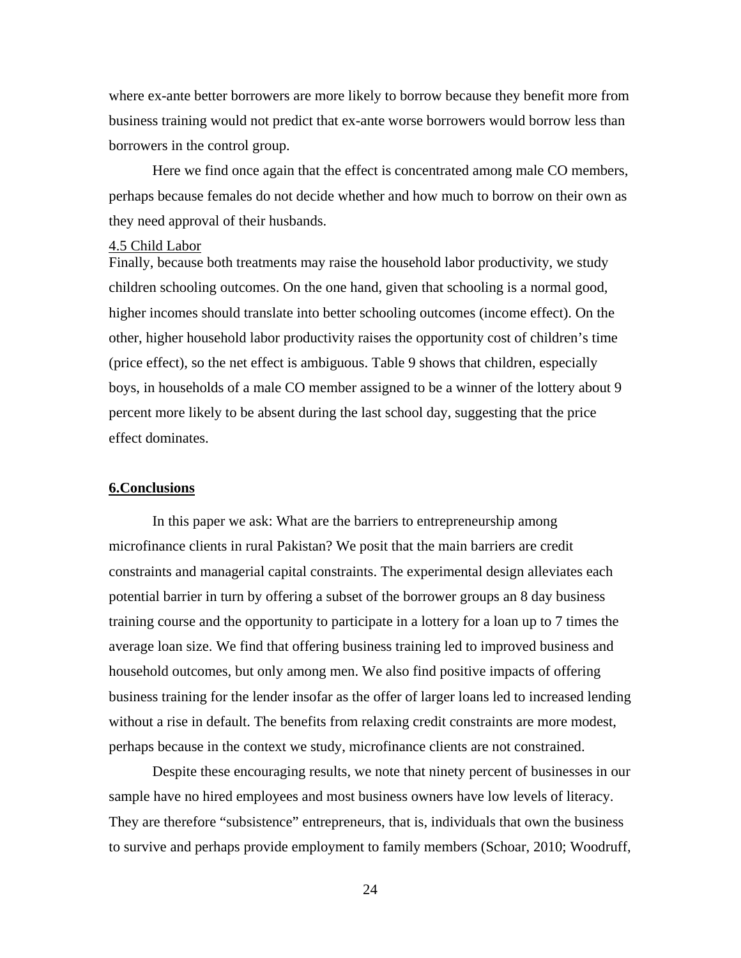where ex-ante better borrowers are more likely to borrow because they benefit more from business training would not predict that ex-ante worse borrowers would borrow less than borrowers in the control group.

Here we find once again that the effect is concentrated among male CO members, perhaps because females do not decide whether and how much to borrow on their own as they need approval of their husbands.

#### 4.5 Child Labor

Finally, because both treatments may raise the household labor productivity, we study children schooling outcomes. On the one hand, given that schooling is a normal good, higher incomes should translate into better schooling outcomes (income effect). On the other, higher household labor productivity raises the opportunity cost of children's time (price effect), so the net effect is ambiguous. Table 9 shows that children, especially boys, in households of a male CO member assigned to be a winner of the lottery about 9 percent more likely to be absent during the last school day, suggesting that the price effect dominates.

#### **6.Conclusions**

In this paper we ask: What are the barriers to entrepreneurship among microfinance clients in rural Pakistan? We posit that the main barriers are credit constraints and managerial capital constraints. The experimental design alleviates each potential barrier in turn by offering a subset of the borrower groups an 8 day business training course and the opportunity to participate in a lottery for a loan up to 7 times the average loan size. We find that offering business training led to improved business and household outcomes, but only among men. We also find positive impacts of offering business training for the lender insofar as the offer of larger loans led to increased lending without a rise in default. The benefits from relaxing credit constraints are more modest, perhaps because in the context we study, microfinance clients are not constrained.

Despite these encouraging results, we note that ninety percent of businesses in our sample have no hired employees and most business owners have low levels of literacy. They are therefore "subsistence" entrepreneurs, that is, individuals that own the business to survive and perhaps provide employment to family members (Schoar, 2010; Woodruff,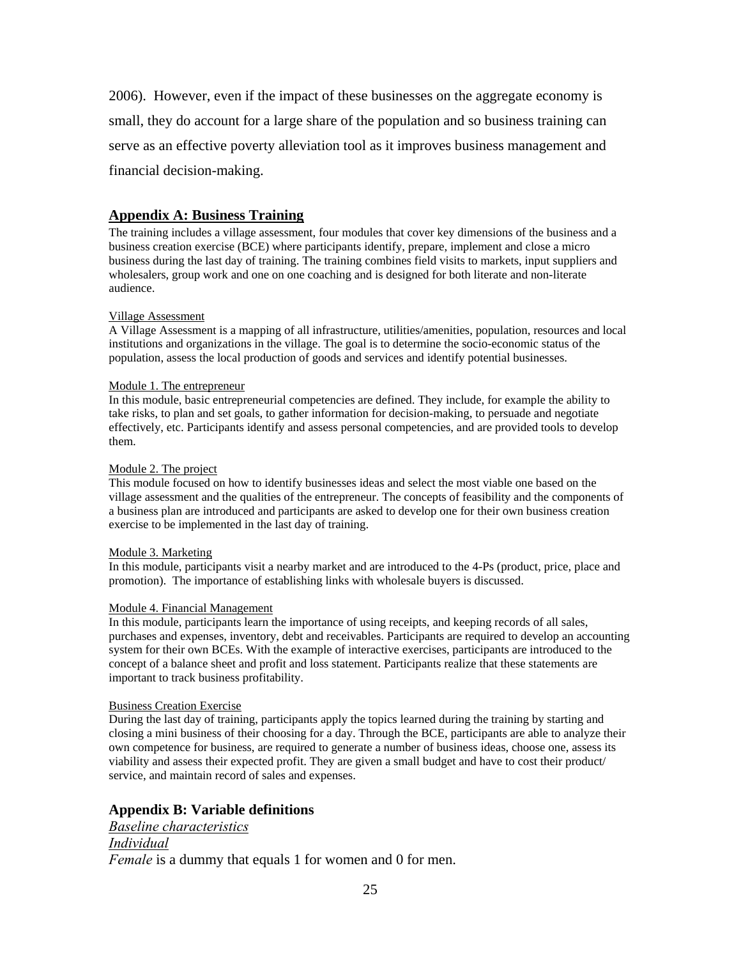2006). However, even if the impact of these businesses on the aggregate economy is small, they do account for a large share of the population and so business training can serve as an effective poverty alleviation tool as it improves business management and financial decision-making.

## **Appendix A: Business Training**

The training includes a village assessment, four modules that cover key dimensions of the business and a business creation exercise (BCE) where participants identify, prepare, implement and close a micro business during the last day of training. The training combines field visits to markets, input suppliers and wholesalers, group work and one on one coaching and is designed for both literate and non-literate audience.

#### Village Assessment

A Village Assessment is a mapping of all infrastructure, utilities/amenities, population, resources and local institutions and organizations in the village. The goal is to determine the socio-economic status of the population, assess the local production of goods and services and identify potential businesses.

#### Module 1. The entrepreneur

In this module, basic entrepreneurial competencies are defined. They include, for example the ability to take risks, to plan and set goals, to gather information for decision-making, to persuade and negotiate effectively, etc. Participants identify and assess personal competencies, and are provided tools to develop them.

#### Module 2. The project

This module focused on how to identify businesses ideas and select the most viable one based on the village assessment and the qualities of the entrepreneur. The concepts of feasibility and the components of a business plan are introduced and participants are asked to develop one for their own business creation exercise to be implemented in the last day of training.

#### Module 3. Marketing

In this module, participants visit a nearby market and are introduced to the 4-Ps (product, price, place and promotion). The importance of establishing links with wholesale buyers is discussed.

#### Module 4. Financial Management

In this module, participants learn the importance of using receipts, and keeping records of all sales, purchases and expenses, inventory, debt and receivables. Participants are required to develop an accounting system for their own BCEs. With the example of interactive exercises, participants are introduced to the concept of a balance sheet and profit and loss statement. Participants realize that these statements are important to track business profitability.

#### Business Creation Exercise

During the last day of training, participants apply the topics learned during the training by starting and closing a mini business of their choosing for a day. Through the BCE, participants are able to analyze their own competence for business, are required to generate a number of business ideas, choose one, assess its viability and assess their expected profit. They are given a small budget and have to cost their product/ service, and maintain record of sales and expenses.

## **Appendix B: Variable definitions**

*Baseline characteristics*

*Individual Female* is a dummy that equals 1 for women and 0 for men.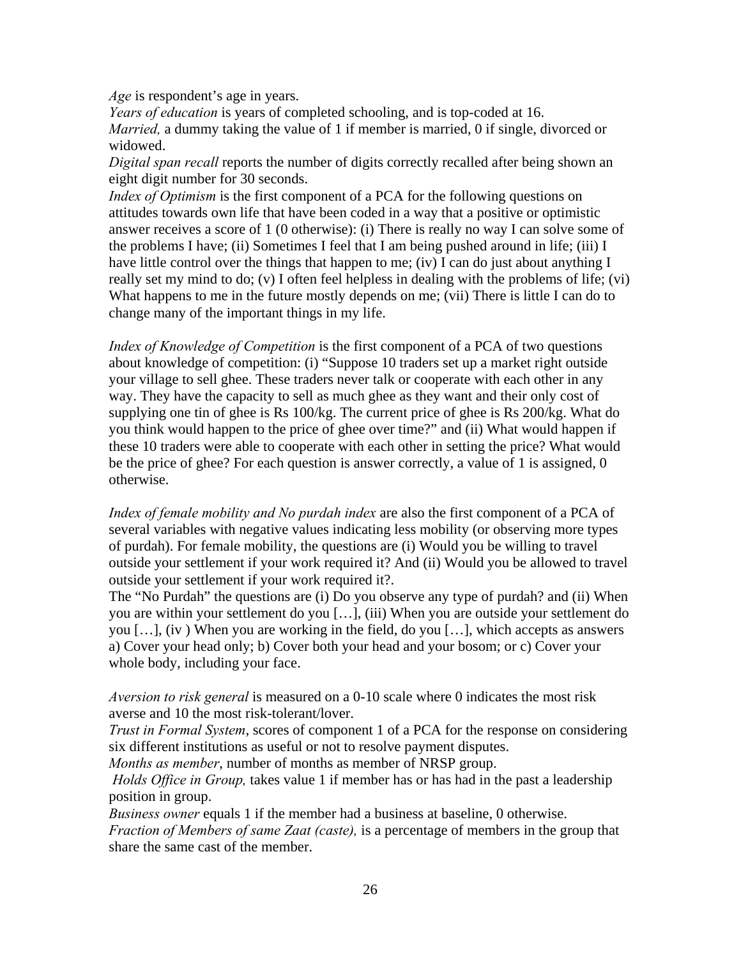*Age* is respondent's age in years.

*Years of education* is years of completed schooling, and is top-coded at 16. *Married,* a dummy taking the value of 1 if member is married, 0 if single, divorced or widowed.

*Digital span recall* reports the number of digits correctly recalled after being shown an eight digit number for 30 seconds.

*Index of Optimism* is the first component of a PCA for the following questions on attitudes towards own life that have been coded in a way that a positive or optimistic answer receives a score of 1 (0 otherwise): (i) There is really no way I can solve some of the problems I have; (ii) Sometimes I feel that I am being pushed around in life; (iii) I have little control over the things that happen to me; (iv) I can do just about anything I really set my mind to do; (v) I often feel helpless in dealing with the problems of life; (vi) What happens to me in the future mostly depends on me; (vii) There is little I can do to change many of the important things in my life.

*Index of Knowledge of Competition* is the first component of a PCA of two questions about knowledge of competition: (i) "Suppose 10 traders set up a market right outside your village to sell ghee. These traders never talk or cooperate with each other in any way. They have the capacity to sell as much ghee as they want and their only cost of supplying one tin of ghee is Rs 100/kg. The current price of ghee is Rs 200/kg. What do you think would happen to the price of ghee over time?" and (ii) What would happen if these 10 traders were able to cooperate with each other in setting the price? What would be the price of ghee? For each question is answer correctly, a value of 1 is assigned, 0 otherwise.

*Index of female mobility and No purdah index* are also the first component of a PCA of several variables with negative values indicating less mobility (or observing more types of purdah). For female mobility, the questions are (i) Would you be willing to travel outside your settlement if your work required it? And (ii) Would you be allowed to travel outside your settlement if your work required it?.

The "No Purdah" the questions are (i) Do you observe any type of purdah? and (ii) When you are within your settlement do you […], (iii) When you are outside your settlement do you […], (iv ) When you are working in the field, do you […], which accepts as answers a) Cover your head only; b) Cover both your head and your bosom; or c) Cover your whole body, including your face.

*Aversion to risk general* is measured on a 0-10 scale where 0 indicates the most risk averse and 10 the most risk-tolerant/lover.

*Trust in Formal System*, scores of component 1 of a PCA for the response on considering six different institutions as useful or not to resolve payment disputes.

*Months as member*, number of months as member of NRSP group.

*Holds Office in Group*, takes value 1 if member has or has had in the past a leadership position in group.

*Business owner* equals 1 if the member had a business at baseline, 0 otherwise. *Fraction of Members of same Zaat (caste),* is a percentage of members in the group that share the same cast of the member.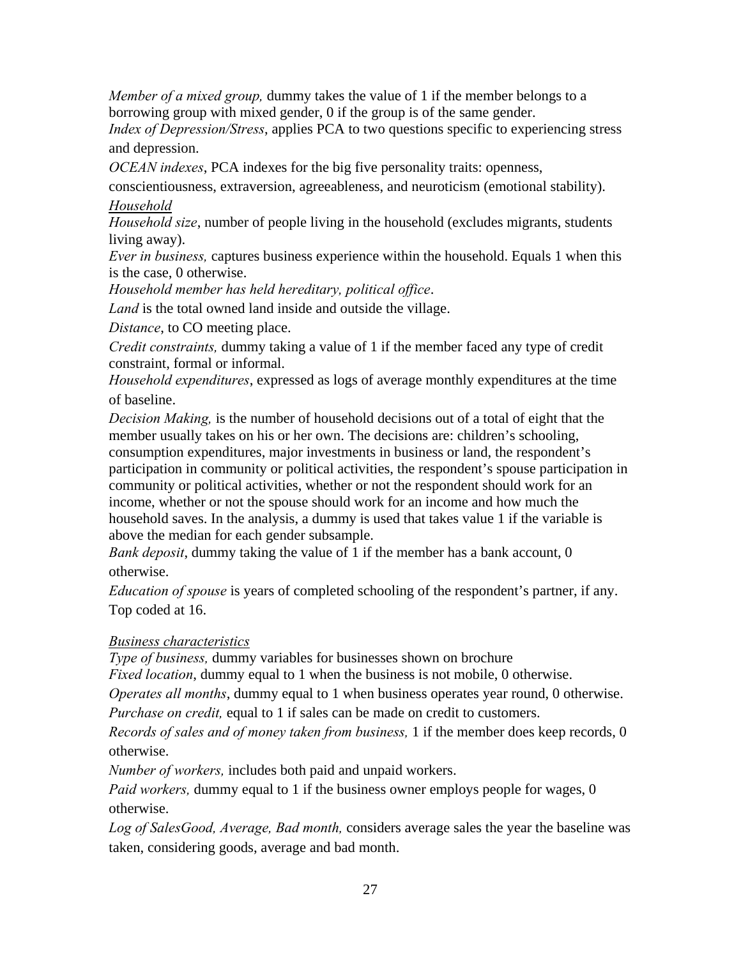*Member of a mixed group,* dummy takes the value of 1 if the member belongs to a borrowing group with mixed gender, 0 if the group is of the same gender.

*Index of Depression/Stress*, applies PCA to two questions specific to experiencing stress and depression.

*OCEAN indexes*, PCA indexes for the big five personality traits: openness,

conscientiousness, extraversion, agreeableness, and neuroticism (emotional stability).

*Household*

*Household size*, number of people living in the household (excludes migrants, students living away).

*Ever in business,* captures business experience within the household. Equals 1 when this is the case, 0 otherwise.

*Household member has held hereditary, political office*.

Land is the total owned land inside and outside the village.

*Distance*, to CO meeting place.

*Credit constraints,* dummy taking a value of 1 if the member faced any type of credit constraint, formal or informal.

*Household expenditures*, expressed as logs of average monthly expenditures at the time of baseline.

*Decision Making,* is the number of household decisions out of a total of eight that the member usually takes on his or her own. The decisions are: children's schooling, consumption expenditures, major investments in business or land, the respondent's participation in community or political activities, the respondent's spouse participation in community or political activities, whether or not the respondent should work for an income, whether or not the spouse should work for an income and how much the household saves. In the analysis, a dummy is used that takes value 1 if the variable is above the median for each gender subsample.

*Bank deposit*, dummy taking the value of 1 if the member has a bank account, 0 otherwise.

*Education of spouse* is years of completed schooling of the respondent's partner, if any. Top coded at 16.

# *Business characteristics*

*Type of business,* dummy variables for businesses shown on brochure

*Fixed location*, dummy equal to 1 when the business is not mobile, 0 otherwise.

*Operates all months*, dummy equal to 1 when business operates year round, 0 otherwise.

*Purchase on credit,* equal to 1 if sales can be made on credit to customers.

*Records of sales and of money taken from business,* 1 if the member does keep records, 0 otherwise.

*Number of workers,* includes both paid and unpaid workers.

*Paid workers, dummy equal to 1 if the business owner employs people for wages, 0* otherwise.

*Log of SalesGood, Average, Bad month,* considers average sales the year the baseline was taken, considering goods, average and bad month.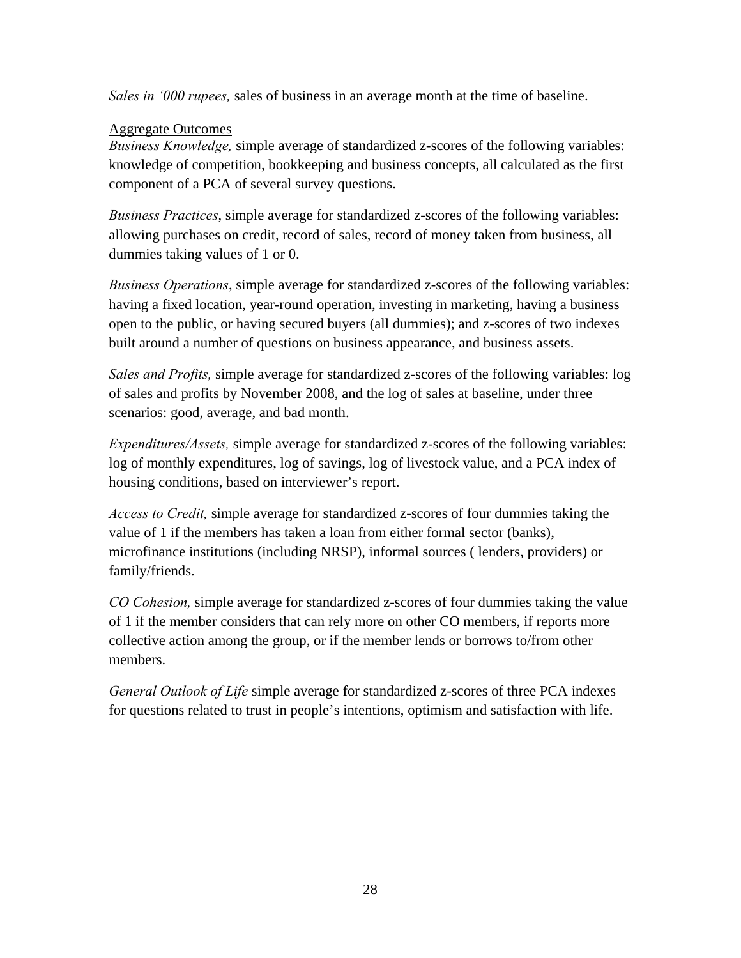*Sales in '000 rupees,* sales of business in an average month at the time of baseline.

## Aggregate Outcomes

*Business Knowledge,* simple average of standardized z-scores of the following variables: knowledge of competition, bookkeeping and business concepts, all calculated as the first component of a PCA of several survey questions.

*Business Practices*, simple average for standardized z-scores of the following variables: allowing purchases on credit, record of sales, record of money taken from business, all dummies taking values of 1 or 0.

*Business Operations*, simple average for standardized z-scores of the following variables: having a fixed location, year-round operation, investing in marketing, having a business open to the public, or having secured buyers (all dummies); and z-scores of two indexes built around a number of questions on business appearance, and business assets.

*Sales and Profits,* simple average for standardized z-scores of the following variables: log of sales and profits by November 2008, and the log of sales at baseline, under three scenarios: good, average, and bad month.

*Expenditures/Assets,* simple average for standardized z-scores of the following variables: log of monthly expenditures, log of savings, log of livestock value, and a PCA index of housing conditions, based on interviewer's report.

*Access to Credit,* simple average for standardized z-scores of four dummies taking the value of 1 if the members has taken a loan from either formal sector (banks), microfinance institutions (including NRSP), informal sources ( lenders, providers) or family/friends.

*CO Cohesion,* simple average for standardized z-scores of four dummies taking the value of 1 if the member considers that can rely more on other CO members, if reports more collective action among the group, or if the member lends or borrows to/from other members.

*General Outlook of Life* simple average for standardized z-scores of three PCA indexes for questions related to trust in people's intentions, optimism and satisfaction with life.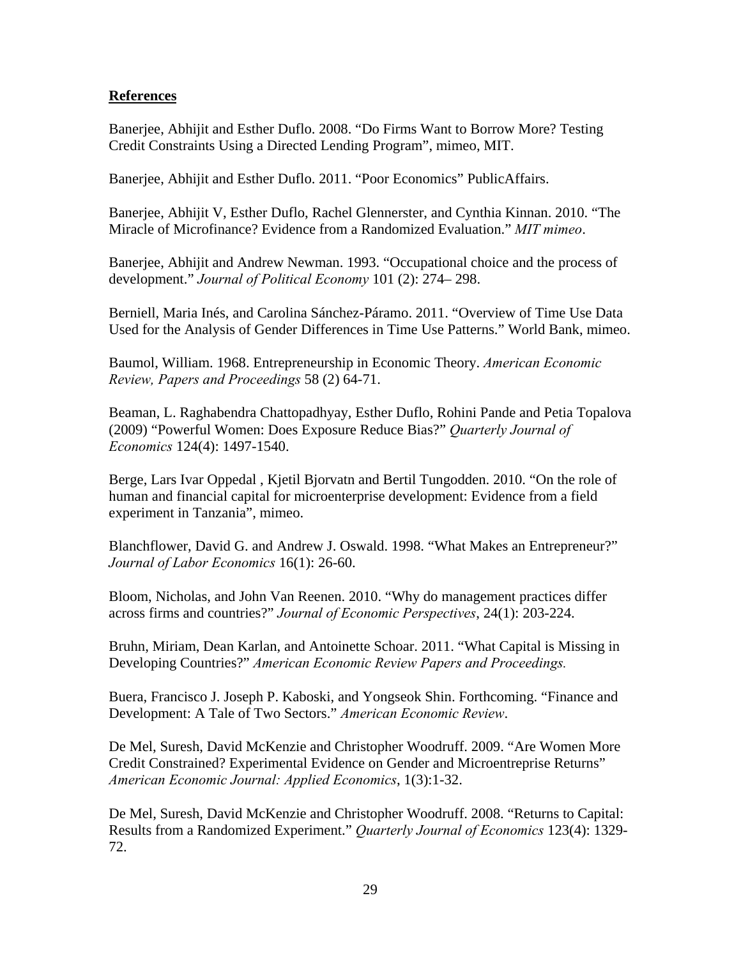## **References**

Banerjee, Abhijit and Esther Duflo. 2008. "Do Firms Want to Borrow More? Testing Credit Constraints Using a Directed Lending Program", mimeo, MIT.

Banerjee, Abhijit and Esther Duflo. 2011. "Poor Economics" PublicAffairs.

Banerjee, Abhijit V, Esther Duflo, Rachel Glennerster, and Cynthia Kinnan. 2010. "The Miracle of Microfinance? Evidence from a Randomized Evaluation." *MIT mimeo*.

Banerjee, Abhijit and Andrew Newman. 1993. "Occupational choice and the process of development." *Journal of Political Economy* 101 (2): 274– 298.

Berniell, Maria Inés, and Carolina Sánchez-Páramo. 2011. "Overview of Time Use Data Used for the Analysis of Gender Differences in Time Use Patterns." World Bank, mimeo.

Baumol, William. 1968. Entrepreneurship in Economic Theory. *American Economic Review, Papers and Proceedings* 58 (2) 64-71.

Beaman, L. Raghabendra Chattopadhyay, Esther Duflo, Rohini Pande and Petia Topalova (2009) "Powerful Women: Does Exposure Reduce Bias?" *Quarterly Journal of Economics* 124(4): 1497-1540.

Berge, Lars Ivar Oppedal , Kjetil Bjorvatn and Bertil Tungodden. 2010. "On the role of human and financial capital for microenterprise development: Evidence from a field experiment in Tanzania", mimeo.

Blanchflower, David G. and Andrew J. Oswald. 1998. "What Makes an Entrepreneur?" *Journal of Labor Economics* 16(1): 26-60.

Bloom, Nicholas, and John Van Reenen. 2010. "Why do management practices differ across firms and countries?" *Journal of Economic Perspectives*, 24(1): 203-224.

Bruhn, Miriam, Dean Karlan, and Antoinette Schoar. 2011. "What Capital is Missing in Developing Countries?" *American Economic Review Papers and Proceedings.*

Buera, Francisco J. Joseph P. Kaboski, and Yongseok Shin. Forthcoming. "Finance and Development: A Tale of Two Sectors." *American Economic Review*.

De Mel, Suresh, David McKenzie and Christopher Woodruff. 2009. "Are Women More Credit Constrained? Experimental Evidence on Gender and Microentreprise Returns" *American Economic Journal: Applied Economics*, 1(3):1-32.

De Mel, Suresh, David McKenzie and Christopher Woodruff. 2008. "Returns to Capital: Results from a Randomized Experiment." *Quarterly Journal of Economics* 123(4): 1329- 72.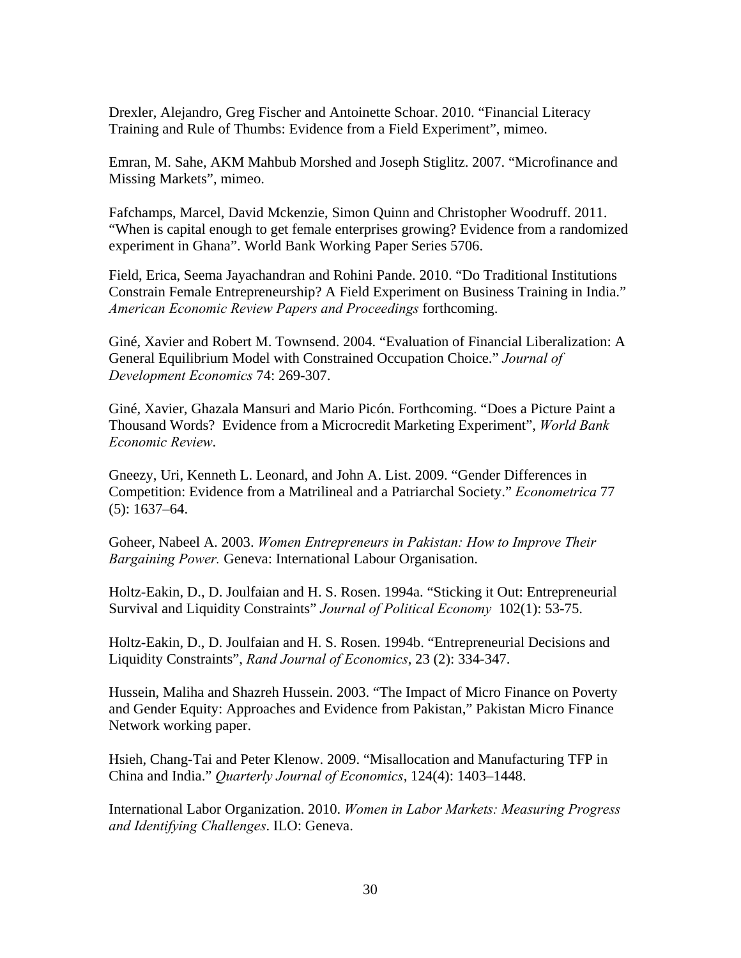Drexler, Alejandro, Greg Fischer and Antoinette Schoar. 2010. "Financial Literacy Training and Rule of Thumbs: Evidence from a Field Experiment", mimeo.

Emran, M. Sahe, AKM Mahbub Morshed and Joseph Stiglitz. 2007. "Microfinance and Missing Markets", mimeo.

Fafchamps, Marcel, David Mckenzie, Simon Quinn and Christopher Woodruff. 2011. ["When is capital enough to get female enterprises growing? Evidence from a randomized](http://econ.worldbank.org/external/default/main?pagePK=64165259&theSitePK=469372&piPK=64165421&menuPK=64166093&entityID=000158349_20110623170731)  [experiment in Ghana"](http://econ.worldbank.org/external/default/main?pagePK=64165259&theSitePK=469372&piPK=64165421&menuPK=64166093&entityID=000158349_20110623170731). World Bank Working Paper Series 5706.

Field, Erica, Seema Jayachandran and Rohini Pande. 2010. "Do Traditional Institutions Constrain Female Entrepreneurship? A Field Experiment on Business Training in India." *American Economic Review Papers and Proceedings* forthcoming.

Giné, Xavier and Robert M. Townsend. 2004. "[Evaluation of Financial Liberalization: A](http://www.src.uchicago.edu/users/robt/pdfs/JDE_Evaluation_2004.pdf)  [General Equilibrium Model with Constrained Occupation Choice.](http://www.src.uchicago.edu/users/robt/pdfs/JDE_Evaluation_2004.pdf)" *Journal of Development Economics* 74: 269-307.

Giné, Xavier, Ghazala Mansuri and Mario Picón. Forthcoming. "Does a Picture Paint a Thousand Words? Evidence from a Microcredit Marketing Experiment", *World Bank Economic Review*.

Gneezy, Uri, Kenneth L. Leonard, and John A. List. 2009. "Gender Differences in Competition: Evidence from a Matrilineal and a Patriarchal Society." *Econometrica* 77 (5): 1637–64.

Goheer, Nabeel A. 2003. *Women Entrepreneurs in Pakistan: How to Improve Their Bargaining Power.* Geneva: International Labour Organisation.

Holtz-Eakin, D., D. Joulfaian and H. S. Rosen. 1994a. "Sticking it Out: Entrepreneurial Survival and Liquidity Constraints" *Journal of Political Economy* 102(1): 53-75.

Holtz-Eakin, D., D. Joulfaian and H. S. Rosen. 1994b. "Entrepreneurial Decisions and Liquidity Constraints", *Rand Journal of Economics*, 23 (2): 334-347.

Hussein, Maliha and Shazreh Hussein. 2003. "The Impact of Micro Finance on Poverty and Gender Equity: Approaches and Evidence from Pakistan," Pakistan Micro Finance Network working paper.

Hsieh, Chang-Tai and Peter Klenow. 2009. "Misallocation and Manufacturing TFP in China and India." *Quarterly Journal of Economics*, 124(4): 1403–1448.

International Labor Organization. 2010. *Women in Labor Markets: Measuring Progress and Identifying Challenges*. ILO: Geneva.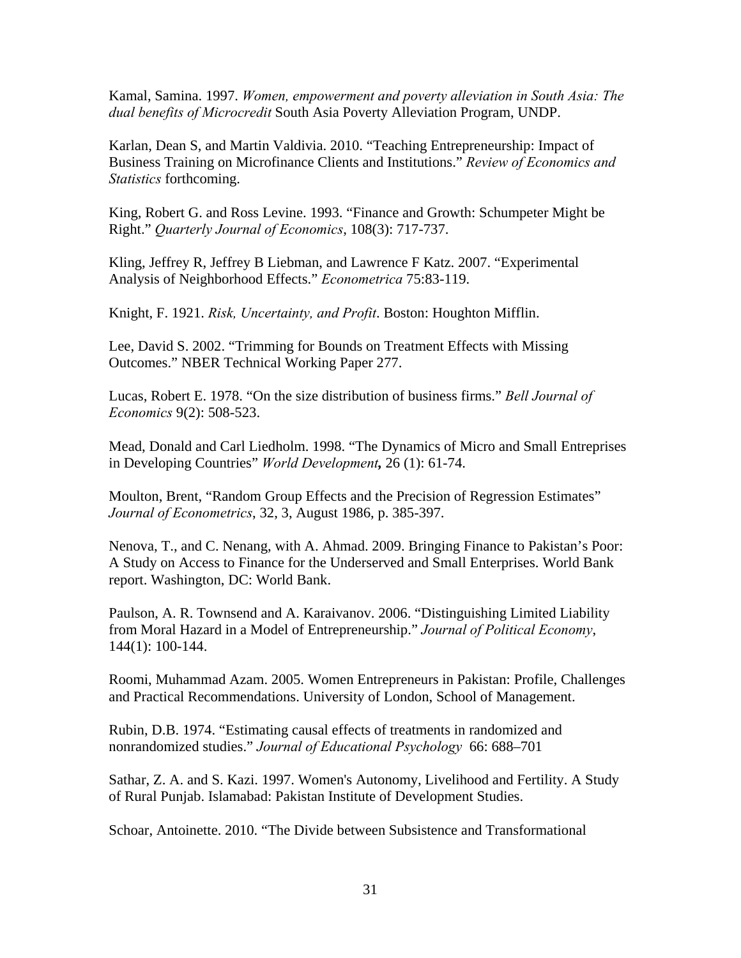Kamal, Samina. 1997. *Women, empowerment and poverty alleviation in South Asia: The dual benefits of Microcredit* South Asia Poverty Alleviation Program, UNDP.

Karlan, Dean S, and Martin Valdivia. 2010. "Teaching Entrepreneurship: Impact of Business Training on Microfinance Clients and Institutions." *Review of Economics and Statistics* forthcoming.

King, Robert G. and Ross Levine. 1993. "Finance and Growth: Schumpeter Might be Right." *Quarterly Journal of Economics*, 108(3): 717-737.

Kling, Jeffrey R, Jeffrey B Liebman, and Lawrence F Katz. 2007. "Experimental Analysis of Neighborhood Effects." *Econometrica* 75:83-119.

Knight, F. 1921. *Risk, Uncertainty, and Profit*. Boston: Houghton Mifflin.

Lee, David S. 2002. "Trimming for Bounds on Treatment Effects with Missing Outcomes." NBER Technical Working Paper 277.

Lucas, Robert E. 1978. "On the size distribution of business firms." *Bell Journal of Economics* 9(2): 508-523.

Mead, Donald and Carl Liedholm. 1998. "The Dynamics of Micro and Small Entreprises in Developing Countries" *World Development,* 26 (1): 61-74.

Moulton, Brent, "Random Group Effects and the Precision of Regression Estimates" *Journal of Econometrics*, 32, 3, August 1986, p. 385-397.

Nenova, T., and C. Nenang, with A. Ahmad. 2009. Bringing Finance to Pakistan's Poor: A Study on Access to Finance for the Underserved and Small Enterprises. World Bank report. Washington, DC: World Bank.

Paulson, A. R. Townsend and A. Karaivanov. 2006. "Distinguishing Limited Liability from Moral Hazard in a Model of Entrepreneurship." *Journal of Political Economy*, 144(1): 100-144.

Roomi, Muhammad Azam. 2005. Women Entrepreneurs in Pakistan: Profile, Challenges and Practical Recommendations. University of London, School of Management.

Rubin, D.B. 1974. "Estimating causal effects of treatments in randomized and nonrandomized studies." *Journal of Educational Psychology* 66: 688–701

Sathar, Z. A. and S. Kazi. 1997. Women's Autonomy, Livelihood and Fertility. A Study of Rural Punjab. Islamabad: Pakistan Institute of Development Studies.

Schoar, Antoinette. 2010. "The Divide between Subsistence and Transformational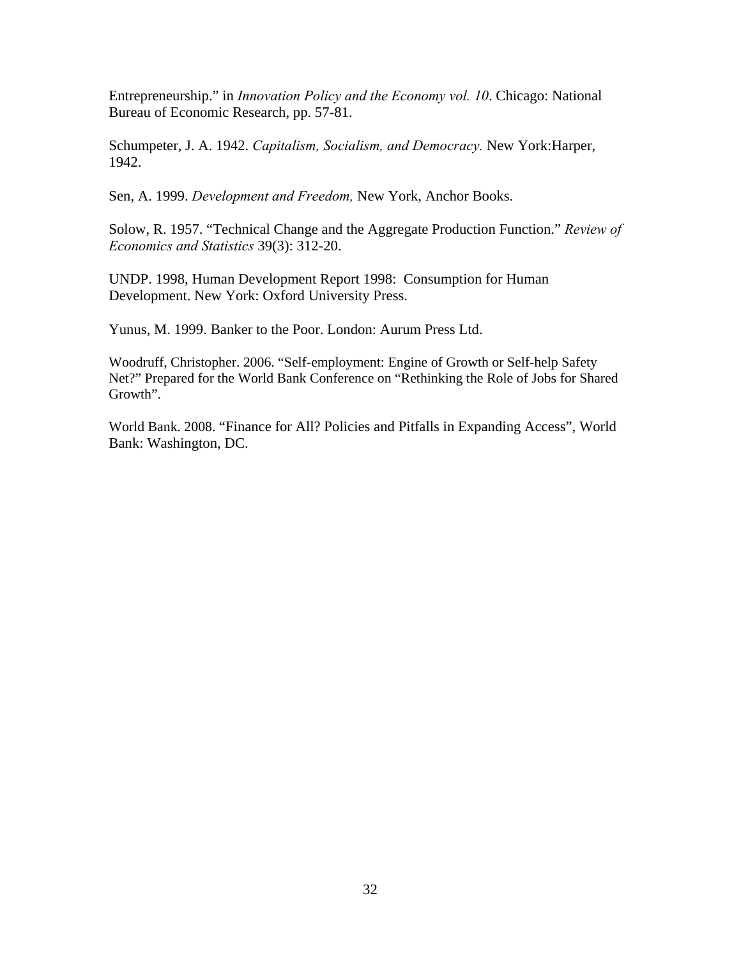Entrepreneurship." in *Innovation Policy and the Economy vol. 10*. Chicago: National Bureau of Economic Research, pp. 57-81.

Schumpeter, J. A. 1942. *Capitalism, Socialism, and Democracy.* New York:Harper, 1942.

Sen, A. 1999. *Development and Freedom,* New York, Anchor Books.

Solow, R. 1957. "Technical Change and the Aggregate Production Function." *Review of Economics and Statistics* 39(3): 312-20.

UNDP. 1998, Human Development Report 1998: Consumption for Human Development. New York: Oxford University Press.

Yunus, M. 1999. Banker to the Poor. London: Aurum Press Ltd.

Woodruff, Christopher. 2006. "Self-employment: Engine of Growth or Self-help Safety Net?" Prepared for the World Bank Conference on "Rethinking the Role of Jobs for Shared Growth".

World Bank. 2008. "Finance for All? Policies and Pitfalls in Expanding Access", World Bank: Washington, DC.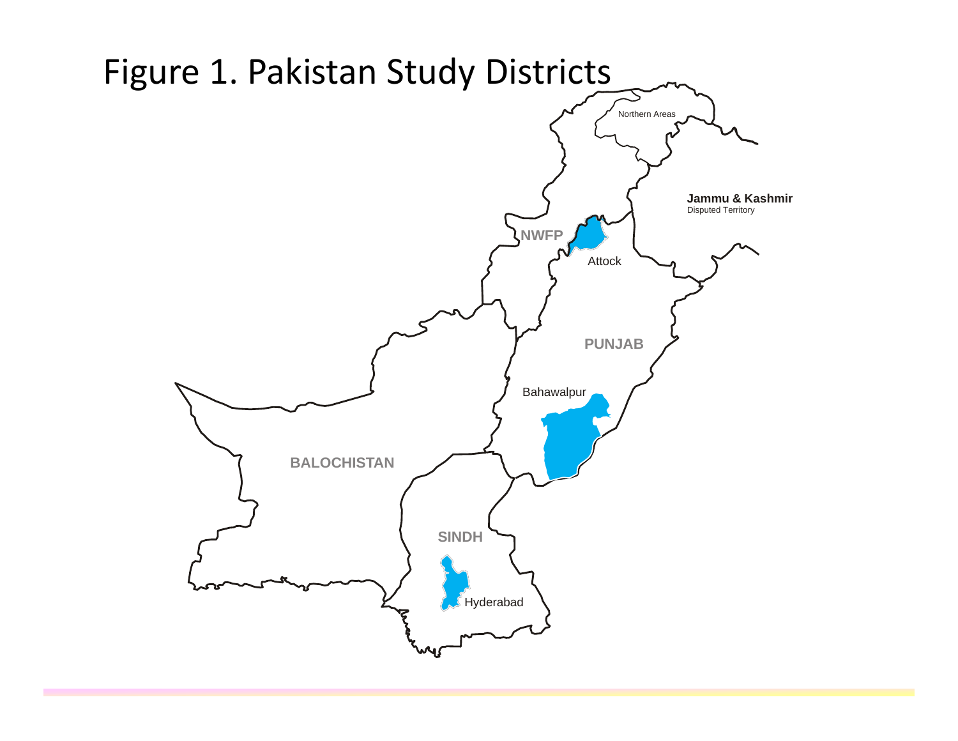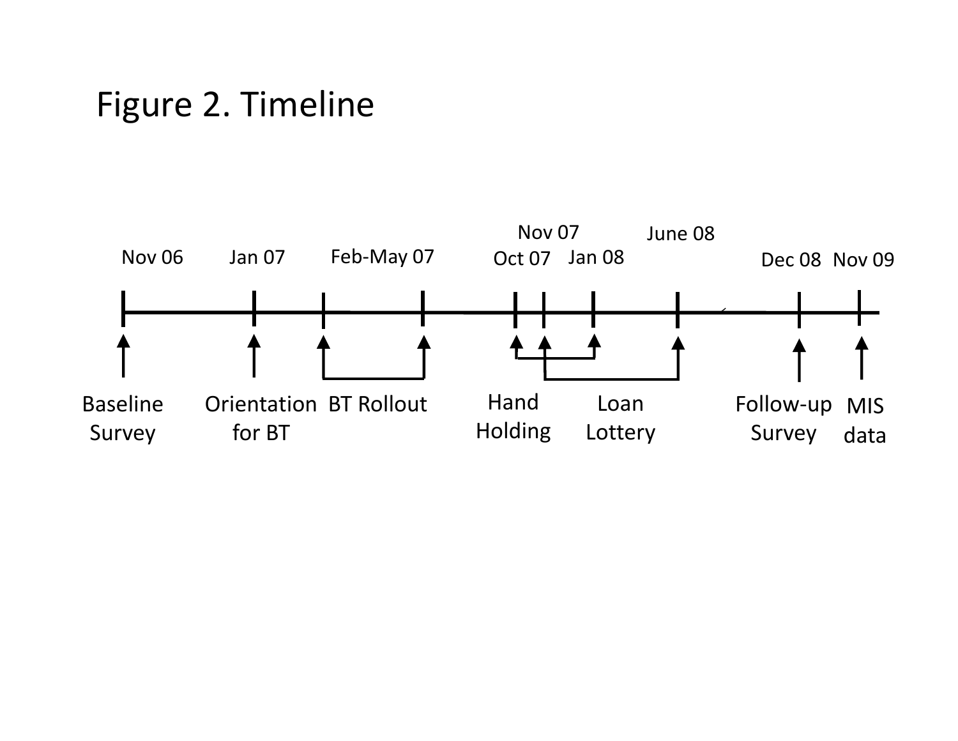# Figure 2. Timeline

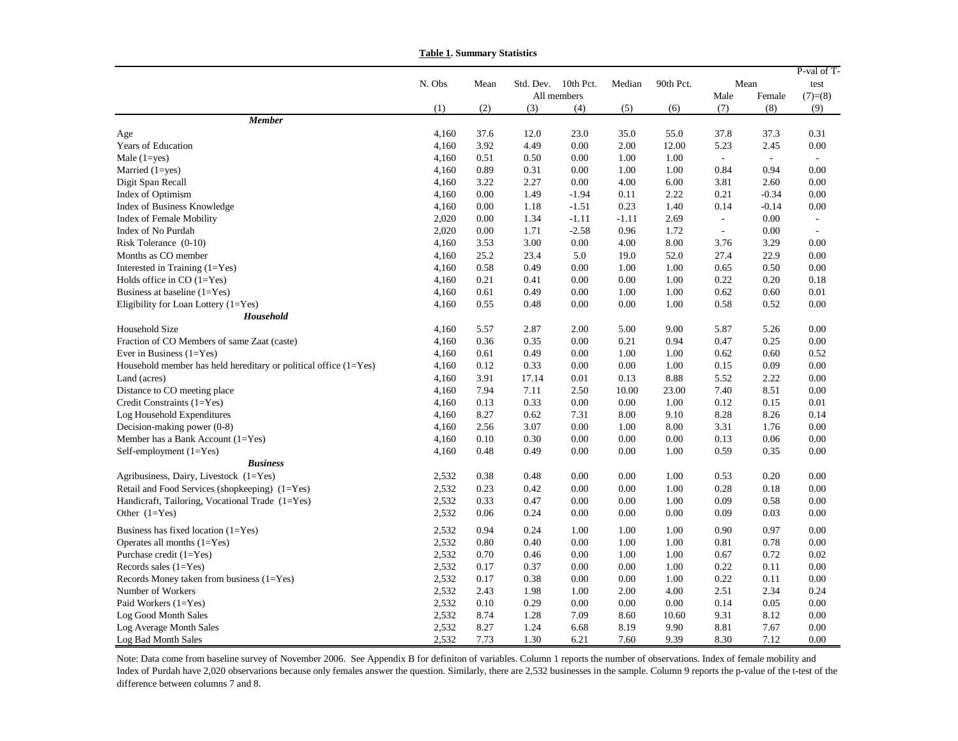**Table 1. Summary Statistics**

|                                                                    |        |      |       |                     |         |           |                          |         | P-val of T-              |
|--------------------------------------------------------------------|--------|------|-------|---------------------|---------|-----------|--------------------------|---------|--------------------------|
|                                                                    | N. Obs | Mean |       | Std. Dev. 10th Pct. | Median  | 90th Pct. |                          | Mean    | test                     |
|                                                                    |        |      |       | All members         |         |           | Male                     | Female  | $(7)=(8)$                |
|                                                                    | (1)    | (2)  | (3)   | (4)                 | (5)     | (6)       | (7)                      | (8)     | (9)                      |
| <b>Member</b>                                                      |        |      |       |                     |         |           |                          |         |                          |
| Age                                                                | 4,160  | 37.6 | 12.0  | 23.0                | 35.0    | 55.0      | 37.8                     | 37.3    | 0.31                     |
| Years of Education                                                 | 4,160  | 3.92 | 4.49  | 0.00                | 2.00    | 12.00     | 5.23                     | 2.45    | 0.00                     |
| Male $(1 = yes)$                                                   | 4,160  | 0.51 | 0.50  | 0.00                | 1.00    | 1.00      | $\overline{\phantom{a}}$ | ÷,      | $\blacksquare$           |
| Married $(1 = yes)$                                                | 4,160  | 0.89 | 0.31  | 0.00                | 1.00    | 1.00      | 0.84                     | 0.94    | 0.00                     |
| Digit Span Recall                                                  | 4,160  | 3.22 | 2.27  | 0.00                | 4.00    | 6.00      | 3.81                     | 2.60    | 0.00                     |
| Index of Optimism                                                  | 4,160  | 0.00 | 1.49  | $-1.94$             | 0.11    | 2.22      | 0.21                     | $-0.34$ | 0.00                     |
| Index of Business Knowledge                                        | 4,160  | 0.00 | 1.18  | $-1.51$             | 0.23    | 1.40      | 0.14                     | $-0.14$ | 0.00                     |
| <b>Index of Female Mobility</b>                                    | 2,020  | 0.00 | 1.34  | $-1.11$             | $-1.11$ | 2.69      | $\omega$                 | 0.00    | $\bar{a}$                |
| Index of No Purdah                                                 | 2,020  | 0.00 | 1.71  | $-2.58$             | 0.96    | 1.72      | $\overline{\phantom{a}}$ | 0.00    | $\overline{\phantom{a}}$ |
| Risk Tolerance (0-10)                                              | 4,160  | 3.53 | 3.00  | 0.00                | 4.00    | 8.00      | 3.76                     | 3.29    | 0.00                     |
| Months as CO member                                                | 4,160  | 25.2 | 23.4  | 5.0                 | 19.0    | 52.0      | 27.4                     | 22.9    | 0.00                     |
| Interested in Training (1=Yes)                                     | 4,160  | 0.58 | 0.49  | 0.00                | 1.00    | 1.00      | 0.65                     | 0.50    | 0.00                     |
| Holds office in $CO(1=Yes)$                                        | 4,160  | 0.21 | 0.41  | 0.00                | 0.00    | 1.00      | 0.22                     | 0.20    | 0.18                     |
| Business at baseline $(1=Yes)$                                     | 4,160  | 0.61 | 0.49  | 0.00                | 1.00    | 1.00      | 0.62                     | 0.60    | 0.01                     |
| Eligibility for Loan Lottery $(1=Yes)$                             | 4,160  | 0.55 | 0.48  | 0.00                | 0.00    | 1.00      | 0.58                     | 0.52    | 0.00                     |
| Household                                                          |        |      |       |                     |         |           |                          |         |                          |
| Household Size                                                     | 4,160  | 5.57 | 2.87  | 2.00                | 5.00    | 9.00      | 5.87                     | 5.26    | 0.00                     |
| Fraction of CO Members of same Zaat (caste)                        | 4,160  | 0.36 | 0.35  | 0.00                | 0.21    | 0.94      | 0.47                     | 0.25    | 0.00                     |
| Ever in Business $(1 = Yes)$                                       | 4,160  | 0.61 | 0.49  | 0.00                | 1.00    | 1.00      | 0.62                     | 0.60    | 0.52                     |
| Household member has held hereditary or political office $(1=Yes)$ | 4,160  | 0.12 | 0.33  | 0.00                | 0.00    | 1.00      | 0.15                     | 0.09    | 0.00                     |
| Land (acres)                                                       | 4,160  | 3.91 | 17.14 | 0.01                | 0.13    | 8.88      | 5.52                     | 2.22    | 0.00                     |
| Distance to CO meeting place                                       | 4,160  | 7.94 | 7.11  | 2.50                | 10.00   | 23.00     | 7.40                     | 8.51    | 0.00                     |
| Credit Constraints (1=Yes)                                         | 4,160  | 0.13 | 0.33  | 0.00                | 0.00    | 1.00      | 0.12                     | 0.15    | 0.01                     |
| Log Household Expenditures                                         | 4,160  | 8.27 | 0.62  | 7.31                | 8.00    | 9.10      | 8.28                     | 8.26    | 0.14                     |
| Decision-making power (0-8)                                        | 4,160  | 2.56 | 3.07  | 0.00                | 1.00    | 8.00      | 3.31                     | 1.76    | 0.00                     |
| Member has a Bank Account (1=Yes)                                  | 4,160  | 0.10 | 0.30  | 0.00                | 0.00    | 0.00      | 0.13                     | 0.06    | 0.00                     |
| Self-employment (1=Yes)                                            | 4,160  | 0.48 | 0.49  | 0.00                | 0.00    | 1.00      | 0.59                     | 0.35    | 0.00                     |
| <b>Business</b>                                                    |        |      |       |                     |         |           |                          |         |                          |
| Agribusiness, Dairy, Livestock (1=Yes)                             | 2,532  | 0.38 | 0.48  | 0.00                | 0.00    | 1.00      | 0.53                     | 0.20    | 0.00                     |
| Retail and Food Services (shopkeeping) (1=Yes)                     | 2,532  | 0.23 | 0.42  | 0.00                | 0.00    | 1.00      | 0.28                     | 0.18    | 0.00                     |
| Handicraft, Tailoring, Vocational Trade (1=Yes)                    | 2,532  | 0.33 | 0.47  | 0.00                | 0.00    | 1.00      | 0.09                     | 0.58    | 0.00                     |
| Other $(1=Yes)$                                                    | 2,532  | 0.06 | 0.24  | 0.00                | 0.00    | 0.00      | 0.09                     | 0.03    | 0.00                     |
| Business has fixed location $(1=Yes)$                              | 2,532  | 0.94 | 0.24  | 1.00                | 1.00    | 1.00      | 0.90                     | 0.97    | 0.00                     |
| Operates all months $(1=Yes)$                                      | 2,532  | 0.80 | 0.40  | 0.00                | 1.00    | 1.00      | 0.81                     | 0.78    | 0.00                     |
| Purchase credit (1=Yes)                                            | 2,532  | 0.70 | 0.46  | 0.00                | 1.00    | 1.00      | 0.67                     | 0.72    | 0.02                     |
| Records sales $(1=Yes)$                                            | 2,532  | 0.17 | 0.37  | 0.00                | 0.00    | 1.00      | 0.22                     | 0.11    | 0.00                     |
| Records Money taken from business $(1=Yes)$                        | 2,532  | 0.17 | 0.38  | 0.00                | 0.00    | 1.00      | 0.22                     | 0.11    | 0.00                     |
| Number of Workers                                                  | 2,532  | 2.43 | 1.98  | 1.00                | 2.00    | 4.00      | 2.51                     | 2.34    | 0.24                     |
| Paid Workers (1=Yes)                                               | 2,532  | 0.10 | 0.29  | 0.00                | 0.00    | 0.00      | 0.14                     | 0.05    | 0.00                     |
| Log Good Month Sales                                               | 2,532  | 8.74 | 1.28  | 7.09                | 8.60    | 10.60     | 9.31                     | 8.12    | 0.00                     |
| Log Average Month Sales                                            | 2,532  | 8.27 | 1.24  | 6.68                | 8.19    | 9.90      | 8.81                     | 7.67    | 0.00                     |
| Log Bad Month Sales                                                | 2,532  | 7.73 | 1.30  | 6.21                | 7.60    | 9.39      | 8.30                     | 7.12    | 0.00                     |

Note: Data come from baseline survey of November 2006. See Appendix B for definiton of variables. Column 1 reports the number of observations. Index of female mobility and Index of Purdah have 2,020 observations because only females answer the question. Similarly, there are 2,532 businesses in the sample. Column 9 reports the p-value of the t-test of the difference between columns 7 and 8.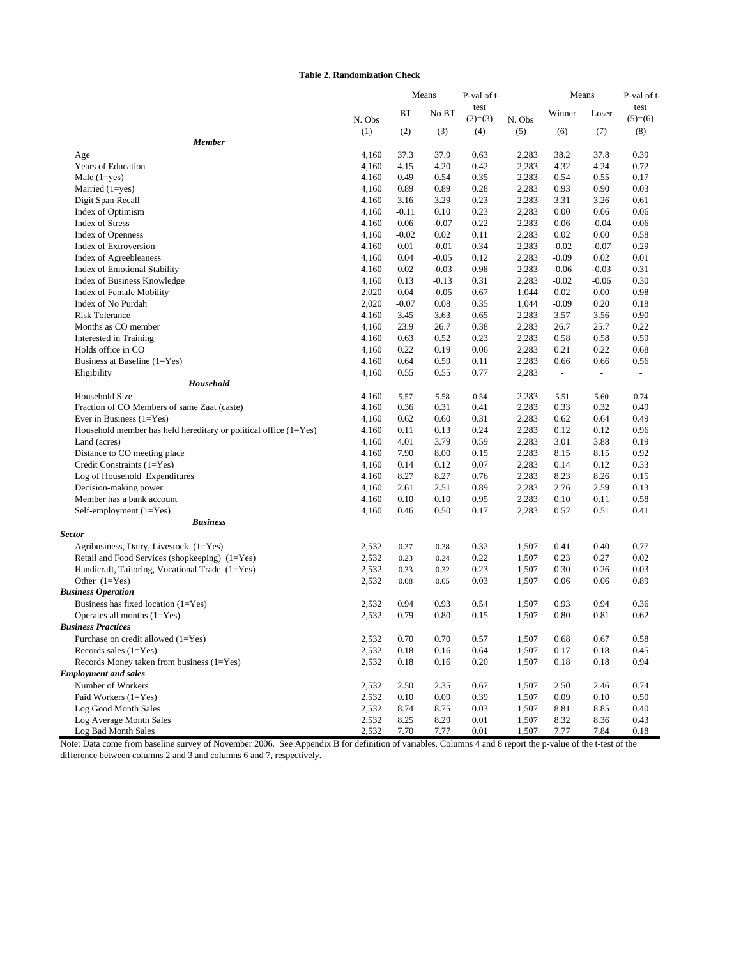#### **Table 2. Randomization Check**

|                                                                    |                |              | Means        | P-val of t-  |                |                | Means                    | P-val of t-              |
|--------------------------------------------------------------------|----------------|--------------|--------------|--------------|----------------|----------------|--------------------------|--------------------------|
|                                                                    |                | BT           | No BT        | test         |                | Winner         | Loser                    | test                     |
|                                                                    | N. Obs         |              |              | $(2)=(3)$    | N. Obs         |                |                          | $(5)=(6)$                |
|                                                                    | (1)            | (2)          | (3)          | (4)          | (5)            | (6)            | (7)                      | (8)                      |
| <b>Member</b>                                                      |                |              |              |              |                |                |                          |                          |
| Age<br>Years of Education                                          | 4,160          | 37.3<br>4.15 | 37.9         | 0.63<br>0.42 | 2,283<br>2,283 | 38.2<br>4.32   | 37.8<br>4.24             | 0.39<br>0.72             |
|                                                                    | 4,160<br>4,160 | 0.49         | 4.20<br>0.54 | 0.35         | 2,283          | 0.54           | 0.55                     | 0.17                     |
| Male $(1 = yes)$<br>Married $(1 = yes)$                            | 4,160          | 0.89         | 0.89         | 0.28         | 2,283          | 0.93           | 0.90                     | 0.03                     |
| Digit Span Recall                                                  | 4,160          | 3.16         | 3.29         | 0.23         | 2,283          | 3.31           | 3.26                     | 0.61                     |
| Index of Optimism                                                  | 4,160          | $-0.11$      | 0.10         | 0.23         | 2,283          | 0.00           | 0.06                     | 0.06                     |
| <b>Index of Stress</b>                                             | 4,160          | 0.06         | $-0.07$      | 0.22         | 2,283          | 0.06           | $-0.04$                  | 0.06                     |
| <b>Index of Openness</b>                                           | 4,160          | $-0.02$      | 0.02         | 0.11         | 2,283          | 0.02           | 0.00                     | 0.58                     |
| <b>Index of Extroversion</b>                                       | 4,160          | 0.01         | $-0.01$      | 0.34         | 2,283          | $-0.02$        | $-0.07$                  | 0.29                     |
| Index of Agreebleaness                                             | 4,160          | 0.04         | $-0.05$      | 0.12         | 2,283          | $-0.09$        | 0.02                     | 0.01                     |
| Index of Emotional Stability                                       | 4,160          | 0.02         | $-0.03$      | 0.98         | 2,283          | $-0.06$        | $-0.03$                  | 0.31                     |
| Index of Business Knowledge                                        | 4,160          | 0.13         | $-0.13$      | 0.31         | 2,283          | $-0.02$        | $-0.06$                  | 0.30                     |
| Index of Female Mobility                                           | 2,020          | 0.04         | $-0.05$      | 0.67         | 1,044          | 0.02           | 0.00                     | 0.98                     |
| Index of No Purdah                                                 | 2,020          | $-0.07$      | 0.08         | 0.35         | 1,044          | $-0.09$        | 0.20                     | 0.18                     |
| <b>Risk Tolerance</b>                                              | 4,160          | 3.45         | 3.63         | 0.65         | 2,283          | 3.57           | 3.56                     | 0.90                     |
| Months as CO member                                                | 4,160          | 23.9         | 26.7         | 0.38         | 2,283          | 26.7           | 25.7                     | 0.22                     |
| <b>Interested in Training</b>                                      | 4,160          | 0.63         | 0.52         | 0.23         | 2,283          | 0.58           | 0.58                     | 0.59                     |
| Holds office in CO                                                 | 4,160          | 0.22         | 0.19         | 0.06         | 2,283          | 0.21           | 0.22                     | 0.68                     |
| Business at Baseline (1=Yes)                                       | 4,160          | 0.64         | 0.59         | 0.11         | 2,283          | 0.66           | 0.66                     | 0.56                     |
| Eligibility                                                        | 4,160          | 0.55         | 0.55         | 0.77         | 2,283          | $\blacksquare$ | $\overline{\phantom{a}}$ | $\overline{\phantom{a}}$ |
| Household                                                          |                |              |              |              |                |                |                          |                          |
| Household Size                                                     | 4,160          | 5.57         | 5.58         | 0.54         | 2,283          | 5.51           | 5.60                     | 0.74                     |
| Fraction of CO Members of same Zaat (caste)                        | 4,160          | 0.36         | 0.31         | 0.41         | 2,283          | 0.33           | 0.32                     | 0.49                     |
| Ever in Business $(1=Yes)$                                         | 4,160          | 0.62         | 0.60         | 0.31         | 2,283          | 0.62           | 0.64                     | 0.49                     |
| Household member has held hereditary or political office $(1=Yes)$ | 4,160          | 0.11         | 0.13         | 0.24         | 2,283          | 0.12           | 0.12                     | 0.96                     |
| Land (acres)                                                       | 4,160          | 4.01         | 3.79         | 0.59         | 2,283          | 3.01           | 3.88                     | 0.19                     |
| Distance to CO meeting place                                       | 4,160          | 7.90         | 8.00         | 0.15         | 2,283          | 8.15           | 8.15                     | 0.92                     |
| Credit Constraints (1=Yes)                                         | 4,160          | 0.14         | 0.12         | 0.07         | 2,283          | 0.14           | 0.12                     | 0.33                     |
| Log of Household Expenditures                                      | 4,160          | 8.27         | 8.27         | 0.76         | 2,283          | 8.23           | 8.26                     | 0.15                     |
| Decision-making power                                              | 4,160          | 2.61         | 2.51         | 0.89         | 2,283          | 2.76           | 2.59                     | 0.13                     |
| Member has a bank account                                          | 4,160          | 0.10         | 0.10         | 0.95         | 2,283          | 0.10           | 0.11                     | 0.58                     |
| Self-employment $(1-Yes)$                                          | 4,160          | 0.46         | 0.50         | 0.17         | 2,283          | 0.52           | 0.51                     | 0.41                     |
| <b>Business</b>                                                    |                |              |              |              |                |                |                          |                          |
| <b>Sector</b>                                                      |                |              |              |              |                |                |                          |                          |
| Agribusiness, Dairy, Livestock (1=Yes)                             | 2,532          | 0.37         | 0.38         | 0.32         | 1,507          | 0.41           | 0.40                     | 0.77                     |
| Retail and Food Services (shopkeeping) (1=Yes)                     | 2,532          | 0.23         | 0.24         | 0.22         | 1,507          | 0.23           | 0.27                     | 0.02                     |
| Handicraft, Tailoring, Vocational Trade (1=Yes)                    | 2,532          | 0.33         | 0.32         | 0.23         | 1,507          | 0.30           | 0.26                     | 0.03                     |
| Other $(1=Yes)$                                                    | 2,532          | 0.08         | 0.05         | 0.03         | 1,507          | 0.06           | 0.06                     | 0.89                     |
| <b>Business Operation</b>                                          |                |              |              |              |                |                |                          |                          |
| Business has fixed location $(1=Yes)$                              | 2,532          | 0.94         | 0.93         | 0.54         | 1,507          | 0.93           | 0.94                     | 0.36                     |
| Operates all months $(1=Yes)$                                      | 2,532          | 0.79         | 0.80         | 0.15         | 1,507          | 0.80           | 0.81                     | 0.62                     |
| <b>Business Practices</b>                                          |                |              |              |              |                |                |                          |                          |
| Purchase on credit allowed $(1=Yes)$                               | 2,532          | 0.70         | 0.70         | 0.57         | 1,507          | 0.68           | 0.67                     | 0.58                     |
| Records sales $(1=Yes)$                                            | 2,532          | 0.18         | 0.16         | 0.64         | 1,507          | 0.17           | 0.18                     | 0.45                     |
| Records Money taken from business $(1=Yes)$                        | 2,532          | 0.18         | 0.16         | 0.20         | 1,507          | 0.18           | 0.18                     | 0.94                     |
| <b>Employment and sales</b>                                        |                |              |              |              |                |                |                          |                          |
| Number of Workers                                                  | 2,532          | 2.50         | 2.35         | 0.67         | 1,507          | 2.50           | 2.46                     | 0.74                     |
| Paid Workers (1=Yes)                                               | 2,532          | 0.10         | 0.09         | 0.39         | 1,507          | 0.09           | 0.10                     | 0.50                     |
| Log Good Month Sales                                               | 2,532          | 8.74         | 8.75         | 0.03         | 1,507          | 8.81           | 8.85                     | 0.40                     |
| Log Average Month Sales                                            | 2,532          | 8.25         | 8.29         | 0.01         | 1,507          | 8.32           | 8.36                     | 0.43                     |
| Log Bad Month Sales                                                | 2,532          | 7.70         | 7.77         | 0.01         | 1,507          | 7.77           | 7.84                     | 0.18                     |

Note: Data come from baseline survey of November 2006. See Appendix B for definition of variables. Columns 4 and 8 report the p-value of the t-test of the difference between columns 2 and 3 and columns 6 and 7, respectively.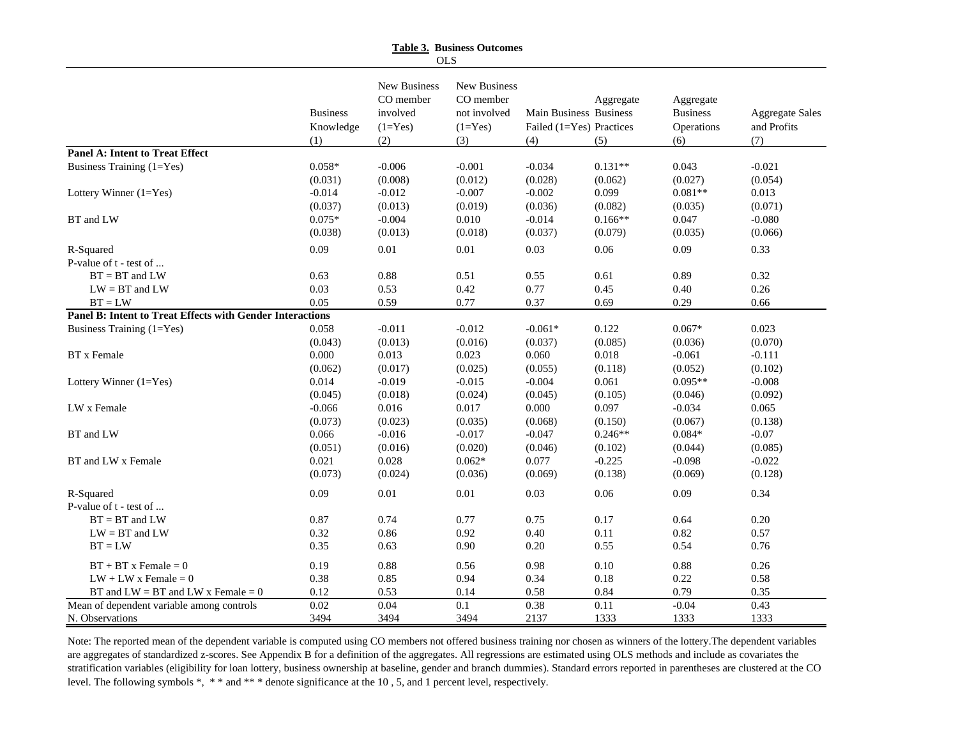|      | <b>Table 3. Business Outcomes</b> |
|------|-----------------------------------|
| OL S |                                   |

|                                                                  | New Business | New Business |                          |           |                 |                        |
|------------------------------------------------------------------|--------------|--------------|--------------------------|-----------|-----------------|------------------------|
|                                                                  |              |              |                          |           |                 |                        |
|                                                                  | CO member    | CO member    |                          | Aggregate | Aggregate       |                        |
| <b>Business</b>                                                  | involved     | not involved | Main Business Business   |           | <b>Business</b> | <b>Aggregate Sales</b> |
| Knowledge                                                        | $(1=Yes)$    | $(1=Yes)$    | Failed (1=Yes) Practices |           | Operations      | and Profits            |
| (1)<br>(2)                                                       |              | (3)          | (4)                      | (5)       | (6)             | (7)                    |
| <b>Panel A: Intent to Treat Effect</b>                           |              |              |                          |           |                 |                        |
| Business Training (1=Yes)<br>$0.058*$<br>$-0.006$                |              | $-0.001$     | $-0.034$                 | $0.131**$ | 0.043           | $-0.021$               |
| (0.031)                                                          | (0.008)      | (0.012)      | (0.028)                  | (0.062)   | (0.027)         | (0.054)                |
| Lottery Winner $(1 = Yes)$<br>$-0.014$<br>$-0.012$               |              | $-0.007$     | $-0.002$                 | 0.099     | $0.081**$       | 0.013                  |
| (0.037)                                                          | (0.013)      | (0.019)      | (0.036)                  | (0.082)   | (0.035)         | (0.071)                |
| $0.075*$<br>$-0.004$<br>BT and LW                                |              | 0.010        | $-0.014$                 | $0.166**$ | 0.047           | $-0.080$               |
| (0.038)                                                          | (0.013)      | (0.018)      | (0.037)                  | (0.079)   | (0.035)         | (0.066)                |
| 0.09<br>0.01<br>R-Squared                                        |              | 0.01         | 0.03                     | 0.06      | 0.09            | 0.33                   |
| P-value of $t - test$ of                                         |              |              |                          |           |                 |                        |
| $BT = BT$ and $LW$<br>0.63<br>0.88                               |              | 0.51         | 0.55                     | 0.61      | 0.89            | 0.32                   |
| 0.03<br>0.53<br>$LW = BT$ and $LW$                               |              | 0.42         | 0.77                     | 0.45      | 0.40            | 0.26                   |
| $BT = LW$<br>0.05<br>0.59                                        |              | 0.77         | 0.37                     | 0.69      | 0.29            | 0.66                   |
| <b>Panel B: Intent to Treat Effects with Gender Interactions</b> |              |              |                          |           |                 |                        |
| 0.058<br>$-0.011$<br>Business Training (1=Yes)                   |              | $-0.012$     | $-0.061*$                | 0.122     | $0.067*$        | 0.023                  |
| (0.043)                                                          | (0.013)      | (0.016)      | (0.037)                  | (0.085)   | (0.036)         | (0.070)                |
| 0.000<br>0.013<br><b>BT</b> x Female                             |              | 0.023        | 0.060                    | 0.018     | $-0.061$        | $-0.111$               |
| (0.062)                                                          | (0.017)      | (0.025)      | (0.055)                  | (0.118)   | (0.052)         | (0.102)                |
| $-0.019$<br>Lottery Winner $(1-Yes)$<br>0.014                    |              | $-0.015$     | $-0.004$                 | 0.061     | $0.095**$       | $-0.008$               |
| (0.045)                                                          | (0.018)      | (0.024)      | (0.045)                  | (0.105)   | (0.046)         | (0.092)                |
| $-0.066$<br>0.016<br>LW x Female                                 |              | 0.017        | 0.000                    | 0.097     | $-0.034$        | 0.065                  |
| (0.073)                                                          | (0.023)      | (0.035)      | (0.068)                  | (0.150)   | (0.067)         | (0.138)                |
| 0.066<br>$-0.016$<br>BT and LW                                   |              | $-0.017$     | $-0.047$                 | $0.246**$ | $0.084*$        | $-0.07$                |
| (0.051)                                                          | (0.016)      | (0.020)      | (0.046)                  | (0.102)   | (0.044)         | (0.085)                |
| 0.021<br>0.028<br>BT and LW x Female                             |              | $0.062*$     | 0.077                    | $-0.225$  | $-0.098$        | $-0.022$               |
| (0.073)                                                          | (0.024)      | (0.036)      | (0.069)                  | (0.138)   | (0.069)         | (0.128)                |
| 0.09<br>0.01<br>R-Squared                                        |              | 0.01         | 0.03                     | 0.06      | 0.09            | 0.34                   |
| P-value of t - test of                                           |              |              |                          |           |                 |                        |
| 0.87<br>0.74<br>$BT = BT$ and $LW$                               |              | 0.77         | 0.75                     | 0.17      | 0.64            | 0.20                   |
| $LW = BT$ and $LW$<br>0.32<br>0.86                               |              | 0.92         | 0.40                     | 0.11      | 0.82            | 0.57                   |
| $BT = LW$<br>0.35<br>0.63                                        |              | 0.90         | 0.20                     | 0.55      | 0.54            | 0.76                   |
| 0.88<br>$BT + BT x Female = 0$<br>0.19                           |              | 0.56         | 0.98                     | 0.10      | 0.88            | 0.26                   |
| $LW + LW \times Female = 0$<br>0.38<br>0.85                      |              | 0.94         | 0.34                     | 0.18      | 0.22            | 0.58                   |
| 0.12<br>BT and $LW = BT$ and $LW$ x Female = 0<br>0.53           |              | 0.14         | 0.58                     | 0.84      | 0.79            | 0.35                   |
| 0.02<br>Mean of dependent variable among controls<br>0.04        |              | 0.1          | 0.38                     | 0.11      | $-0.04$         | 0.43                   |
| 3494<br>3494<br>N. Observations                                  |              | 3494         | 2137                     | 1333      | 1333            | 1333                   |

Note: The reported mean of the dependent variable is computed using CO members not offered business training nor chosen as winners of the lottery.The dependent variables are aggregates of standardized z-scores. See Appendix B for a definition of the aggregates. All regressions are estimated using OLS methods and include as covariates the stratification variables (eligibility for loan lottery, business ownership at baseline, gender and branch dummies). Standard errors reported in parentheses are clustered at the CO level. The following symbols \*, \*\* and \*\* \* denote significance at the 10, 5, and 1 percent level, respectively.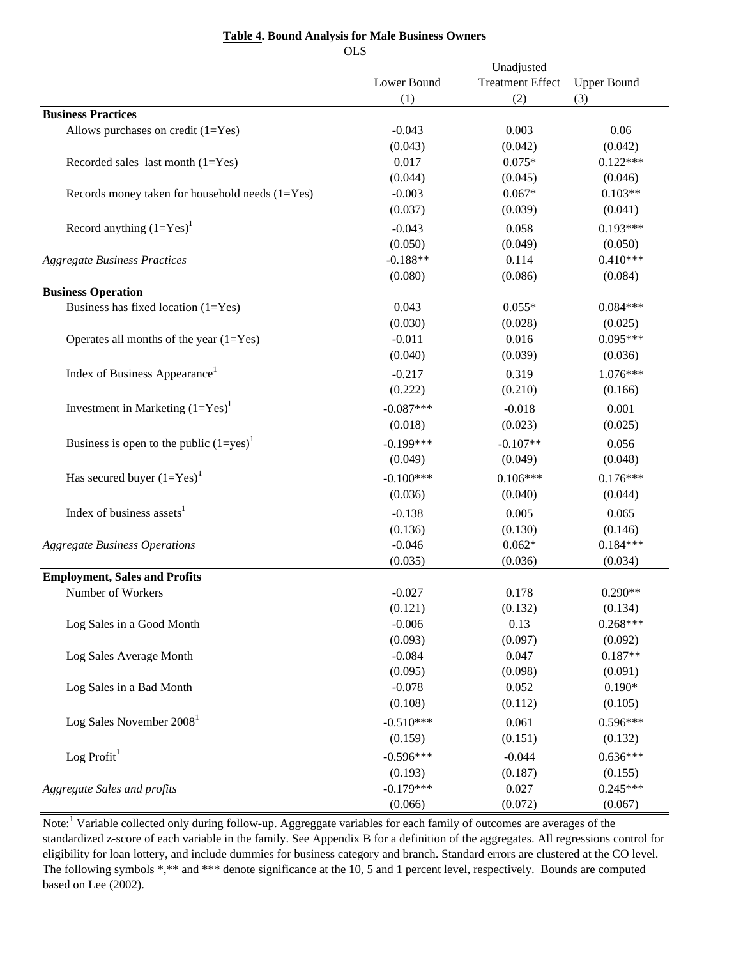|                                                   |             | Unadjusted              |                    |
|---------------------------------------------------|-------------|-------------------------|--------------------|
|                                                   | Lower Bound | <b>Treatment Effect</b> | <b>Upper Bound</b> |
|                                                   | (1)         | (2)                     | (3)                |
| <b>Business Practices</b>                         |             |                         |                    |
| Allows purchases on credit $(1=Yes)$              | $-0.043$    | 0.003                   | 0.06               |
|                                                   | (0.043)     | (0.042)                 | (0.042)            |
| Recorded sales last month $(1=Yes)$               | 0.017       | $0.075*$                | $0.122***$         |
|                                                   | (0.044)     | (0.045)                 | (0.046)            |
| Records money taken for household needs $(1=Yes)$ | $-0.003$    | $0.067*$                | $0.103**$          |
|                                                   | (0.037)     | (0.039)                 | (0.041)            |
| Record anything $(1=Yes)^1$                       | $-0.043$    | 0.058                   | $0.193***$         |
|                                                   | (0.050)     | (0.049)                 | (0.050)            |
| <b>Aggregate Business Practices</b>               | $-0.188**$  | 0.114                   | $0.410***$         |
|                                                   | (0.080)     | (0.086)                 | (0.084)            |
| <b>Business Operation</b>                         |             |                         |                    |
| Business has fixed location $(1=Yes)$             | 0.043       | $0.055*$                | $0.084***$         |
|                                                   | (0.030)     | (0.028)                 | (0.025)            |
| Operates all months of the year $(1=Yes)$         | $-0.011$    | 0.016                   | $0.095***$         |
|                                                   | (0.040)     | (0.039)                 | (0.036)            |
| Index of Business Appearance <sup>1</sup>         | $-0.217$    | 0.319                   | $1.076***$         |
|                                                   | (0.222)     | (0.210)                 | (0.166)            |
| Investment in Marketing $(1=Yes)^{1}$             | $-0.087***$ | $-0.018$                | 0.001              |
|                                                   | (0.018)     | (0.023)                 | (0.025)            |
| Business is open to the public $(1 = yes)^1$      | $-0.199***$ | $-0.107**$              | 0.056              |
|                                                   | (0.049)     | (0.049)                 | (0.048)            |
| Has secured buyer $(1=Yes)^1$                     | $-0.100***$ | $0.106***$              | $0.176***$         |
|                                                   | (0.036)     | (0.040)                 | (0.044)            |
| Index of business assets <sup>1</sup>             | $-0.138$    | 0.005                   | 0.065              |
|                                                   | (0.136)     | (0.130)                 | (0.146)            |
| <b>Aggregate Business Operations</b>              | $-0.046$    | $0.062*$                | $0.184***$         |
|                                                   | (0.035)     | (0.036)                 | (0.034)            |
| <b>Employment, Sales and Profits</b>              |             |                         |                    |
| Number of Workers                                 | $-0.027$    | 0.178                   | $0.290**$          |
|                                                   | (0.121)     | (0.132)                 | (0.134)            |
| Log Sales in a Good Month                         | $-0.006$    | 0.13                    | $0.268***$         |
|                                                   | (0.093)     | (0.097)                 | (0.092)            |
| Log Sales Average Month                           | $-0.084$    | 0.047                   | $0.187**$          |
|                                                   | (0.095)     | (0.098)                 | (0.091)            |
| Log Sales in a Bad Month                          | $-0.078$    | 0.052                   | $0.190*$           |
|                                                   | (0.108)     | (0.112)                 | (0.105)            |
| Log Sales November $20081$                        | $-0.510***$ | 0.061                   | $0.596***$         |
|                                                   | (0.159)     | (0.151)                 | (0.132)            |
| Log Profit <sup>1</sup>                           | $-0.596***$ | $-0.044$                | $0.636***$         |
|                                                   | (0.193)     | (0.187)                 | (0.155)            |
| Aggregate Sales and profits                       | $-0.179***$ | 0.027                   | $0.245***$         |
|                                                   | (0.066)     | (0.072)                 | (0.067)            |

**Table 4. Bound Analysis for Male Business Owners**

OLS

Note:<sup>1</sup> Variable collected only during follow-up. Aggreggate variables for each family of outcomes are averages of the standardized z-score of each variable in the family. See Appendix B for a definition of the aggregates. All regressions control for eligibility for loan lottery, and include dummies for business category and branch. Standard errors are clustered at the CO level. The following symbols \*,\*\* and \*\*\* denote significance at the 10, 5 and 1 percent level, respectively. Bounds are computed based on Lee (2002).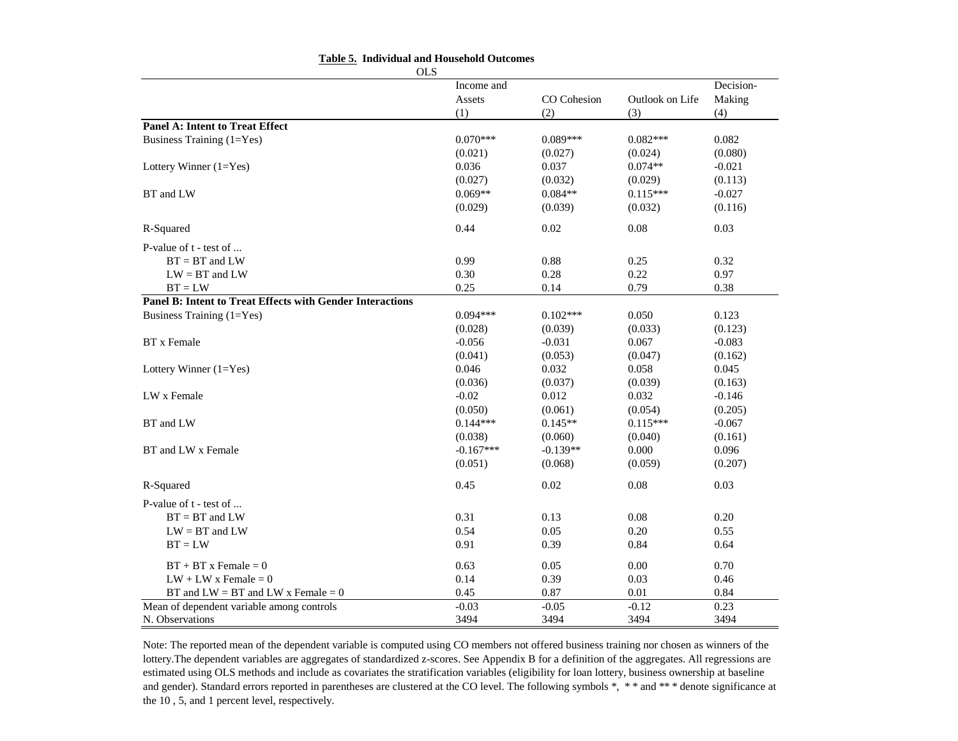| פעט                                                              | Income and  |             |                 | Decision- |
|------------------------------------------------------------------|-------------|-------------|-----------------|-----------|
|                                                                  | Assets      | CO Cohesion | Outlook on Life | Making    |
|                                                                  | (1)         | (2)         | (3)             | (4)       |
| <b>Panel A: Intent to Treat Effect</b>                           |             |             |                 |           |
| Business Training (1=Yes)                                        | $0.070***$  | $0.089***$  | $0.082***$      | 0.082     |
|                                                                  | (0.021)     | (0.027)     | (0.024)         | (0.080)   |
| Lottery Winner (1=Yes)                                           | 0.036       | 0.037       | $0.074**$       | $-0.021$  |
|                                                                  | (0.027)     | (0.032)     | (0.029)         | (0.113)   |
| BT and LW                                                        | $0.069**$   | $0.084**$   | $0.115***$      | $-0.027$  |
|                                                                  | (0.029)     | (0.039)     | (0.032)         | (0.116)   |
|                                                                  |             |             |                 |           |
| R-Squared                                                        | 0.44        | 0.02        | 0.08            | 0.03      |
| P-value of $t - test$ of                                         |             |             |                 |           |
| $BT = BT$ and $LW$                                               | 0.99        | 0.88        | 0.25            | 0.32      |
| $LW = BT$ and $LW$                                               | 0.30        | 0.28        | 0.22            | 0.97      |
| $BT = LW$                                                        | 0.25        | 0.14        | 0.79            | 0.38      |
| <b>Panel B: Intent to Treat Effects with Gender Interactions</b> |             |             |                 |           |
| Business Training (1=Yes)                                        | $0.094***$  | $0.102***$  | 0.050           | 0.123     |
|                                                                  | (0.028)     | (0.039)     | (0.033)         | (0.123)   |
| <b>BT</b> x Female                                               | $-0.056$    | $-0.031$    | 0.067           | $-0.083$  |
|                                                                  | (0.041)     | (0.053)     | (0.047)         | (0.162)   |
| Lottery Winner (1=Yes)                                           | 0.046       | 0.032       | 0.058           | 0.045     |
|                                                                  | (0.036)     | (0.037)     | (0.039)         | (0.163)   |
| LW x Female                                                      | $-0.02$     | 0.012       | 0.032           | $-0.146$  |
|                                                                  | (0.050)     | (0.061)     | (0.054)         | (0.205)   |
| BT and LW                                                        | $0.144***$  | $0.145**$   | $0.115***$      | $-0.067$  |
|                                                                  | (0.038)     | (0.060)     | (0.040)         | (0.161)   |
| BT and LW x Female                                               | $-0.167***$ | $-0.139**$  | 0.000           | 0.096     |
|                                                                  | (0.051)     | (0.068)     | (0.059)         | (0.207)   |
| R-Squared                                                        | 0.45        | 0.02        | 0.08            | 0.03      |
| P-value of $t - test$ of                                         |             |             |                 |           |
| $BT = BT$ and $LW$                                               | 0.31        | 0.13        | 0.08            | 0.20      |
| $LW = BT$ and $LW$                                               | 0.54        | 0.05        | 0.20            | 0.55      |
| $BT = LW$                                                        | 0.91        | 0.39        | 0.84            | 0.64      |
|                                                                  |             |             |                 |           |
| $BT + BT x Female = 0$                                           | 0.63        | 0.05        | 0.00            | 0.70      |
| $LW + LW$ x Female = 0                                           | 0.14        | 0.39        | 0.03            | 0.46      |
| BT and $LW = BT$ and $LW$ x Female = 0                           | 0.45        | 0.87        | 0.01            | 0.84      |
| Mean of dependent variable among controls                        | $-0.03$     | $-0.05$     | $-0.12$         | 0.23      |
| N. Observations                                                  | 3494        | 3494        | 3494            | 3494      |

#### **Table 5. Individual and Household Outcomes**  $\Omega$

Note: The reported mean of the dependent variable is computed using CO members not offered business training nor chosen as winners of the lottery.The dependent variables are aggregates of standardized z-scores. See Appendix B for a definition of the aggregates. All regressions are estimated using OLS methods and include as covariates the stratification variables (eligibility for loan lottery, business ownership at baseline and gender). Standard errors reported in parentheses are clustered at the CO level. The following symbols \*, \*\* and \*\* \* denote significance at the 10 , 5, and 1 percent level, respectively.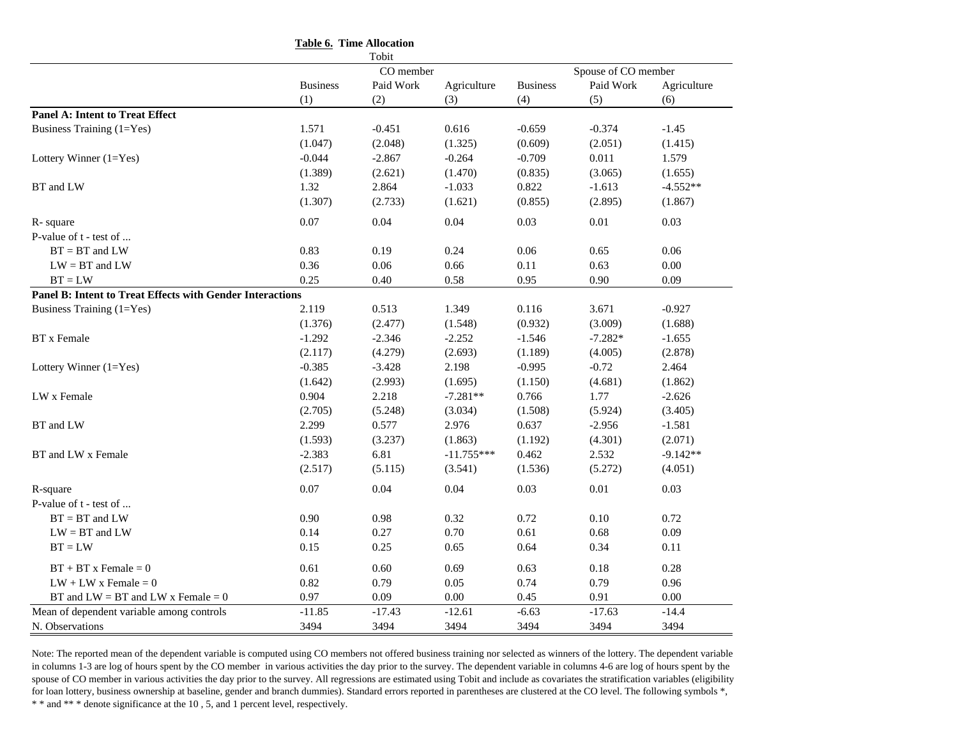|                                                                  |                                  | <b>Table 6. Time Allocation</b> |              |                 |           |             |  |  |  |
|------------------------------------------------------------------|----------------------------------|---------------------------------|--------------|-----------------|-----------|-------------|--|--|--|
|                                                                  |                                  | Tobit                           |              |                 |           |             |  |  |  |
|                                                                  | CO member<br>Spouse of CO member |                                 |              |                 |           |             |  |  |  |
|                                                                  | <b>Business</b>                  | Paid Work                       | Agriculture  | <b>Business</b> | Paid Work | Agriculture |  |  |  |
|                                                                  | (1)                              | (2)                             | (3)          | (4)             | (5)       | (6)         |  |  |  |
| <b>Panel A: Intent to Treat Effect</b>                           |                                  |                                 |              |                 |           |             |  |  |  |
| Business Training (1=Yes)                                        | 1.571                            | $-0.451$                        | 0.616        | $-0.659$        | $-0.374$  | $-1.45$     |  |  |  |
|                                                                  | (1.047)                          | (2.048)                         | (1.325)      | (0.609)         | (2.051)   | (1.415)     |  |  |  |
| Lottery Winner $(1 = Yes)$                                       | $-0.044$                         | $-2.867$                        | $-0.264$     | $-0.709$        | 0.011     | 1.579       |  |  |  |
|                                                                  | (1.389)                          | (2.621)                         | (1.470)      | (0.835)         | (3.065)   | (1.655)     |  |  |  |
| BT and LW                                                        | 1.32                             | 2.864                           | $-1.033$     | 0.822           | $-1.613$  | $-4.552**$  |  |  |  |
|                                                                  | (1.307)                          | (2.733)                         | (1.621)      | (0.855)         | (2.895)   | (1.867)     |  |  |  |
| R-square                                                         | 0.07                             | 0.04                            | 0.04         | 0.03            | 0.01      | 0.03        |  |  |  |
| P-value of t - test of                                           |                                  |                                 |              |                 |           |             |  |  |  |
| $BT = BT$ and $LW$                                               | 0.83                             | 0.19                            | 0.24         | 0.06            | 0.65      | 0.06        |  |  |  |
| $LW = BT$ and $LW$                                               | 0.36                             | 0.06                            | 0.66         | 0.11            | 0.63      | 0.00        |  |  |  |
| $BT = LW$                                                        | 0.25                             | 0.40                            | 0.58         | 0.95            | 0.90      | 0.09        |  |  |  |
| <b>Panel B: Intent to Treat Effects with Gender Interactions</b> |                                  |                                 |              |                 |           |             |  |  |  |
| Business Training (1=Yes)                                        | 2.119                            | 0.513                           | 1.349        | 0.116           | 3.671     | $-0.927$    |  |  |  |
|                                                                  | (1.376)                          | (2.477)                         | (1.548)      | (0.932)         | (3.009)   | (1.688)     |  |  |  |
| <b>BT</b> x Female                                               | $-1.292$                         | $-2.346$                        | $-2.252$     | $-1.546$        | $-7.282*$ | $-1.655$    |  |  |  |
|                                                                  | (2.117)                          | (4.279)                         | (2.693)      | (1.189)         | (4.005)   | (2.878)     |  |  |  |
| Lottery Winner $(1 = Yes)$                                       | $-0.385$                         | $-3.428$                        | 2.198        | $-0.995$        | $-0.72$   | 2.464       |  |  |  |
|                                                                  | (1.642)                          | (2.993)                         | (1.695)      | (1.150)         | (4.681)   | (1.862)     |  |  |  |
| LW x Female                                                      | 0.904                            | 2.218                           | $-7.281**$   | 0.766           | 1.77      | $-2.626$    |  |  |  |
|                                                                  | (2.705)                          | (5.248)                         | (3.034)      | (1.508)         | (5.924)   | (3.405)     |  |  |  |
| BT and LW                                                        | 2.299                            | 0.577                           | 2.976        | 0.637           | $-2.956$  | $-1.581$    |  |  |  |
|                                                                  | (1.593)                          | (3.237)                         | (1.863)      | (1.192)         | (4.301)   | (2.071)     |  |  |  |
| BT and LW x Female                                               | $-2.383$                         | 6.81                            | $-11.755***$ | 0.462           | 2.532     | $-9.142**$  |  |  |  |
|                                                                  | (2.517)                          | (5.115)                         | (3.541)      | (1.536)         | (5.272)   | (4.051)     |  |  |  |
| R-square                                                         | 0.07                             | 0.04                            | 0.04         | 0.03            | 0.01      | 0.03        |  |  |  |
| P-value of t - test of                                           |                                  |                                 |              |                 |           |             |  |  |  |
| $BT = BT$ and $LW$                                               | 0.90                             | 0.98                            | 0.32         | 0.72            | 0.10      | 0.72        |  |  |  |
| $LW = BT$ and $LW$                                               | 0.14                             | 0.27                            | 0.70         | 0.61            | 0.68      | 0.09        |  |  |  |
| $BT = LW$                                                        | 0.15                             | 0.25                            | 0.65         | 0.64            | 0.34      | 0.11        |  |  |  |
| $BT + BT x Female = 0$                                           | 0.61                             | 0.60                            | 0.69         | 0.63            | 0.18      | 0.28        |  |  |  |
| $LW + LW \times Female = 0$                                      | 0.82                             | 0.79                            | 0.05         | 0.74            | 0.79      | 0.96        |  |  |  |
| BT and $LW = BT$ and $LW$ x Female = 0                           | 0.97                             | 0.09                            | 0.00         | 0.45            | 0.91      | 0.00        |  |  |  |
| Mean of dependent variable among controls                        | $-11.85$                         | $-17.43$                        | $-12.61$     | $-6.63$         | $-17.63$  | $-14.4$     |  |  |  |
| N. Observations                                                  | 3494                             | 3494                            | 3494         | 3494            | 3494      | 3494        |  |  |  |

Note: The reported mean of the dependent variable is computed using CO members not offered business training nor selected as winners of the lottery. The dependent variable in columns 1-3 are log of hours spent by the CO member in various activities the day prior to the survey. The dependent variable in columns 4-6 are log of hours spent by the spouse of CO member in various activities the day prior to the survey. All regressions are estimated using Tobit and include as covariates the stratification variables (eligibility for loan lottery, business ownership at baseline, gender and branch dummies). Standard errors reported in parentheses are clustered at the CO level. The following symbols \*, \* \* and \*\* \* denote significance at the 10, 5, and 1 percent level, respectively.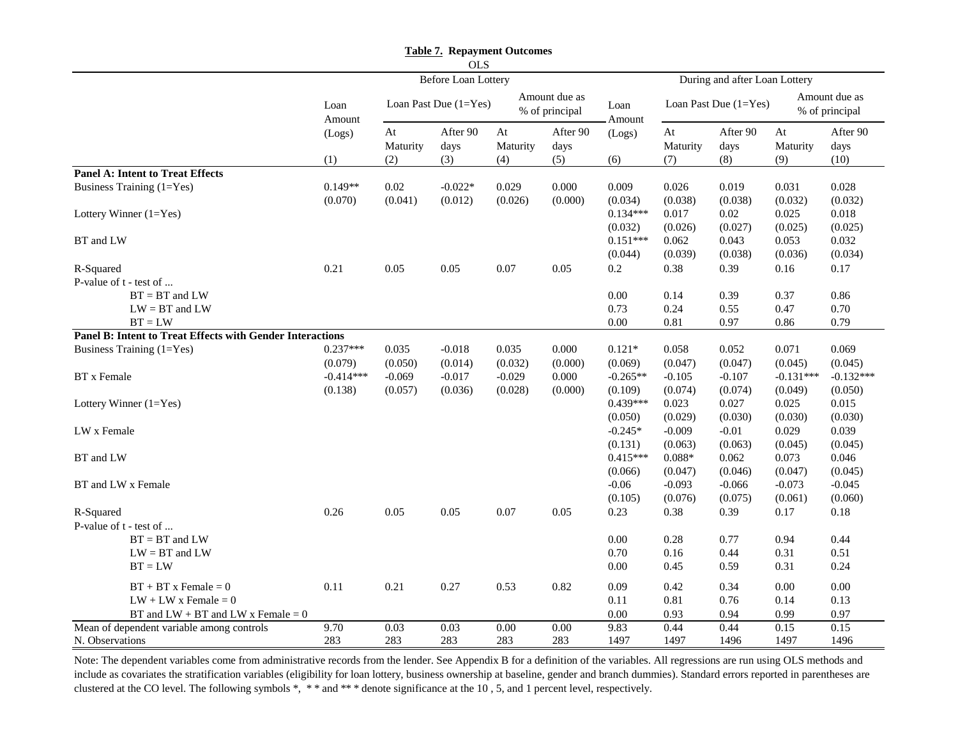|                                                                  |                      |                       | <b>OLS</b>                 |                       |                                 |                       |                       |                               |                       |                                 |
|------------------------------------------------------------------|----------------------|-----------------------|----------------------------|-----------------------|---------------------------------|-----------------------|-----------------------|-------------------------------|-----------------------|---------------------------------|
|                                                                  |                      |                       | <b>Before Loan Lottery</b> |                       |                                 |                       |                       | During and after Loan Lottery |                       |                                 |
|                                                                  | Loan<br>Amount       |                       | Loan Past Due $(1 = Yes)$  |                       | Amount due as<br>% of principal | Loan<br>Amount        |                       | Loan Past Due (1=Yes)         |                       | Amount due as<br>% of principal |
|                                                                  | (Logs)<br>(1)        | At<br>Maturity<br>(2) | After 90<br>days<br>(3)    | At<br>Maturity<br>(4) | After 90<br>days<br>(5)         | (Logs)<br>(6)         | At<br>Maturity<br>(7) | After 90<br>days<br>(8)       | At<br>Maturity<br>(9) | After 90<br>days<br>(10)        |
| <b>Panel A: Intent to Treat Effects</b>                          |                      |                       |                            |                       |                                 |                       |                       |                               |                       |                                 |
| Business Training (1=Yes)                                        | $0.149**$<br>(0.070) | 0.02<br>(0.041)       | $-0.022*$<br>(0.012)       | 0.029<br>(0.026)      | 0.000<br>(0.000)                | 0.009<br>(0.034)      | 0.026<br>(0.038)      | 0.019<br>(0.038)              | 0.031<br>(0.032)      | 0.028<br>(0.032)                |
| Lottery Winner $(1 = Yes)$                                       |                      |                       |                            |                       |                                 | $0.134***$<br>(0.032) | 0.017<br>(0.026)      | 0.02<br>(0.027)               | 0.025<br>(0.025)      | 0.018<br>(0.025)                |
| BT and LW                                                        |                      |                       |                            |                       |                                 | $0.151***$<br>(0.044) | 0.062<br>(0.039)      | 0.043<br>(0.038)              | 0.053<br>(0.036)      | 0.032<br>(0.034)                |
| R-Squared                                                        | 0.21                 | 0.05                  | 0.05                       | 0.07                  | 0.05                            | 0.2                   | 0.38                  | 0.39                          | 0.16                  | 0.17                            |
| P-value of $t - test$ of                                         |                      |                       |                            |                       |                                 |                       |                       |                               |                       |                                 |
| $BT = BT$ and $LW$                                               |                      |                       |                            |                       |                                 | 0.00                  | 0.14                  | 0.39                          | 0.37                  | 0.86                            |
| $LW = BT$ and $LW$                                               |                      |                       |                            |                       |                                 | 0.73                  | 0.24                  | 0.55                          | 0.47                  | 0.70                            |
| $BT = LW$                                                        |                      |                       |                            |                       |                                 | 0.00                  | 0.81                  | 0.97                          | 0.86                  | 0.79                            |
| <b>Panel B: Intent to Treat Effects with Gender Interactions</b> |                      |                       |                            |                       |                                 |                       |                       |                               |                       |                                 |
| Business Training (1=Yes)                                        | $0.237***$           | 0.035                 | $-0.018$                   | 0.035                 | 0.000                           | $0.121*$              | 0.058                 | 0.052                         | 0.071                 | 0.069                           |
|                                                                  | (0.079)              | (0.050)               | (0.014)                    | (0.032)               | (0.000)                         | (0.069)               | (0.047)               | (0.047)                       | (0.045)               | (0.045)                         |
| <b>BT</b> x Female                                               | $-0.414***$          | $-0.069$              | $-0.017$                   | $-0.029$              | 0.000                           | $-0.265**$            | $-0.105$              | $-0.107$                      | $-0.131***$           | $-0.132***$                     |
|                                                                  | (0.138)              | (0.057)               | (0.036)                    | (0.028)               | (0.000)                         | (0.109)<br>$0.439***$ | (0.074)               | (0.074)                       | (0.049)               | (0.050)                         |
| Lottery Winner $(1 = Yes)$                                       |                      |                       |                            |                       |                                 |                       | 0.023                 | 0.027                         | 0.025                 | 0.015                           |
| LW x Female                                                      |                      |                       |                            |                       |                                 | (0.050)               | (0.029)<br>$-0.009$   | (0.030)                       | (0.030)               | (0.030)<br>0.039                |
|                                                                  |                      |                       |                            |                       |                                 | $-0.245*$<br>(0.131)  | (0.063)               | $-0.01$<br>(0.063)            | 0.029<br>(0.045)      | (0.045)                         |
| BT and LW                                                        |                      |                       |                            |                       |                                 | $0.415***$            | $0.088*$              | 0.062                         | 0.073                 | 0.046                           |
|                                                                  |                      |                       |                            |                       |                                 | (0.066)               | (0.047)               | (0.046)                       | (0.047)               | (0.045)                         |
| BT and LW x Female                                               |                      |                       |                            |                       |                                 | $-0.06$               | $-0.093$              | $-0.066$                      | $-0.073$              | $-0.045$                        |
|                                                                  |                      |                       |                            |                       |                                 | (0.105)               | (0.076)               | (0.075)                       | (0.061)               | (0.060)                         |
| R-Squared                                                        | 0.26                 | 0.05                  | 0.05                       | 0.07                  | 0.05                            | 0.23                  | 0.38                  | 0.39                          | 0.17                  | 0.18                            |
| P-value of t - test of                                           |                      |                       |                            |                       |                                 |                       |                       |                               |                       |                                 |
| $BT = BT$ and $LW$                                               |                      |                       |                            |                       |                                 | 0.00                  | 0.28                  | 0.77                          | 0.94                  | 0.44                            |
| $LW = BT$ and $LW$                                               |                      |                       |                            |                       |                                 | 0.70                  | 0.16                  | 0.44                          | 0.31                  | 0.51                            |
| $BT = LW$                                                        |                      |                       |                            |                       |                                 | 0.00                  | 0.45                  | 0.59                          | 0.31                  | 0.24                            |
| $BT + BT x Female = 0$                                           | 0.11                 | 0.21                  | 0.27                       | 0.53                  | 0.82                            | 0.09                  | 0.42                  | 0.34                          | 0.00                  | 0.00                            |
| $LW + LW$ x Female = 0                                           |                      |                       |                            |                       |                                 | 0.11                  | 0.81                  | 0.76                          | 0.14                  | 0.13                            |
| BT and $LW + BT$ and $LW$ x Female = 0                           |                      |                       |                            |                       |                                 | 0.00                  | 0.93                  | 0.94                          | 0.99                  | 0.97                            |
| Mean of dependent variable among controls                        | 9.70                 | 0.03                  | 0.03                       | 0.00                  | 0.00                            | 9.83                  | 0.44                  | 0.44                          | 0.15                  | 0.15                            |
| N. Observations                                                  | 283                  | 283                   | 283                        | 283                   | 283                             | 1497                  | 1497                  | 1496                          | 1497                  | 1496                            |

**Table 7. Repayment Outcomes** 

Note: The dependent variables come from administrative records from the lender. See Appendix B for a definition of the variables. All regressions are run using OLS methods and include as covariates the stratification variables (eligibility for loan lottery, business ownership at baseline, gender and branch dummies). Standard errors reported in parentheses are clustered at the CO level. The following symbols \*, \* \* and \*\* \* denote significance at the 10 , 5, and 1 percent level, respectively.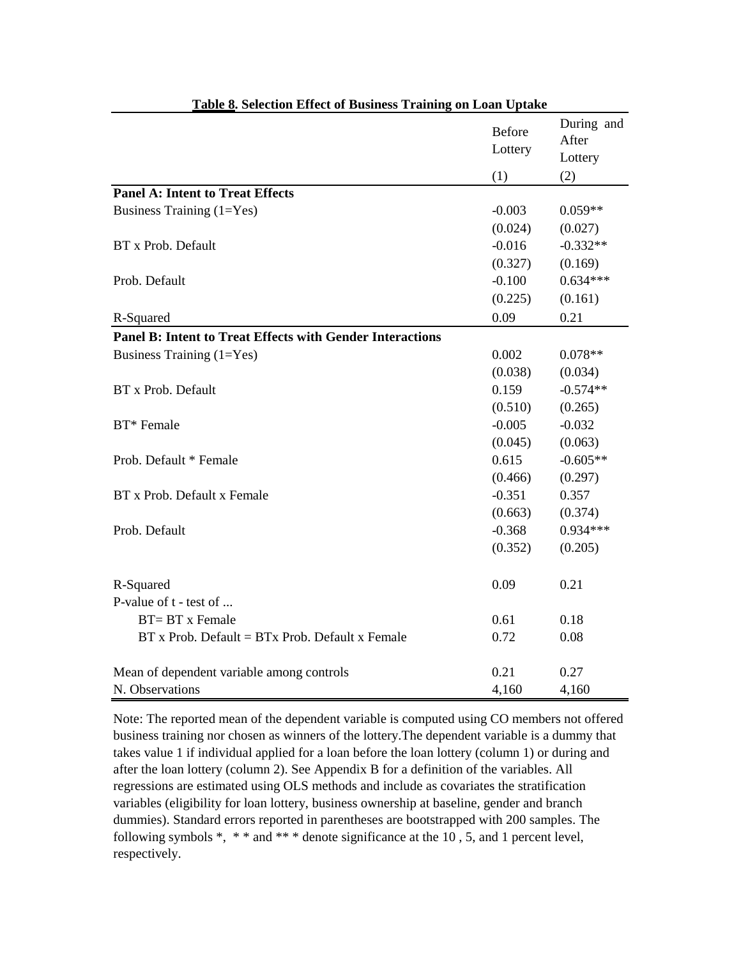|                                                                  | Before<br>Lottery | During and<br>After<br>Lottery |
|------------------------------------------------------------------|-------------------|--------------------------------|
|                                                                  | (1)               | (2)                            |
| <b>Panel A: Intent to Treat Effects</b>                          |                   |                                |
| Business Training $(1=Yes)$                                      | $-0.003$          | $0.059**$                      |
|                                                                  | (0.024)           | (0.027)                        |
| BT x Prob. Default                                               | $-0.016$          | $-0.332**$                     |
|                                                                  | (0.327)           | (0.169)                        |
| Prob. Default                                                    | $-0.100$          | $0.634***$                     |
|                                                                  | (0.225)           | (0.161)                        |
| R-Squared                                                        | 0.09              | 0.21                           |
| <b>Panel B: Intent to Treat Effects with Gender Interactions</b> |                   |                                |
| Business Training $(1 = Yes)$                                    | 0.002             | $0.078**$                      |
|                                                                  | (0.038)           | (0.034)                        |
| BT x Prob. Default                                               | 0.159             | $-0.574**$                     |
|                                                                  | (0.510)           | (0.265)                        |
| BT* Female                                                       | $-0.005$          | $-0.032$                       |
|                                                                  | (0.045)           | (0.063)                        |
| Prob. Default * Female                                           | 0.615             | $-0.605**$                     |
|                                                                  | (0.466)           | (0.297)                        |
| BT x Prob. Default x Female                                      | $-0.351$          | 0.357                          |
|                                                                  | (0.663)           | (0.374)                        |
| Prob. Default                                                    | $-0.368$          | $0.934***$                     |
|                                                                  | (0.352)           | (0.205)                        |
| R-Squared                                                        | 0.09              | 0.21                           |
| P-value of t - test of                                           |                   |                                |
| BT= BT x Female                                                  | 0.61              | 0.18                           |
| $BT x$ Prob. Default = $BTx$ Prob. Default x Female              | 0.72              | 0.08                           |
| Mean of dependent variable among controls                        | 0.21              | 0.27                           |
| N. Observations                                                  | 4,160             | 4,160                          |

**Table 8. Selection Effect of Business Training on Loan Uptake**

Note: The reported mean of the dependent variable is computed using CO members not offered business training nor chosen as winners of the lottery.The dependent variable is a dummy that takes value 1 if individual applied for a loan before the loan lottery (column 1) or during and after the loan lottery (column 2). See Appendix B for a definition of the variables. All regressions are estimated using OLS methods and include as covariates the stratification variables (eligibility for loan lottery, business ownership at baseline, gender and branch dummies). Standard errors reported in parentheses are bootstrapped with 200 samples. The following symbols \*, \* \* and \*\* \* denote significance at the 10 , 5, and 1 percent level, respectively.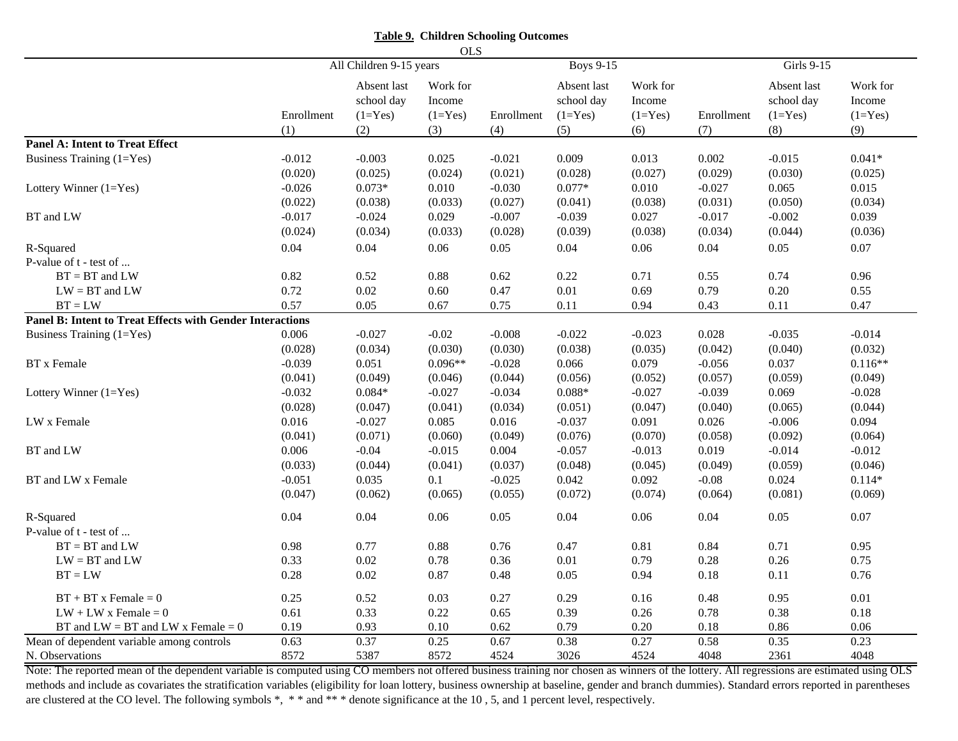|                                                                                     |                     |                                               |                                        | <b>Table 9. Children Schooling Outcomes</b> |                                               |                                        |                     |                                               |                                        |
|-------------------------------------------------------------------------------------|---------------------|-----------------------------------------------|----------------------------------------|---------------------------------------------|-----------------------------------------------|----------------------------------------|---------------------|-----------------------------------------------|----------------------------------------|
|                                                                                     |                     |                                               | <b>OLS</b>                             |                                             |                                               |                                        |                     |                                               |                                        |
|                                                                                     |                     | All Children 9-15 years                       |                                        |                                             | <b>Boys 9-15</b>                              |                                        | Girls 9-15          |                                               |                                        |
|                                                                                     | Enrollment<br>(1)   | Absent last<br>school day<br>$(1=Yes)$<br>(2) | Work for<br>Income<br>$(1=Yes)$<br>(3) | Enrollment<br>(4)                           | Absent last<br>school day<br>$(1=Yes)$<br>(5) | Work for<br>Income<br>$(1=Yes)$<br>(6) | Enrollment<br>(7)   | Absent last<br>school day<br>$(1=Yes)$<br>(8) | Work for<br>Income<br>$(1=Yes)$<br>(9) |
| <b>Panel A: Intent to Treat Effect</b>                                              |                     |                                               |                                        |                                             |                                               |                                        |                     |                                               |                                        |
| Business Training $(1=Yes)$                                                         | $-0.012$<br>(0.020) | $-0.003$<br>(0.025)                           | 0.025<br>(0.024)                       | $-0.021$<br>(0.021)                         | 0.009<br>(0.028)                              | 0.013<br>(0.027)                       | 0.002<br>(0.029)    | $-0.015$<br>(0.030)                           | $0.041*$<br>(0.025)                    |
| Lottery Winner $(1=Yes)$                                                            | $-0.026$<br>(0.022) | $0.073*$<br>(0.038)                           | 0.010<br>(0.033)                       | $-0.030$<br>(0.027)                         | $0.077*$<br>(0.041)                           | 0.010<br>(0.038)                       | $-0.027$<br>(0.031) | 0.065<br>(0.050)                              | 0.015<br>(0.034)                       |
| BT and LW                                                                           | $-0.017$<br>(0.024) | $-0.024$<br>(0.034)                           | 0.029<br>(0.033)                       | $-0.007$<br>(0.028)                         | $-0.039$<br>(0.039)                           | 0.027<br>(0.038)                       | $-0.017$<br>(0.034) | $-0.002$<br>(0.044)                           | 0.039<br>(0.036)                       |
| R-Squared<br>P-value of t - test of                                                 | 0.04                | 0.04                                          | 0.06                                   | 0.05                                        | 0.04                                          | 0.06                                   | 0.04                | 0.05                                          | 0.07                                   |
| $BT = BT$ and $LW$<br>$LW = BT$ and $LW$                                            | 0.82<br>0.72        | 0.52<br>0.02                                  | 0.88<br>0.60                           | 0.62<br>0.47                                | 0.22<br>0.01                                  | 0.71<br>0.69                           | 0.55<br>0.79        | 0.74<br>0.20                                  | 0.96<br>0.55                           |
| $BT = LW$                                                                           | 0.57                | 0.05                                          | 0.67                                   | 0.75                                        | 0.11                                          | 0.94                                   | 0.43                | 0.11                                          | 0.47                                   |
| <b>Panel B: Intent to Treat Effects with Gender Interactions</b>                    | 0.006               | $-0.027$                                      | $-0.02$                                | $-0.008$                                    | $-0.022$                                      | $-0.023$                               | 0.028               | $-0.035$                                      | $-0.014$                               |
| Business Training (1=Yes)                                                           | (0.028)             | (0.034)                                       | (0.030)                                | (0.030)                                     | (0.038)                                       | (0.035)                                | (0.042)             | (0.040)                                       | (0.032)                                |
| <b>BT</b> x Female                                                                  | $-0.039$<br>(0.041) | 0.051<br>(0.049)                              | $0.096**$<br>(0.046)                   | $-0.028$<br>(0.044)                         | 0.066<br>(0.056)                              | 0.079<br>(0.052)                       | $-0.056$<br>(0.057) | 0.037<br>(0.059)                              | $0.116**$<br>(0.049)                   |
| Lottery Winner $(1=Yes)$                                                            | $-0.032$<br>(0.028) | $0.084*$<br>(0.047)                           | $-0.027$<br>(0.041)                    | $-0.034$<br>(0.034)                         | $0.088*$<br>(0.051)                           | $-0.027$<br>(0.047)                    | $-0.039$<br>(0.040) | 0.069<br>(0.065)                              | $-0.028$<br>(0.044)                    |
| LW x Female                                                                         | 0.016<br>(0.041)    | $-0.027$<br>(0.071)                           | 0.085<br>(0.060)                       | 0.016<br>(0.049)                            | $-0.037$<br>(0.076)                           | 0.091<br>(0.070)                       | 0.026<br>(0.058)    | $-0.006$<br>(0.092)                           | 0.094<br>(0.064)                       |
| BT and LW                                                                           | 0.006<br>(0.033)    | $-0.04$<br>(0.044)                            | $-0.015$<br>(0.041)                    | 0.004<br>(0.037)                            | $-0.057$<br>(0.048)                           | $-0.013$<br>(0.045)                    | 0.019<br>(0.049)    | $-0.014$<br>(0.059)                           | $-0.012$<br>(0.046)                    |
| BT and LW x Female                                                                  | $-0.051$<br>(0.047) | 0.035<br>(0.062)                              | 0.1<br>(0.065)                         | $-0.025$<br>(0.055)                         | 0.042<br>(0.072)                              | 0.092<br>(0.074)                       | $-0.08$<br>(0.064)  | 0.024<br>(0.081)                              | $0.114*$<br>(0.069)                    |
| R-Squared<br>P-value of t - test of                                                 | 0.04                | 0.04                                          | 0.06                                   | 0.05                                        | 0.04                                          | 0.06                                   | 0.04                | 0.05                                          | 0.07                                   |
| $BT = BT$ and $LW$                                                                  | 0.98                | 0.77                                          | 0.88                                   | 0.76                                        | 0.47                                          | 0.81                                   | 0.84                | 0.71                                          | 0.95                                   |
| $LW = BT$ and $LW$                                                                  | 0.33                | 0.02                                          | 0.78                                   | 0.36                                        | 0.01                                          | 0.79                                   | $0.28\,$            | 0.26                                          | 0.75                                   |
| $BT = LW$                                                                           | 0.28                | 0.02                                          | 0.87                                   | 0.48                                        | 0.05                                          | 0.94                                   | 0.18                | 0.11                                          | 0.76                                   |
| $BT + BT x Female = 0$                                                              | 0.25                | 0.52                                          | 0.03                                   | 0.27                                        | 0.29                                          | 0.16                                   | 0.48                | 0.95                                          | 0.01                                   |
| $LW + LW$ x Female = 0                                                              | 0.61                | 0.33                                          | 0.22                                   | 0.65                                        | 0.39                                          | 0.26                                   | 0.78                | 0.38                                          | 0.18                                   |
| BT and $LW = BT$ and $LW$ x Female = 0<br>Mean of dependent variable among controls | 0.19<br>0.63        | 0.93<br>0.37                                  | 0.10<br>0.25                           | 0.62<br>0.67                                | 0.79<br>0.38                                  | 0.20<br>0.27                           | 0.18<br>0.58        | 0.86<br>0.35                                  | 0.06<br>0.23                           |
| N. Observations                                                                     | 8572                | 5387                                          | 8572                                   | 4524                                        | 3026                                          | 4524                                   | 4048                | 2361                                          | 4048                                   |

Note: The reported mean of the dependent variable is computed using CO members not offered business training nor chosen as winners of the lottery. All regressions are estimated using OLS methods and include as covariates the stratification variables (eligibility for loan lottery, business ownership at baseline, gender and branch dummies). Standard errors reported in parentheses are clustered at the CO level. The following symbols \*, \*\* and \*\* \* denote significance at the 10,5, and 1 percent level, respectively.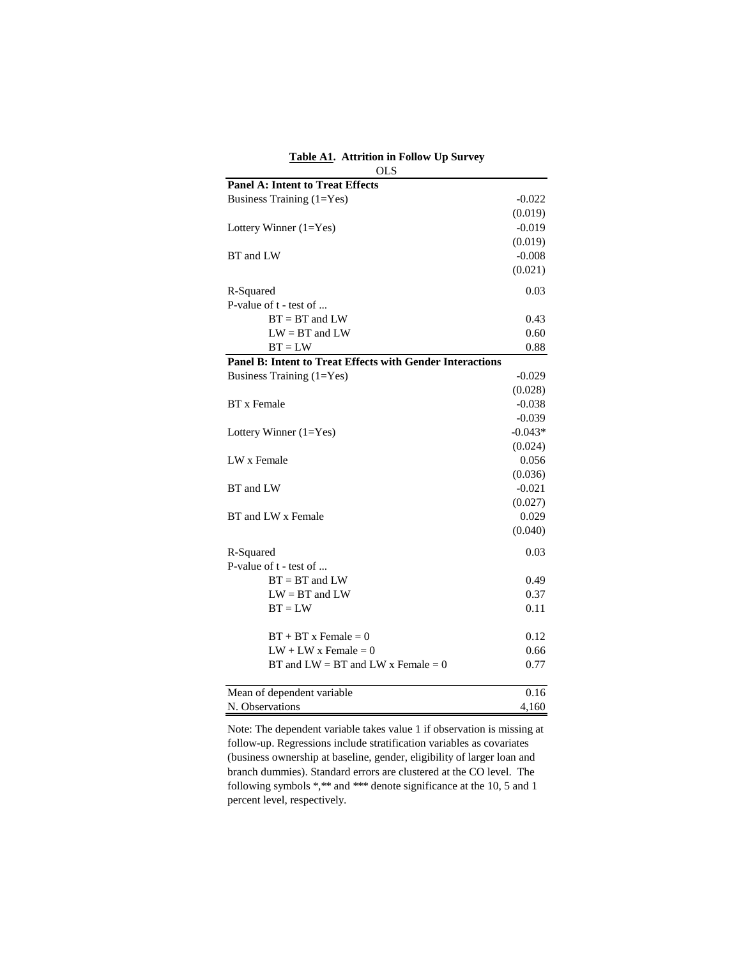| <b>Table A1.</b> Attrition in Follow Up Survey<br>OLS            |           |
|------------------------------------------------------------------|-----------|
| <b>Panel A: Intent to Treat Effects</b>                          |           |
| Business Training (1=Yes)                                        | $-0.022$  |
|                                                                  | (0.019)   |
| Lottery Winner $(1=Yes)$                                         | $-0.019$  |
|                                                                  | (0.019)   |
| BT and LW                                                        | $-0.008$  |
|                                                                  | (0.021)   |
| R-Squared                                                        | 0.03      |
| P-value of t - test of                                           |           |
| $BT = BT$ and $LW$                                               | 0.43      |
| $LW = BT$ and $LW$                                               | 0.60      |
| $BT = LW$                                                        | 0.88      |
| <b>Panel B: Intent to Treat Effects with Gender Interactions</b> |           |
| Business Training $(1=Yes)$                                      | $-0.029$  |
|                                                                  | (0.028)   |
| <b>BT</b> x Female                                               | $-0.038$  |
|                                                                  | $-0.039$  |
| Lottery Winner $(1=Yes)$                                         | $-0.043*$ |
|                                                                  | (0.024)   |
| LW <sub>x</sub> Female                                           | 0.056     |
|                                                                  | (0.036)   |
| BT and LW                                                        | $-0.021$  |
|                                                                  | (0.027)   |
| BT and LW x Female                                               | 0.029     |
|                                                                  | (0.040)   |
| R-Squared                                                        | 0.03      |
| P-value of t - test of                                           |           |
| $BT = BT$ and $LW$                                               | 0.49      |
| $LW = BT$ and $LW$                                               | 0.37      |
| $BT = LW$                                                        | 0.11      |
| $BT + BT x Female = 0$                                           | 0.12      |
| $LW + LW \times Female = 0$                                      | 0.66      |
| BT and $LW = BT$ and $LWx$ Female = 0                            | 0.77      |
| Mean of dependent variable                                       | 0.16      |
| N. Observations                                                  | 4.160     |

Note: The dependent variable takes value 1 if observation is missing at follow-up. Regressions include stratification variables as covariates (business ownership at baseline, gender, eligibility of larger loan and branch dummies). Standard errors are clustered at the CO level. The following symbols \*,\*\* and \*\*\* denote significance at the 10, 5 and 1 percent level, respectively.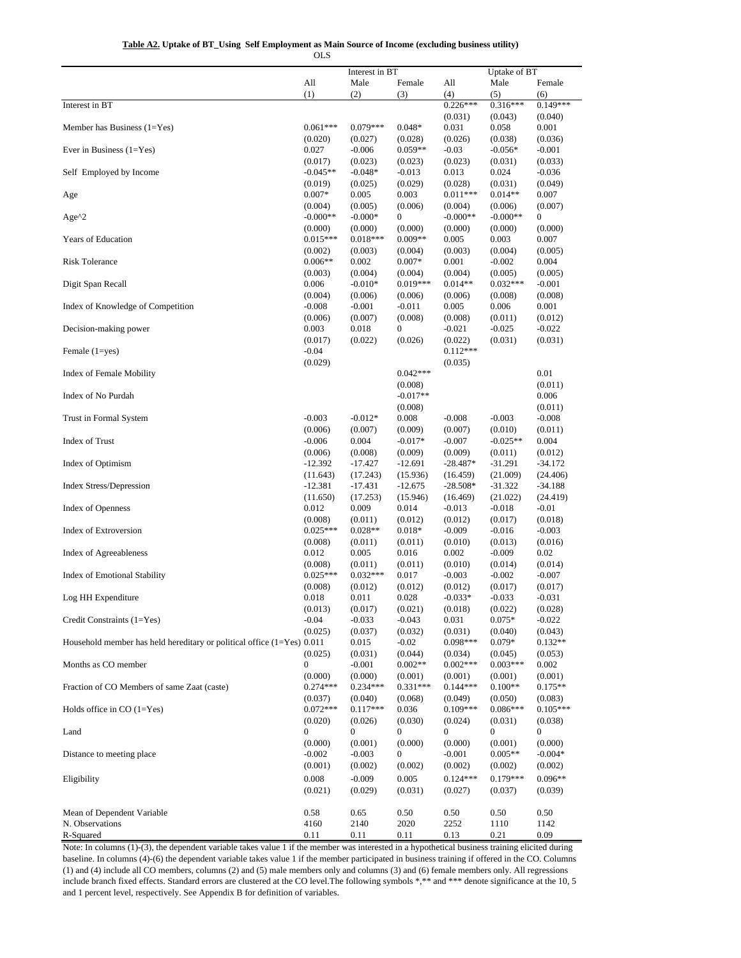**Table A2. Uptake of BT\_Using Self Employment as Main Source of Income (excluding business utility)** OLS

All Male Female All Male Female (1) (2) (3) (4) (5) (6) Interest in BT  $0.226***$   $0.316***$   $0.149***$  $(0.031)$   $(0.043)$   $(0.040)$ Member has Business (1=Yes) 0.061\*\*\* 0.079\*\*\* 0.048\* 0.031 0.058 0.001  $(0.020)$   $(0.027)$   $(0.028)$   $(0.026)$   $(0.038)$   $(0.036)$ Ever in Business (1=Yes) 0.027 -0.006 0.059<sup>\*\*</sup> -0.03 -0.056<sup>\*</sup> -0.001 (0.017) (0.023) (0.023) (0.023) (0.031) (0.033) Self Employed by Income  $-0.045** -0.048* -0.013 -0.013 -0.024 -0.036$ (0.019) (0.025) (0.029) (0.028) (0.031) (0.049) Age  $0.007*$   $0.007*$   $0.005$   $0.003$   $0.011***$   $0.014**$   $0.007$  $(0.004)$   $(0.005)$   $(0.006)$   $(0.004)$   $(0.006)$   $(0.007)$  $Age^2$  -0.000\*\* -0.000\* 0 -0.000\* 0 -0.000\*\* 0  $(0.000)$   $(0.000)$   $(0.000)$   $(0.000)$   $(0.000)$   $(0.000)$   $(0.000)$ Years of Education 0.015\*\*\* 0.018\*\*\* 0.009\*\* 0.005 0.003 0.007  $(0.002)$   $(0.003)$   $(0.004)$   $(0.003)$   $(0.004)$   $(0.005)$ Risk Tolerance 2012 10:0004 0.0004 0.0004 0.007 0.007 0.001 0.002 0.004  $(0.003)$   $(0.004)$   $(0.004)$   $(0.004)$   $(0.005)$   $(0.005)$ Digit Span Recall 0.006 -0.010\* 0.019\*\*\* 0.014\*\* 0.032\*\*\* -0.001 (0.004) (0.006) (0.006) (0.006) (0.008) (0.008) Index of Knowledge of Competition -0.008 -0.001 -0.011 0.005 0.006 0.001  $(0.006)$   $(0.007)$   $(0.008)$   $(0.008)$   $(0.011)$   $(0.012)$ Decision-making power 0.003 0.003 0.018 0 -0.021 -0.025 -0.022  $(0.017)$   $(0.022)$   $(0.026)$   $(0.022)$   $(0.031)$   $(0.031)$ Female (1=yes)  $-0.04$  0.112\*\*\*  $(0.029)$   $(0.035)$ Index of Female Mobility 0.042\*\*\* 0.01  $(0.008)$   $(0.011)$ Index of No Purdah 6.0006 0.0006 0.0017<sup>\*\*</sup> 0.0006 0.0017<sup>\*\*</sup>  $(0.008)$  (0.011) Trust in Formal System  $-0.003$   $-0.012*$   $-0.008$   $-0.008$   $-0.003$   $-0.008$  $(0.006)$   $(0.007)$   $(0.009)$   $(0.007)$   $(0.010)$   $(0.011)$ Index of Trust -0.006 0.004 -0.017\* -0.007 -0.025\*\* 0.004  $(0.006)$   $(0.008)$   $(0.009)$   $(0.009)$   $(0.011)$   $(0.012)$ Index of Optimism -12.392 -17.427 -12.691 -28.487\* -31.291 -34.172 (11.643) (17.243) (15.936) (16.459) (21.009) (24.406) Index Stress/Depression -12 381 -17 431 -12 675 -28 508\* -31 322 -34 188 Interest in BT Uptake of BT -12.381-17.431-12.675-28.508\*-31.322-34.188(11.650) (17.253) (15.946) (16.469) (21.022) (24.419) Index of Openness 0.012 0.009 0.014 -0.013 -0.018 -0.01  $(0.008)$   $(0.011)$   $(0.012)$   $(0.012)$   $(0.017)$   $(0.018)$ <br> $0.025***$   $0.028**$   $0.018*$   $0.009$   $0.016$   $0.003$ Index of Extroversion  $0.025***$   $0.028***$   $0.018*$   $0.018*$   $0.009$   $0.016$   $0.003$  $(0.008)$   $(0.011)$   $(0.011)$   $(0.010)$   $(0.013)$   $(0.016)$ Index of Agreeableness 0.012 0.005 0.016 0.002 -0.009 0.02  $(0.008)$   $(0.011)$   $(0.011)$   $(0.010)$   $(0.014)$   $(0.014)$ Index of Emotional Stability 0.025\*\*\* 0.032\*\*\* 0.017 -0.003 -0.002 -0.007  $(0.008)$   $(0.012)$   $(0.012)$   $(0.012)$   $(0.017)$   $(0.017)$ Log HH Expenditure  $0.018$   $0.011$   $0.028$   $0.033*$   $0.033$   $0.031$ (0.013) (0.017) (0.021) (0.018) (0.022) (0.028) Credit Constraints (1=Yes) -0.04 -0.033 -0.043 0.031 0.075\* -0.022  $(0.025)$   $(0.037)$   $(0.032)$   $(0.031)$   $(0.040)$   $(0.043)$ Household member has held hereditary or political office (1=Yes) 0.011 0.015 -0.02 0.098\*\*\* 0.079\* 0.132\*\*  $(0.025)$   $(0.031)$   $(0.044)$   $(0.034)$   $(0.045)$   $(0.053)$ Months as CO member 0 -0.001 0.002\*\* 0.002\*\*\* 0.003\*\*\* 0.002  $(0.000)$   $(0.000)$   $(0.001)$   $(0.001)$   $(0.001)$   $(0.001)$   $(0.001)$ Fraction of CO Members of same Zaat (caste)  $0.274*** \t 0.234*** \t 0.331*** \t 0.144*** \t 0.100** \t 0.175**$  $(0.037)$   $(0.040)$   $(0.068)$   $(0.049)$   $(0.050)$   $(0.083)$ Holds office in CO (1=Yes)  $0.072***$   $0.117***$   $0.036$   $0.109***$   $0.086***$   $0.105***$  $(0.020)$   $(0.026)$   $(0.030)$   $(0.024)$   $(0.031)$   $(0.038)$ Land 000000  $(0.000)$   $(0.001)$   $(0.000)$   $(0.000)$   $(0.001)$   $(0.000)$ Distance to meeting place  $-0.002 -0.003 -0$   $-0.003 -0.001 -0.005** -0.004*$  $(0.001)$   $(0.002)$   $(0.002)$   $(0.002)$   $(0.002)$   $(0.002)$ Eligibility 0.008 -0.009 0.005 0.124\*\*\* 0.179\*\*\* 0.096\*\*  $(0.021)$   $(0.029)$   $(0.031)$   $(0.027)$   $(0.037)$   $(0.039)$ Mean of Dependent Variable **0.58** 0.65 0.50 0.50 0.50 0.50 0.50 0.50 N. Observations 4160 2140 2020 2252 1110 1142 R-Squared 6.11 0.11 0.11 0.11 0.13 0.21 0.09

Note: In columns (1)-(3), the dependent variable takes value 1 if the member was interested in a hypothetical business training elicited during baseline. In columns (4)-(6) the dependent variable takes value 1 if the member participated in business training if offered in the CO. Columns (1) and (4) include all CO members, columns (2) and (5) male members only and columns (3) and (6) female members only. All regressions include branch fixed effects. Standard errors are clustered at the CO level.The following symbols \*,\*\* and \*\*\* denote significance at the 10, 5 and 1 percent level, respectively. See Appendix B for definition of variables.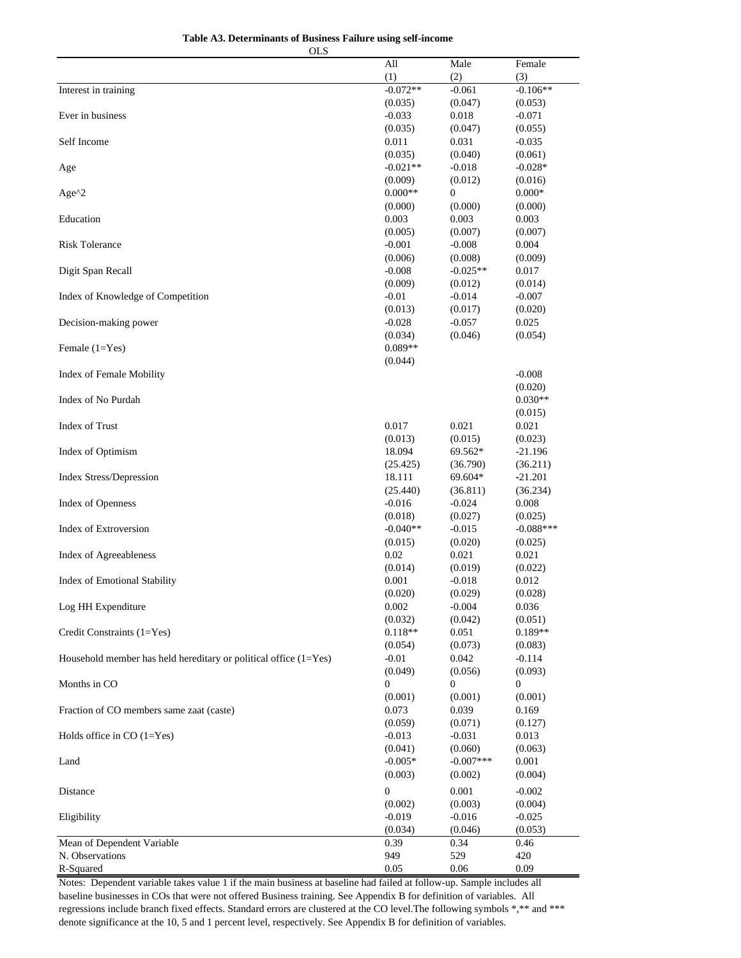**Table A3. Determinants of Business Failure using self-income** OLS

| ∾∟ט                                                              |                |                     |                  |
|------------------------------------------------------------------|----------------|---------------------|------------------|
|                                                                  | All            | Male                | Female           |
|                                                                  | (1)            | (2)                 | (3)              |
| Interest in training                                             | $-0.072**$     | $-0.061$            | $-0.106**$       |
|                                                                  | (0.035)        | (0.047)             | (0.053)          |
| Ever in business                                                 | $-0.033$       | 0.018               | $-0.071$         |
|                                                                  | (0.035)        | (0.047)             | (0.055)          |
| Self Income                                                      | 0.011          | 0.031               | $-0.035$         |
|                                                                  | (0.035)        | (0.040)             | (0.061)          |
| Age                                                              | $-0.021**$     | $-0.018$            | $-0.028*$        |
|                                                                  | (0.009)        | (0.012)             | (0.016)          |
| Age $^{\wedge}2$                                                 | $0.000**$      | 0                   | $0.000*$         |
|                                                                  | (0.000)        | (0.000)             | (0.000)          |
| Education                                                        | 0.003          | 0.003               | 0.003            |
|                                                                  | (0.005)        | (0.007)             | (0.007)          |
| <b>Risk Tolerance</b>                                            | $-0.001$       | $-0.008$            | 0.004            |
|                                                                  | (0.006)        | (0.008)             | (0.009)          |
| Digit Span Recall                                                | $-0.008$       | $-0.025**$          | 0.017            |
|                                                                  |                |                     |                  |
|                                                                  | (0.009)        | (0.012)<br>$-0.014$ | (0.014)          |
| Index of Knowledge of Competition                                | $-0.01$        |                     | $-0.007$         |
|                                                                  | (0.013)        | (0.017)             | (0.020)          |
| Decision-making power                                            | $-0.028$       | $-0.057$            | 0.025            |
|                                                                  | (0.034)        | (0.046)             | (0.054)          |
| Female (1=Yes)                                                   | $0.089**$      |                     |                  |
|                                                                  | (0.044)        |                     |                  |
| Index of Female Mobility                                         |                |                     | $-0.008$         |
|                                                                  |                |                     | (0.020)          |
| Index of No Purdah                                               |                |                     | $0.030**$        |
|                                                                  |                |                     | (0.015)          |
| Index of Trust                                                   | 0.017          | 0.021               | 0.021            |
|                                                                  | (0.013)        | (0.015)             | (0.023)          |
| Index of Optimism                                                | 18.094         | 69.562*             | $-21.196$        |
|                                                                  | (25.425)       | (36.790)            | (36.211)         |
| Index Stress/Depression                                          | 18.111         | 69.604*             | $-21.201$        |
|                                                                  | (25.440)       | (36.811)            | (36.234)         |
| <b>Index of Openness</b>                                         | $-0.016$       | $-0.024$            | 0.008            |
|                                                                  | (0.018)        | (0.027)             | (0.025)          |
| Index of Extroversion                                            | $-0.040**$     | $-0.015$            | $-0.088***$      |
|                                                                  | (0.015)        | (0.020)             | (0.025)          |
| Index of Agreeableness                                           | 0.02           | 0.021               | 0.021            |
|                                                                  | (0.014)        | (0.019)             | (0.022)          |
| Index of Emotional Stability                                     | 0.001          | $-0.018$            | 0.012            |
|                                                                  | (0.020)        | (0.029)             | (0.028)          |
| Log HH Expenditure                                               | 0.002          | $-0.004$            | 0.036            |
|                                                                  | (0.032)        | (0.042)             | (0.051)          |
| Credit Constraints (1=Yes)                                       | $0.118**$      | 0.051               | $0.189**$        |
|                                                                  | (0.054)        | (0.073)             | (0.083)          |
| Household member has held hereditary or political office (1=Yes) | $-0.01$        | 0.042               | $-0.114$         |
|                                                                  | (0.049)        | (0.056)             | (0.093)          |
| Months in CO                                                     | $\overline{0}$ | 0                   | $\boldsymbol{0}$ |
|                                                                  | (0.001)        | (0.001)             | (0.001)          |
| Fraction of CO members same zaat (caste)                         | 0.073          | 0.039               | 0.169            |
|                                                                  | (0.059)        |                     |                  |
|                                                                  |                | (0.071)             | (0.127)          |
| Holds office in $CO(1=Yes)$                                      | $-0.013$       | $-0.031$            | 0.013            |
|                                                                  | (0.041)        | (0.060)             | (0.063)          |
| Land                                                             | $-0.005\,^*$   | $-0.007***$         | 0.001            |
|                                                                  | (0.003)        | (0.002)             | (0.004)          |
| Distance                                                         | $\overline{0}$ | 0.001               | $-0.002$         |
|                                                                  | (0.002)        | (0.003)             | (0.004)          |
| Eligibility                                                      | $-0.019$       | $-0.016$            | $-0.025$         |
|                                                                  | (0.034)        | (0.046)             | (0.053)          |
| Mean of Dependent Variable                                       | 0.39           | 0.34                | 0.46             |
| N. Observations                                                  | 949            | 529                 | 420              |
| R-Squared                                                        | 0.05           | 0.06                | 0.09             |

Notes: Dependent variable takes value 1 if the main business at baseline had failed at follow-up. Sample includes all baseline businesses in COs that were not offered Business training. See Appendix B for definition of variables. All regressions include branch fixed effects. Standard errors are clustered at the CO level.The following symbols \*,\*\* and \*\*\* denote significance at the 10, 5 and 1 percent level, respectively. See Appendix B for definition of variables.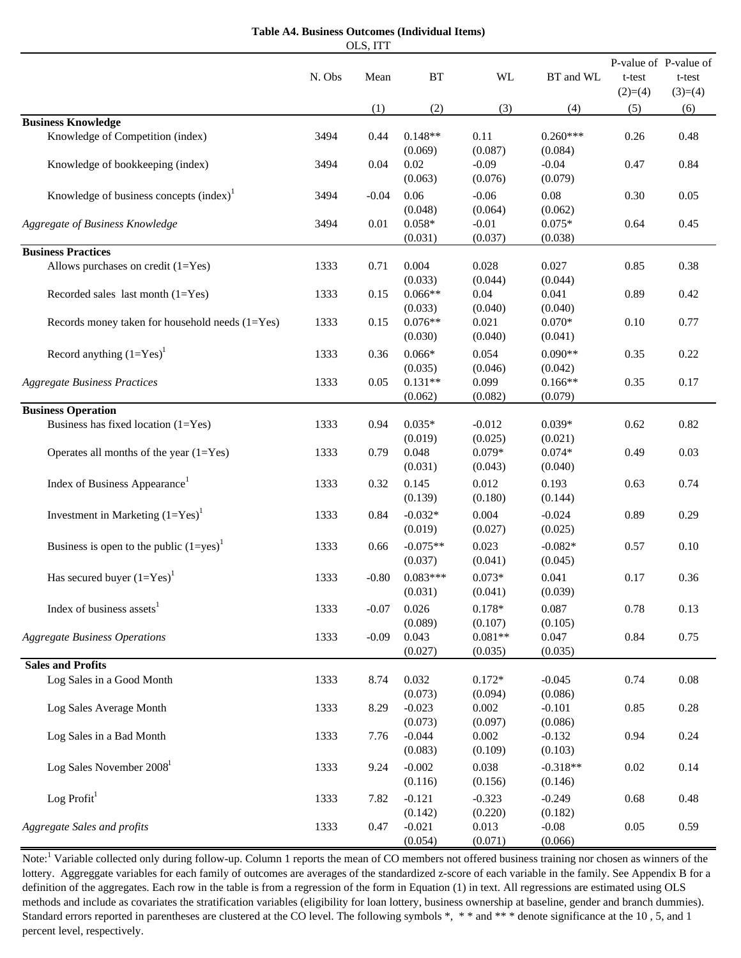|                                                               |        | OLS, ITT |                             |                                 |                               |                     |                                              |
|---------------------------------------------------------------|--------|----------|-----------------------------|---------------------------------|-------------------------------|---------------------|----------------------------------------------|
|                                                               | N. Obs | Mean     | <b>BT</b>                   | <b>WL</b>                       | BT and WL                     | t-test<br>$(2)=(4)$ | P-value of P-value of<br>t-test<br>$(3)=(4)$ |
|                                                               |        | (1)      | (2)                         | (3)                             | (4)                           | (5)                 | (6)                                          |
| <b>Business Knowledge</b><br>Knowledge of Competition (index) | 3494   | 0.44     | $0.148**$                   | 0.11                            | $0.260***$                    | 0.26                | 0.48                                         |
| Knowledge of bookkeeping (index)                              | 3494   | 0.04     | (0.069)<br>0.02<br>(0.063)  | (0.087)<br>$-0.09$<br>(0.076)   | (0.084)<br>$-0.04$<br>(0.079) | 0.47                | 0.84                                         |
| Knowledge of business concepts (index) <sup>1</sup>           | 3494   | $-0.04$  | 0.06<br>(0.048)             | $-0.06$<br>(0.064)              | 0.08<br>(0.062)               | 0.30                | 0.05                                         |
| Aggregate of Business Knowledge                               | 3494   | 0.01     | $0.058*$<br>(0.031)         | $-0.01$<br>(0.037)              | $0.075*$<br>(0.038)           | 0.64                | 0.45                                         |
| <b>Business Practices</b>                                     |        |          |                             |                                 |                               |                     |                                              |
| Allows purchases on credit $(1=Yes)$                          | 1333   | 0.71     | 0.004<br>(0.033)            | 0.028<br>(0.044)                | 0.027<br>(0.044)              | 0.85                | 0.38                                         |
| Recorded sales last month $(1=Yes)$                           | 1333   | 0.15     | $0.066**$<br>(0.033)        | 0.04<br>(0.040)                 | 0.041<br>(0.040)              | 0.89                | 0.42                                         |
| Records money taken for household needs (1=Yes)               | 1333   | 0.15     | $0.076**$<br>(0.030)        | 0.021<br>(0.040)                | $0.070*$<br>(0.041)           | 0.10                | 0.77                                         |
| Record anything $(1=Yes)^1$                                   | 1333   | 0.36     | $0.066*$<br>(0.035)         | 0.054<br>(0.046)                | $0.090**$<br>(0.042)          | 0.35                | 0.22                                         |
| <b>Aggregate Business Practices</b>                           | 1333   | 0.05     | $0.131**$<br>(0.062)        | 0.099<br>(0.082)                | $0.166**$<br>(0.079)          | 0.35                | 0.17                                         |
| <b>Business Operation</b>                                     |        |          |                             |                                 |                               |                     |                                              |
| Business has fixed location (1=Yes)                           | 1333   | 0.94     | $0.035*$<br>(0.019)         | $-0.012$<br>(0.025)             | $0.039*$<br>(0.021)           | 0.62                | 0.82                                         |
| Operates all months of the year $(1=Yes)$                     | 1333   | 0.79     | 0.048<br>(0.031)            | $0.079*$<br>(0.043)             | $0.074*$<br>(0.040)           | 0.49                | 0.03                                         |
| Index of Business Appearance <sup>1</sup>                     | 1333   | 0.32     | 0.145<br>(0.139)            | 0.012<br>(0.180)                | 0.193<br>(0.144)              | 0.63                | 0.74                                         |
| Investment in Marketing $(1=Yes)^{1}$                         | 1333   | 0.84     | $-0.032*$<br>(0.019)        | 0.004<br>(0.027)                | $-0.024$<br>(0.025)           | 0.89                | 0.29                                         |
| Business is open to the public $(1 = yes)^1$                  | 1333   | 0.66     | $-0.075**$<br>(0.037)       | 0.023<br>(0.041)                | $-0.082*$<br>(0.045)          | 0.57                | 0.10                                         |
| Has secured buyer $(1=Yes)^1$                                 | 1333   | $-0.80$  | $0.083***$<br>(0.031)       | $0.073*$<br>(0.041)             | 0.041<br>(0.039)              | 0.17                | 0.36                                         |
| Index of business assets <sup>1</sup>                         | 1333   | $-0.07$  | 0.026                       | $0.178*$                        | 0.087                         | 0.78                | 0.13                                         |
| <b>Aggregate Business Operations</b>                          | 1333   | $-0.09$  | (0.089)<br>0.043<br>(0.027) | (0.107)<br>$0.081**$<br>(0.035) | (0.105)<br>0.047<br>(0.035)   | 0.84                | 0.75                                         |
| <b>Sales and Profits</b>                                      |        |          |                             |                                 |                               |                     |                                              |
| Log Sales in a Good Month                                     | 1333   | 8.74     | 0.032<br>(0.073)            | $0.172*$<br>(0.094)             | $-0.045$<br>(0.086)           | 0.74                | 0.08                                         |
| Log Sales Average Month                                       | 1333   | 8.29     | $-0.023$<br>(0.073)         | 0.002<br>(0.097)                | $-0.101$<br>(0.086)           | 0.85                | 0.28                                         |
| Log Sales in a Bad Month                                      | 1333   | 7.76     | $-0.044$<br>(0.083)         | 0.002<br>(0.109)                | $-0.132$<br>(0.103)           | 0.94                | 0.24                                         |
| Log Sales November 2008 <sup>1</sup>                          | 1333   | 9.24     | $-0.002$<br>(0.116)         | 0.038<br>(0.156)                | $-0.318**$<br>(0.146)         | 0.02                | 0.14                                         |
| Log Profit $1$                                                | 1333   | 7.82     | $-0.121$<br>(0.142)         | $-0.323$<br>(0.220)             | $-0.249$<br>(0.182)           | 0.68                | 0.48                                         |
| <b>Aggregate Sales and profits</b>                            | 1333   | 0.47     | $-0.021$<br>(0.054)         | 0.013<br>(0.071)                | $-0.08$<br>(0.066)            | 0.05                | 0.59                                         |

**Table A4. Business Outcomes (Individual Items)**

Note:<sup>1</sup> Variable collected only during follow-up. Column 1 reports the mean of CO members not offered business training nor chosen as winners of the lottery. Aggreggate variables for each family of outcomes are averages of the standardized z-score of each variable in the family. See Appendix B for a definition of the aggregates. Each row in the table is from a regression of the form in Equation (1) in text. All regressions are estimated using OLS methods and include as covariates the stratification variables (eligibility for loan lottery, business ownership at baseline, gender and branch dummies). Standard errors reported in parentheses are clustered at the CO level. The following symbols \*, \*\* and \*\*\* denote significance at the 10, 5, and 1 percent level, respectively.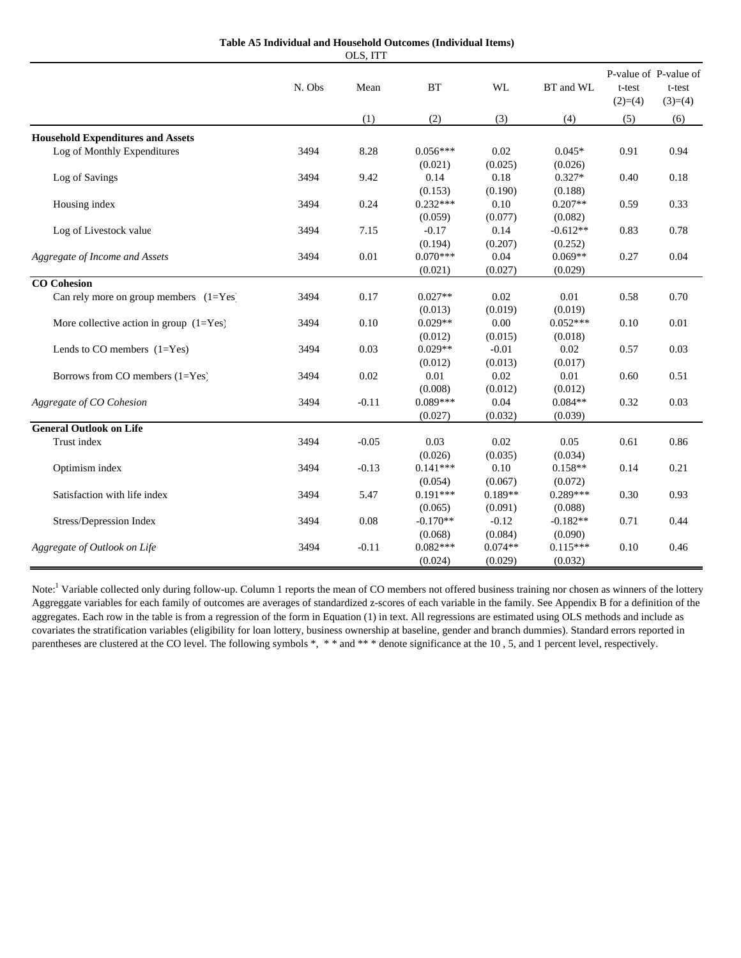| Table A5 Individual and Household Outcomes (Individual Items)<br>OLS, ITT |      |         |            |           |            |      |      |
|---------------------------------------------------------------------------|------|---------|------------|-----------|------------|------|------|
|                                                                           |      |         |            |           |            |      |      |
|                                                                           |      | (1)     | (2)        | (3)       | (4)        | (5)  | (6)  |
| <b>Household Expenditures and Assets</b>                                  |      |         |            |           |            |      |      |
| Log of Monthly Expenditures                                               | 3494 | 8.28    | $0.056***$ | 0.02      | $0.045*$   | 0.91 | 0.94 |
|                                                                           |      |         | (0.021)    | (0.025)   | (0.026)    |      |      |
| Log of Savings                                                            | 3494 | 9.42    | 0.14       | 0.18      | $0.327*$   | 0.40 | 0.18 |
|                                                                           |      |         | (0.153)    | (0.190)   | (0.188)    |      |      |
| Housing index                                                             | 3494 | 0.24    | $0.232***$ | 0.10      | $0.207**$  | 0.59 | 0.33 |
|                                                                           |      |         | (0.059)    | (0.077)   | (0.082)    |      |      |
| Log of Livestock value                                                    | 3494 | 7.15    | $-0.17$    | 0.14      | $-0.612**$ | 0.83 | 0.78 |
|                                                                           |      |         | (0.194)    | (0.207)   | (0.252)    |      |      |
| Aggregate of Income and Assets                                            | 3494 | 0.01    | $0.070***$ | 0.04      | $0.069**$  | 0.27 | 0.04 |
|                                                                           |      |         | (0.021)    | (0.027)   | (0.029)    |      |      |
| <b>CO</b> Cohesion                                                        |      |         |            |           |            |      |      |
| Can rely more on group members $(1=Yes)$                                  | 3494 | 0.17    | $0.027**$  | 0.02      | 0.01       | 0.58 | 0.70 |
|                                                                           |      |         | (0.013)    | (0.019)   | (0.019)    |      |      |
| More collective action in group $(1=Yes)$                                 | 3494 | 0.10    | $0.029**$  | 0.00      | $0.052***$ | 0.10 | 0.01 |
|                                                                           |      |         | (0.012)    | (0.015)   | (0.018)    |      |      |
| Lends to $CO$ members $(1 = Yes)$                                         | 3494 | 0.03    | $0.029**$  | $-0.01$   | 0.02       | 0.57 | 0.03 |
|                                                                           |      |         | (0.012)    | (0.013)   | (0.017)    |      |      |
| Borrows from CO members (1=Yes)                                           | 3494 | 0.02    | 0.01       | 0.02      | 0.01       | 0.60 | 0.51 |
|                                                                           |      |         | (0.008)    | (0.012)   | (0.012)    |      |      |
| Aggregate of CO Cohesion                                                  | 3494 | $-0.11$ | $0.089***$ | 0.04      | $0.084**$  | 0.32 | 0.03 |
|                                                                           |      |         | (0.027)    | (0.032)   | (0.039)    |      |      |
| <b>General Outlook on Life</b>                                            |      |         |            |           |            |      |      |
| Trust index                                                               | 3494 | $-0.05$ | 0.03       | 0.02      | 0.05       | 0.61 | 0.86 |
|                                                                           |      |         | (0.026)    | (0.035)   | (0.034)    |      |      |
| Optimism index                                                            | 3494 | $-0.13$ | $0.141***$ | 0.10      | $0.158**$  | 0.14 | 0.21 |
|                                                                           |      |         | (0.054)    | (0.067)   | (0.072)    |      |      |
| Satisfaction with life index                                              | 3494 | 5.47    | $0.191***$ | $0.189**$ | $0.289***$ | 0.30 | 0.93 |
|                                                                           |      |         | (0.065)    | (0.091)   | (0.088)    |      |      |

Note:<sup>1</sup> Variable collected only during follow-up. Column 1 reports the mean of CO members not offered business training nor chosen as winners of the lottery Aggreggate variables for each family of outcomes are averages of standardized z-scores of each variable in the family. See Appendix B for a definition of the aggregates. Each row in the table is from a regression of the form in Equation (1) in text. All regressions are estimated using OLS methods and include as covariates the stratification variables (eligibility for loan lottery, business ownership at baseline, gender and branch dummies). Standard errors reported in parentheses are clustered at the CO level. The following symbols \*, \*\* and \*\* \* denote significance at the 10, 5, and 1 percent level, respectively.

Stress/Depression Index 3494 0.08 -0.170<sup>\*\*</sup> -0.12 -0.182<sup>\*\*</sup> 0.71 0.44

*Aggregate of Outlook on Life* 3494 -0.11 0.082\*\*\* 0.074\*\* 0.115\*\*\* 0.10 0.46

 $\begin{array}{cccc} (0.068) & & (0.084) & & (0.090) \\ 0.082^{***} & & 0.074^{**} & & 0.115^{***} \end{array}$ 

 $(0.024)$   $(0.029)$   $(0.032)$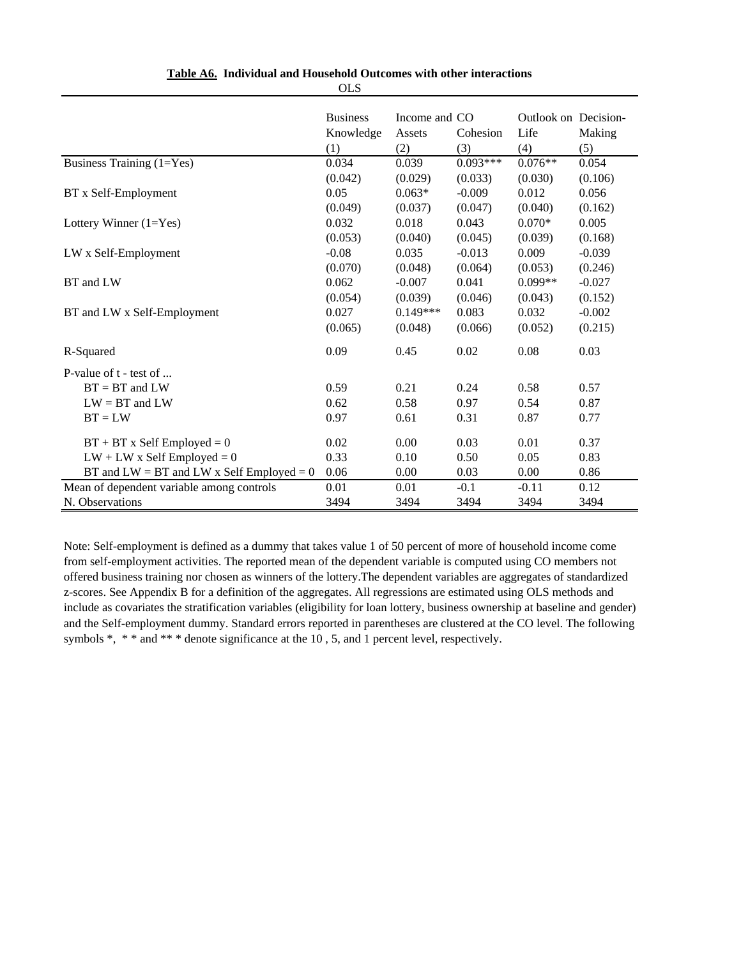|                                               | <b>Business</b> | Income and CO |            | Outlook on Decision- |          |
|-----------------------------------------------|-----------------|---------------|------------|----------------------|----------|
|                                               | Knowledge       | Assets        | Cohesion   | Life                 | Making   |
|                                               | (1)             | (2)           | (3)        | (4)                  | (5)      |
| Business Training $(1 = Yes)$                 | 0.034           | 0.039         | $0.093***$ | $0.076**$            | 0.054    |
|                                               | (0.042)         | (0.029)       | (0.033)    | (0.030)              | (0.106)  |
| BT x Self-Employment                          | 0.05            | $0.063*$      | $-0.009$   | 0.012                | 0.056    |
|                                               | (0.049)         | (0.037)       | (0.047)    | (0.040)              | (0.162)  |
| Lottery Winner $(1=Yes)$                      | 0.032           | 0.018         | 0.043      | $0.070*$             | 0.005    |
|                                               | (0.053)         | (0.040)       | (0.045)    | (0.039)              | (0.168)  |
| LW x Self-Employment                          | $-0.08$         | 0.035         | $-0.013$   | 0.009                | $-0.039$ |
|                                               | (0.070)         | (0.048)       | (0.064)    | (0.053)              | (0.246)  |
| BT and LW                                     | 0.062           | $-0.007$      | 0.041      | $0.099**$            | $-0.027$ |
|                                               | (0.054)         | (0.039)       | (0.046)    | (0.043)              | (0.152)  |
| BT and LW x Self-Employment                   | 0.027           | $0.149***$    | 0.083      | 0.032                | $-0.002$ |
|                                               | (0.065)         | (0.048)       | (0.066)    | (0.052)              | (0.215)  |
| R-Squared                                     | 0.09            | 0.45          | 0.02       | 0.08                 | 0.03     |
| P-value of t - test of                        |                 |               |            |                      |          |
| $BT = BT$ and $LW$                            | 0.59            | 0.21          | 0.24       | 0.58                 | 0.57     |
| $LW = BT$ and $LW$                            | 0.62            | 0.58          | 0.97       | 0.54                 | 0.87     |
| $BT = LW$                                     | 0.97            | 0.61          | 0.31       | 0.87                 | 0.77     |
|                                               |                 |               |            |                      |          |
| $BT + BT$ x Self Employed = 0                 | 0.02            | 0.00          | 0.03       | 0.01                 | 0.37     |
| $LW + LW$ x Self Employed = 0                 | 0.33            | 0.10          | 0.50       | 0.05                 | 0.83     |
| BT and $LW = BT$ and $LW$ x Self Employed = 0 | 0.06            | 0.00          | 0.03       | 0.00                 | 0.86     |
| Mean of dependent variable among controls     | 0.01            | 0.01          | $-0.1$     | $-0.11$              | 0.12     |
| N. Observations                               | 3494            | 3494          | 3494       | 3494                 | 3494     |

| Table A6. Individual and Household Outcomes with other interactions |
|---------------------------------------------------------------------|
| OLS                                                                 |

Note: Self-employment is defined as a dummy that takes value 1 of 50 percent of more of household income come from self-employment activities. The reported mean of the dependent variable is computed using CO members not offered business training nor chosen as winners of the lottery.The dependent variables are aggregates of standardized z-scores. See Appendix B for a definition of the aggregates. All regressions are estimated using OLS methods and include as covariates the stratification variables (eligibility for loan lottery, business ownership at baseline and gender) and the Self-employment dummy. Standard errors reported in parentheses are clustered at the CO level. The following symbols \*, \*\* and \*\* \* denote significance at the 10, 5, and 1 percent level, respectively.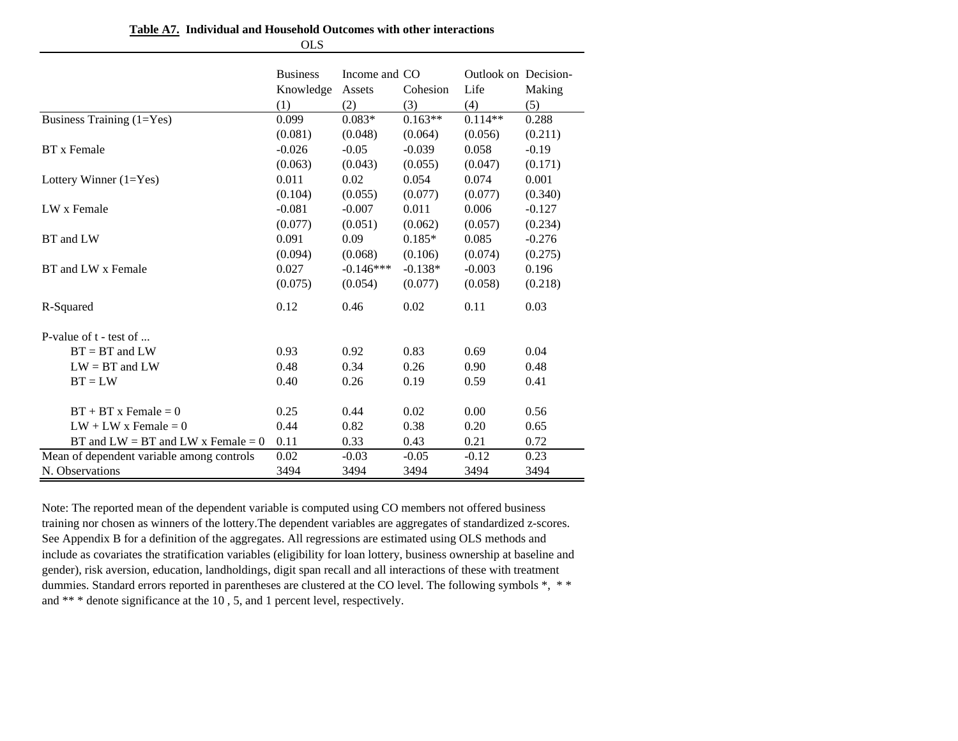|                                           | <b>Business</b> | Income and CO |           | Outlook on Decision- |          |
|-------------------------------------------|-----------------|---------------|-----------|----------------------|----------|
|                                           | Knowledge       | Assets        | Cohesion  | Life                 | Making   |
|                                           | (1)             | (2)           | (3)       | (4)                  | (5)      |
| Business Training $(1 = Yes)$             | 0.099           | $0.083*$      | $0.163**$ | $0.114**$            | 0.288    |
|                                           | (0.081)         | (0.048)       | (0.064)   | (0.056)              | (0.211)  |
| <b>BT</b> x Female                        | $-0.026$        | $-0.05$       | $-0.039$  | 0.058                | $-0.19$  |
|                                           | (0.063)         | (0.043)       | (0.055)   | (0.047)              | (0.171)  |
| Lottery Winner $(1=Yes)$                  | 0.011           | 0.02          | 0.054     | 0.074                | 0.001    |
|                                           | (0.104)         | (0.055)       | (0.077)   | (0.077)              | (0.340)  |
| LW <sub>x</sub> Female                    | $-0.081$        | $-0.007$      | 0.011     | 0.006                | $-0.127$ |
|                                           | (0.077)         | (0.051)       | (0.062)   | (0.057)              | (0.234)  |
| BT and LW                                 | 0.091           | 0.09          | $0.185*$  | 0.085                | $-0.276$ |
|                                           | (0.094)         | (0.068)       | (0.106)   | (0.074)              | (0.275)  |
| BT and LW x Female                        | 0.027           | $-0.146***$   | $-0.138*$ | $-0.003$             | 0.196    |
|                                           | (0.075)         | (0.054)       | (0.077)   | (0.058)              | (0.218)  |
| R-Squared                                 | 0.12            | 0.46          | 0.02      | 0.11                 | 0.03     |
| P-value of $t - test$ of                  |                 |               |           |                      |          |
| $BT = BT$ and $LW$                        | 0.93            | 0.92          | 0.83      | 0.69                 | 0.04     |
| $LW = BT$ and $LW$                        | 0.48            | 0.34          | 0.26      | 0.90                 | 0.48     |
| $BT = LW$                                 | 0.40            | 0.26          | 0.19      | 0.59                 | 0.41     |
|                                           |                 |               |           |                      |          |
| $BT + BT x Female = 0$                    | 0.25            | 0.44          | 0.02      | 0.00                 | 0.56     |
| $LW + LW$ x Female = 0                    | 0.44            | 0.82          | 0.38      | 0.20                 | 0.65     |
| BT and $LW = BT$ and $LW$ x Female = 0    | 0.11            | 0.33          | 0.43      | 0.21                 | 0.72     |
| Mean of dependent variable among controls | 0.02            | $-0.03$       | $-0.05$   | $-0.12$              | 0.23     |
| N. Observations                           | 3494            | 3494          | 3494      | 3494                 | 3494     |

**Table A7. Individual and Household Outcomes with other interactions** OLS

Note: The reported mean of the dependent variable is computed using CO members not offered business training nor chosen as winners of the lottery.The dependent variables are aggregates of standardized z-scores. See Appendix B for a definition of the aggregates. All regressions are estimated using OLS methods and include as covariates the stratification variables (eligibility for loan lottery, business ownership at baseline and gender), risk aversion, education, landholdings, digit span recall and all interactions of these with treatment dummies. Standard errors reported in parentheses are clustered at the CO level. The following symbols  $*,$  \* \* and \*\* \* denote significance at the 10 , 5, and 1 percent level, respectively.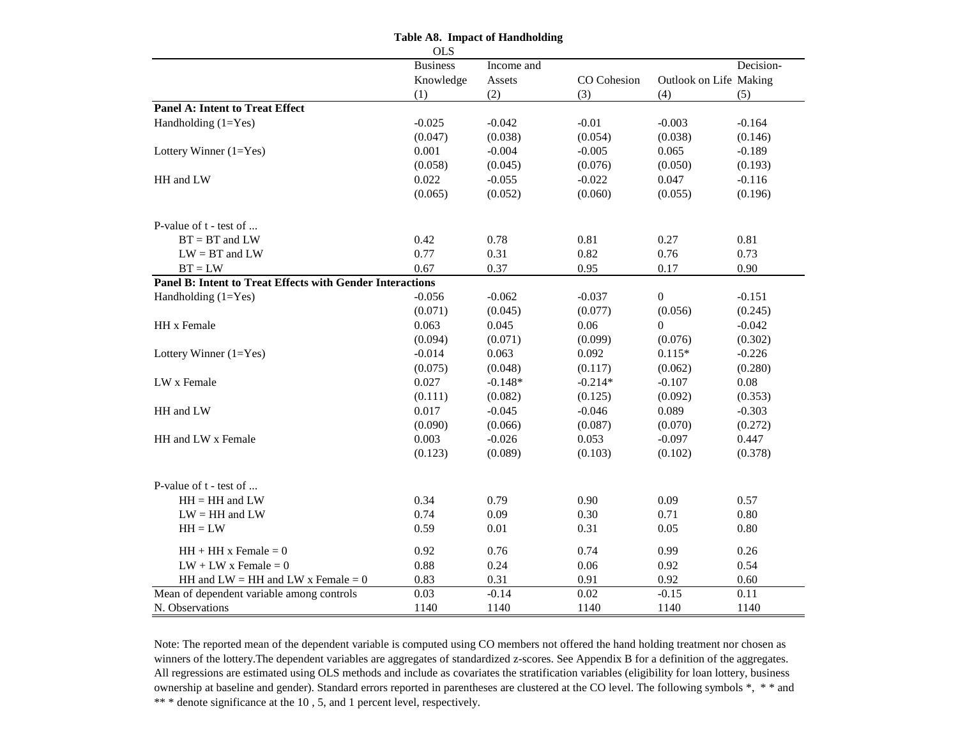| Table A8. Impact of Handholding<br><b>OLS</b>                    |           |           |             |                        |          |  |
|------------------------------------------------------------------|-----------|-----------|-------------|------------------------|----------|--|
|                                                                  |           |           |             |                        |          |  |
|                                                                  | Knowledge | Assets    | CO Cohesion | Outlook on Life Making |          |  |
|                                                                  | (1)       | (2)       | (3)         | (4)                    | (5)      |  |
| <b>Panel A: Intent to Treat Effect</b>                           |           |           |             |                        |          |  |
| Handholding (1=Yes)                                              | $-0.025$  | $-0.042$  | $-0.01$     | $-0.003$               | $-0.164$ |  |
|                                                                  | (0.047)   | (0.038)   | (0.054)     | (0.038)                | (0.146)  |  |
| Lottery Winner $(1 = Yes)$                                       | 0.001     | $-0.004$  | $-0.005$    | 0.065                  | $-0.189$ |  |
|                                                                  | (0.058)   | (0.045)   | (0.076)     | (0.050)                | (0.193)  |  |
| HH and LW                                                        | 0.022     | $-0.055$  | $-0.022$    | 0.047                  | $-0.116$ |  |
|                                                                  | (0.065)   | (0.052)   | (0.060)     | (0.055)                | (0.196)  |  |
| P-value of t - test of                                           |           |           |             |                        |          |  |
| $BT = BT$ and $LW$                                               | 0.42      | 0.78      | 0.81        | 0.27                   | 0.81     |  |
| $LW = BT$ and $LW$                                               | 0.77      | 0.31      | 0.82        | 0.76                   | 0.73     |  |
| $BT = LW$                                                        | 0.67      | 0.37      | 0.95        | 0.17                   | 0.90     |  |
| <b>Panel B: Intent to Treat Effects with Gender Interactions</b> |           |           |             |                        |          |  |
| Handholding $(1=Yes)$                                            | $-0.056$  | $-0.062$  | $-0.037$    | $\boldsymbol{0}$       | $-0.151$ |  |
|                                                                  | (0.071)   | (0.045)   | (0.077)     | (0.056)                | (0.245)  |  |
| HH x Female                                                      | 0.063     | 0.045     | 0.06        | $\Omega$               | $-0.042$ |  |
|                                                                  | (0.094)   | (0.071)   | (0.099)     | (0.076)                | (0.302)  |  |
| Lottery Winner $(1=Yes)$                                         | $-0.014$  | 0.063     | 0.092       | $0.115*$               | $-0.226$ |  |
|                                                                  | (0.075)   | (0.048)   | (0.117)     | (0.062)                | (0.280)  |  |
| LW <sub>x</sub> Female                                           | 0.027     | $-0.148*$ | $-0.214*$   | $-0.107$               | 0.08     |  |
|                                                                  | (0.111)   | (0.082)   | (0.125)     | (0.092)                | (0.353)  |  |
| HH and LW                                                        | 0.017     | $-0.045$  | $-0.046$    | 0.089                  | $-0.303$ |  |
|                                                                  | (0.090)   | (0.066)   | (0.087)     | (0.070)                | (0.272)  |  |
| HH and LW x Female                                               | 0.003     | $-0.026$  | 0.053       | $-0.097$               | 0.447    |  |
|                                                                  | (0.123)   | (0.089)   | (0.103)     | (0.102)                | (0.378)  |  |
| P-value of t - test of                                           |           |           |             |                        |          |  |
| $HH = HH$ and $LW$                                               | 0.34      | 0.79      | 0.90        | 0.09                   | 0.57     |  |
| $LW = HH$ and $LW$                                               | 0.74      | 0.09      | 0.30        | 0.71                   | 0.80     |  |
| $HH = LW$                                                        | 0.59      | 0.01      | 0.31        | 0.05                   | 0.80     |  |
| $HH + HH \times Female = 0$                                      | 0.92      | 0.76      | 0.74        | 0.99                   | 0.26     |  |
| $LW + LW$ x Female = 0                                           | 0.88      | 0.24      | 0.06        | 0.92                   | 0.54     |  |
| HH and $LW = HH$ and $LWx$ Female = 0                            | 0.83      | 0.31      | 0.91        | 0.92                   | 0.60     |  |
| Mean of dependent variable among controls                        | 0.03      | $-0.14$   | 0.02        | $-0.15$                | 0.11     |  |
| N. Observations                                                  | 1140      | 1140      | 1140        | 1140                   | 1140     |  |

Note: The reported mean of the dependent variable is computed using CO members not offered the hand holding treatment nor chosen as winners of the lottery.The dependent variables are aggregates of standardized z-scores. See Appendix B for a definition of the aggregates. All regressions are estimated using OLS methods and include as covariates the stratification variables (eligibility for loan lottery, business ownership at baseline and gender). Standard errors reported in parentheses are clustered at the CO level. The following symbols \*, \* \* and \*\* \* denote significance at the 10 , 5, and 1 percent level, respectively.